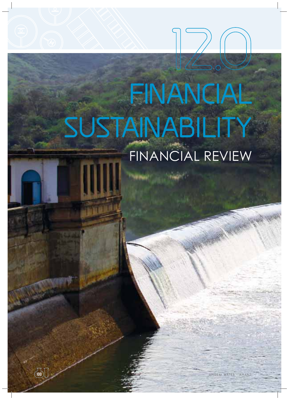# **FINANCIAL SUSTAINABILITY 12.O** FINANCIAL REVIEW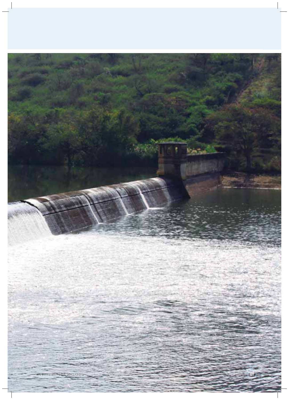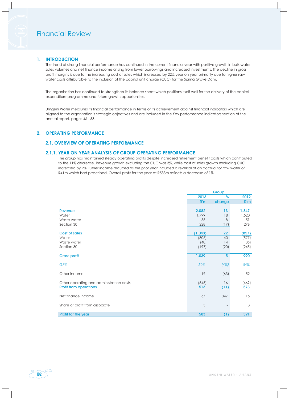# **1. INTRODUCTION**

The trend of strong financial performance has continued in the current financial year with positive growth in bulk water sales volumes and net finance income arising from lower borrowings and increased investments. The decline in gross profit margins is due to the increasing cost of sales which increased by 22% year on year primarily due to higher raw water costs attributable to the inclusion of the capital unit charge (CUC) for the Spring Grove Dam.

The organisation has continued to strengthen its balance sheet which positions itself well for the delivery of the capital expenditure programme and future growth opportunities.

Umgeni Water measures its financial performance in terms of its achievement against financial indicators which are aligned to the organisation's strategic objectives and are included in the Key performance indicators section of the annual report, pages 46 - 53.

# **2. OPERATING PERFORMANCE**

# **2.1. OVERVIEW OF OPERATING PERFORMANCE**

### **2.1.1. YEAR ON YEAR ANALYSIS OF GROUP OPERATING PERFORMANCE**

The group has maintained steady operating profits despite increased retirement benefit costs which contributed to the 11% decrease. Revenue growth excluding the CUC was 3%, while cost of sales growth excluding CUC increased by 2%. Other income reduced as the prior year included a reversal of an accrual for raw water of R41m which had prescribed. Overall profit for the year at R583m reflects a decrease of 1%.

|                                          | Group   |        |       |  |  |
|------------------------------------------|---------|--------|-------|--|--|
|                                          | 2013    | $\%$   | 2012  |  |  |
|                                          | R'm     | change | R'm   |  |  |
|                                          |         |        |       |  |  |
| <b>Revenue</b>                           | 2,082   | 13     | 1,847 |  |  |
| Water                                    | 1,799   | 18     | 1,520 |  |  |
| Waste water                              | 55      | 8      | 51    |  |  |
| Section 30                               | 228     | (17)   | 276   |  |  |
| Cost of sales                            | (1,043) | 22     | (857) |  |  |
| Water                                    | (806)   | 40     | (577) |  |  |
| Waste water                              | (40)    | 14     | (35)  |  |  |
| Section 30                               | (197)   | (20)   | (245) |  |  |
|                                          |         |        |       |  |  |
| <b>Gross profit</b>                      | 1,039   | 5      | 990   |  |  |
| GP%                                      | 50%     | (4%)   | 54%   |  |  |
| Other income                             | 19      | (63)   | 52    |  |  |
| Other operating and administration costs | (545)   | 16     | (469) |  |  |
| Profit from operations                   | 513     | (11)   | 573   |  |  |
| Net finance income                       | 67      | 347    | 15    |  |  |
| Share of profit from associate           | 3       |        | 3     |  |  |
| Profit for the year                      | 583     | (1)    | 591   |  |  |

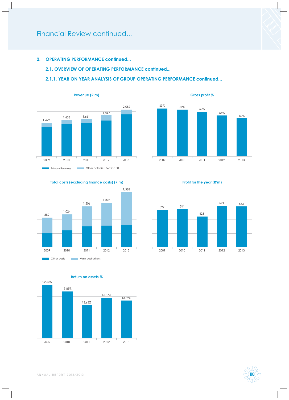# **2.1. OVERVIEW OF OPERATING PERFORMANCE continued...**

# **2.1.1. YEAR ON YEAR ANALYSIS OF GROUP OPERATING PERFORMANCE continued...**



**Gross profit %** 





**Total costs (excluding finance costs) (R'm)** 







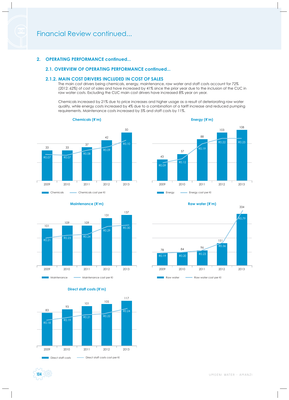# **2.1. OVERVIEW OF OPERATING PERFORMANCE continued...**

### **2.1.2. MAIN COST DRIVERS INCLUDED IN COST OF SALES**

The main cost drivers being chemicals, energy, maintenance, raw water and staff costs account for 72% (2012: 62%) of cost of sales and have increased by 41% since the prior year due to the inclusion of the CUC in raw water costs. Excluding the CUC main cost drivers have increased 8% year on year.

Chemicals increased by 21% due to price increases and higher usage as a result of deteriorating raw water quality, while energy costs increased by 4% due to a combination of a tariff increase and reduced pumping requirements. Maintenance costs increased by 5% and staff costs by 11%.







**Maintenance (R'm)**

# **Direct staff costs (R'm)**



**Raw water (R'm)**

334

 $k_0$  79



Raw water **Raw water cost per KI** 

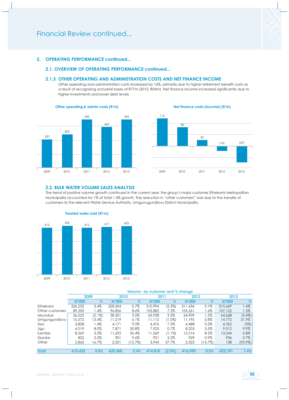# **2.1. OVERVIEW OF OPERATING PERFORMANCE continued...**

# **2.1.3 OTHER OPERATING AND ADMINISTRATION COSTS AND NET FINANCE INCOME**

Other operating and administration costs increased by 16%, primarily due to higher retirement benefit costs as a result of recognising actuarial losses of R77m (2012: R54m). Net finance income increased significantly due to higher investments and lower debt levels.



**Net finance costs (income) (R'm)** 



# **2.2. BULK WATER VOLUME SALES ANALYSIS**

The trend of positive volume growth continued in the current year, the group's major customer Ethekwini Metropolitan Municipality accounted for 1% of total 1.4% growth. The reduction in "other customers" was due to the transfer of customers to the relevant Water Service Authority, Umgunugundlovu District Municipality.



#### **Treated water sold (Kl'm)**

|                 | Volume - by customer and % change |           |               |         |               |           |               |         |               |            |
|-----------------|-----------------------------------|-----------|---------------|---------|---------------|-----------|---------------|---------|---------------|------------|
|                 | 2009                              |           | 2010          |         | 2011          |           | 2012          |         | 2013          |            |
|                 | <b>KI'000</b>                     | %         | <b>KI'000</b> | %       | <b>KI'000</b> | %         | <b>KI'000</b> | %       | <b>KI'000</b> | %          |
| Ethekwini       | 326.232                           | 3.4%      | 328,504       | $0.7\%$ | 310.994       | $(5.3\%)$ | 311,434       | 0.1%    | 315,669       | 1.4%       |
| Other customers | 89,200                            | $1.4\%$   | 96.856        | 8.6%    | 103,882       | 7.3%      | 105,561       | .6%     | 107.122       | 1.5%       |
| Msunduzi        | 56,525                            | $(2.1\%)$ | 58,501        | 3.5%    | 63,938        | 9.3%      | 64,909        | 1.5%    | 64,668        | $(0.4\%)$  |
| Umgungundlovu   | 10.572                            | 13.4%     | 11.219        | 6.1%    | 11.112        | $(1.0\%)$ | 11,195        | 0.8%    | 14,772        | 31.9%      |
| Siza            | 3,828                             | 1.4%      | 4.171         | 9.0%    | 4.476         | 7.3%      | 4,488         | 0.3%    | 4,352         | (3%)       |
| Ugu             | 6.019                             | 8.0%      | 7.871         | 30.8%   | 7.923         | 0.7%      | 8,203         | 3.5%    | 9.012         | 9.9%       |
| iLembe          | 8,569                             | 3.5%      | 11.692        | 36.4%   | 11,569        | $(1.1\%)$ | 12,514        | 8.2%    | 13,244        | 5.8%       |
| Sisonke         | 822                               | 2.5%      | 901           | 9.6%    | 921           | 2.2%      | 929           | 0.9%    | 936           | $0.7\%$    |
| Other           | 2.865                             | 16.7%     | 2.501         | (12.7%) | 3.943         | 57.7%     | 3,323         | (15.7%) | 138           | $(95.9\%)$ |
|                 |                                   |           |               |         |               |           |               |         |               |            |
| <b>Total</b>    | 415,432                           | 3.0%      | 425,360       | 2.4%    | 414,876       | (2.5%)    | 416,995       | 0.5%    | 422.791       | 1.4%       |

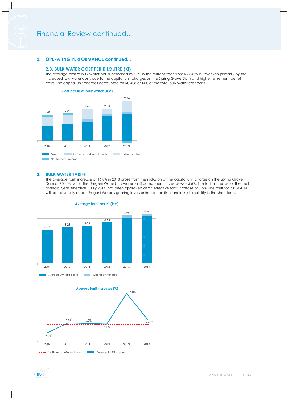# **2.3. BULK WATER COST PER KILOLITRE (Kl)**

The average cost of bulk water per kl increased by 26% in the current year, from R2.34 to R2.96 driven primarily by the increased raw water costs due to the capital unit charges on the Spring Grove Dam and higher retirement benefit costs. The capital unit charges accounted for R0.408 or 14% of the total bulk water cost per Kl.



### **3. BULK WATER TARIFF**

The average tariff increase of 16.8% in 2013 arose from the inclusion of the capital unit charge on the Spring Grove Dam of R0.408, whilst the Umgeni Water bulk water tariff component increase was 5.6%. The tariff increase for the next financial year, effective 1 July 2014, has been approved at an effective tariff increase of 7.5%. The tariff for 2013/2014 will not adversely affect Umgeni Water's gearing levels or impact on its financial sustainability in the short term.





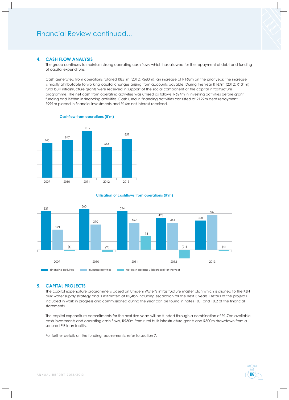# **4. CASH FLOW ANALYSIS**

The group continues to maintain strong operating cash flows which has allowed for the repayment of debt and funding of capital expenditure.

Cash generated from operations totalled R851m (2012: R683m), an increase of R168m on the prior year. The increase is mostly attributable to working capital changes arising from accounts payable. During the year R167m (2012: R131m) rural bulk infrastructure grants were received in support of the social component of the capital infrastructure programme. The net cash from operating activities was utilised as follows: R624m in investing activities before grant funding and R398m in financing activities. Cash used in financing activities consisted of R122m debt repayment, R291m placed in financial investments and R14m net interest received.









# **5. CAPITAL PROJECTS**

The capital expenditure programme is based on Umgeni Water's infrastructure master plan which is aligned to the KZN bulk water supply strategy and is estimated at R5,4bn including escalation for the next 5 years. Details of the projects included in work in progress and commissioned during the year can be found in notes 10.1 and 10.2 of the financial statements.

The capital expenditure commitments for the next five years will be funded through a combination of R1,7bn available cash investments and operating cash flows, R930m from rural bulk infrastructure grants and R300m drawdown from a secured EIB loan facility.

For further details on the funding requirements, refer to section 7.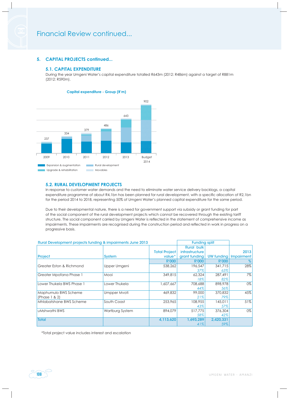# **5. CAPITAL PROJECTS continued...**

# **5.1. CAPITAL EXPENDITURE**

During the year Umgeni Water's capital expenditure totalled R643m (2012: R486m) against a target of R881m (2012: R590m).



# **Capital expenditure - Group (R'm)**

# **5.2. RURAL DEVELOPMENT PROJECTS**

In response to customer water demands and the need to eliminate water service delivery backlogs, a capital expenditure programme of about R4,1bn has been planned for rural development, with a specific allocation of R2,1bn for the period 2014 to 2018, representing 50% of Umgeni Water's planned capital expenditure for the same period.

Due to their developmental nature, there is a need for government support via subsidy or grant funding for part of the social component of the rural development projects which cannot be recovered through the existing tariff structure. The social component carried by Umgeni Water is reflected in the statement of comprehensive income as impairments. These impairments are recognised during the construction period and reflected in work in progress on a progressive basis.

| Rural Development projects funding & impairments June 2013 |                 |                      |                       | <b>Funding split</b> |                         |
|------------------------------------------------------------|-----------------|----------------------|-----------------------|----------------------|-------------------------|
|                                                            |                 |                      | <b>Rural bulk</b>     |                      |                         |
|                                                            |                 | <b>Total Project</b> | <i>infrastructure</i> |                      | 2013                    |
| Project                                                    | <b>System</b>   | value <sup>*</sup>   | grant funding         |                      | UW funding   Impairment |
|                                                            |                 | <b>R'000</b>         | R'000                 | R'000                | $\%$                    |
| Greater Eston & Richmond                                   | Upper Umgeni    | 538,262              | 196,547               | 341,715              | 28%                     |
|                                                            |                 |                      | 37%                   | 63%                  |                         |
| Greater Mpofana Phase 1                                    | Mooi            | 349.815              | 62,324                | 287,491              | 7%                      |
|                                                            |                 |                      | 18%                   | 82%                  |                         |
| Lower Thukela BWS Phase 1                                  | Lower Thukela   | 1,607,667            | 708,688               | 898,978              | 0%                      |
|                                                            |                 |                      | 44%                   | 56%                  |                         |
| Maphumulo BWS Scheme                                       | Umpper Mvoti    | 469.832              | 99,000                | 370,832              | 45%                     |
| (Phase 1 & 2)                                              |                 |                      | 21%                   | 79%                  |                         |
| Mhlabatshane BWS Scheme                                    | South Coast     | 253,965              | 108,955               | 145,011              | 51%                     |
|                                                            |                 |                      | 43%                   | 57%                  |                         |
| uMshwathi BWS                                              | Wartburg System | 894,079              | 517.775               | 376,304              | 0%                      |
|                                                            |                 |                      | 58%                   | 42%                  |                         |
| <b>Total</b>                                               |                 | 4.113.620            | 1,693,289             | 2,420,331            |                         |
|                                                            |                 |                      | 41%                   | 59%                  |                         |

\*Total project value includes interest and escalation

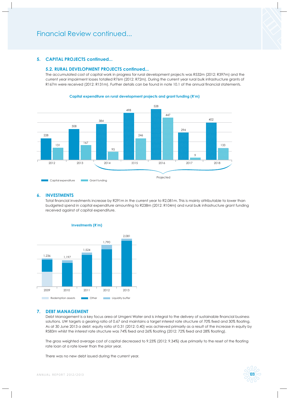# **5. CAPITAL PROJECTS continued...**

# **5.2. RURAL DEVELOPMENT PROJECTS continued...**

The accumulated cost of capital work in progress for rural development projects was R532m (2012: R397m) and the current year impairment losses totalled R76m (2012: R72m). During the current year rural bulk infrastructure grants of R167m were received (2012: R131m). Further details can be found in note 10.1 of the annual financial statements.



# **6. INVESTMENTS**

Total financial investments increase by R291m in the current year to R2,081m. This is mainly attributable to lower than budgeted spend in capital expenditure amounting to R238m (2012: R104m) and rural bulk infrastructure grant funding received against of capital expenditure.



#### **Investments (R'm)**

# **7. DEBT MANAGEMENT**

Debt Management is a key focus area at Umgeni Water and is integral to the delivery of sustainable financial business solutions. UW targets a gearing ratio of 0.67 and maintains a target interest rate structure of 70% fixed and 30% floating. As at 30 June 2013 a debt: equity ratio of 0.31 (2012: 0.40) was achieved primarily as a result of the increase in equity by R583m whilst the interest rate structure was 74% fixed and 26% floating (2012: 72% fixed and 28% floating).

The gross weighted average cost of capital decreased to 9.23% (2012: 9.34%) due primarily to the reset of the floating rate loan at a rate lower than the prior year.

There was no new debt issued during the current year.

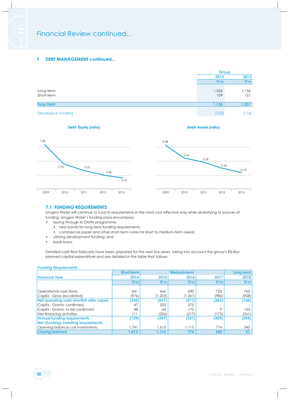# **7. DEBT MANAGEMENT continued...**



# **Debt: Equity (ratio)**

**Debt: Assets (ratio)**



# **7.1. FUNDING REQUIREMENTS**

Umgeni Water will continue to fund its requirements in the most cost effective way while diversifying its sources of funding. Umgeni Water's funding plans encompass:

- Issuing through its DMTN programme:
	- new bonds for long-term funding requirements;
	- commercial paper and other short-term notes for short to medium-term needs;
- utilising development funding; and
- bank loans.

Detailed cash flow forecasts have been prepared for the next five years, taking into account the group's R5,4bn planned capital expenditure and are detailed in the table that follows.

### Funding Requirements

|                                          | Short-term |          | Medium-term |       |       |
|------------------------------------------|------------|----------|-------------|-------|-------|
| <b>Financial Year</b>                    | 2014       | 2015     | 2016        | 2017  | 2018  |
|                                          | R'm        | R'm      | R'm         | R'm   | R'm   |
|                                          |            |          |             |       |       |
| Operational cash flows                   | 641        | 666      | 690         | 723   | 762   |
| CapEx - Gross (escalated)                | (976)      | (1, 203) | (1,261)     | (986) | (928) |
| Net operating cash shortfall after capex | (335)      | (537)    | (571)       | (263) | (166) |
| CapEx - Grants: confirmed                | 47         | 203      | 275         |       |       |
| CapEx - Grants: to be confirmed          | 48         | 43       | 172         | 9     | 133   |
| Net financing activities                 | 111        | (206)    | (217)       | (175) | (261) |
| <b>Annual funding requirements</b>       | (129)      | (497)    | (341)       | (429) | (294) |
| Net (funding) investing requirements     |            |          |             |       |       |
| Opening balance call investments         | 1.741      | 1.613    | 1.115       | 774   | 345   |
| <b>Closing balance</b>                   | 1.612      | 1.116    | 774         | 345   | 51    |

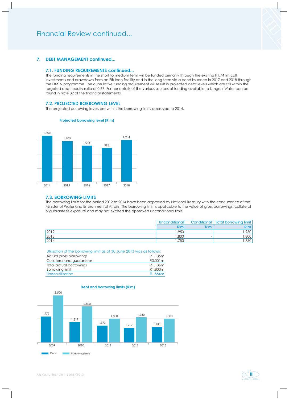# **7. DEBT MANAGEMENT continued...**

### **7.1. FUNDING REQUIREMENTS continued...**

The funding requirements in the short to medium term will be funded primarily through the existing R1,741m call investments and drawdown from an EIB loan facility and in the long term via a bond issuance in 2017 and 2018 through the DMTN programme. The cumulative funding requirement will result in projected debt levels which are still within the targeted debt: equity ratio of 0.67. Further details of the various sources of funding available to Umgeni Water can be found in note 32 of the financial statements.

# **7.2. PROJECTED BORROWING LEVEL**

The projected borrowing levels are within the borrowing limits approved to 2014.



### **Projected borrowing level (R'm)**

# **7.3. BORROWING LIMITS**

The borrowing limits for the period 2012 to 2014 have been approved by National Treasury with the concurrence of the Minister of Water and Environmental Affairs. The borrowing limit is applicable to the value of gross borrowings, collateral & guarantees exposure and may not exceed the approved unconditional limit.

|      | Unconditional     |                          |       |  | Conditional   Total borrowing limit |
|------|-------------------|--------------------------|-------|--|-------------------------------------|
|      | R'ml              | R'm                      | R'm i |  |                                     |
| 2012 | .950 <sup>1</sup> | $\overline{\phantom{a}}$ | .950  |  |                                     |
| 2013 | ,800              |                          | .800  |  |                                     |
| 2014 | .750'             |                          | 750   |  |                                     |

Utilisation of the borrowing limit as at 30 June 2013 was as follows:

| Actual gross borrowings   | R1.135m  |
|---------------------------|----------|
| Collateral and guarantees | R0.001m  |
| Total actual borrowings   | R1.136m  |
| Borrowing limit           | R1.800m  |
| Underutilisation          | $R$ 664m |



# **Debt and borrowing limits (R'm)**

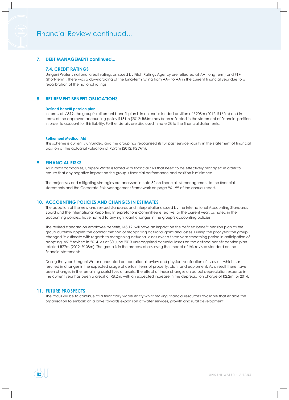# **7. DEBT MANAGEMENT continued...**

### **7.4. CREDIT RATINGS**

Umgeni Water's national credit ratings as issued by Fitch Ratings Agency are reflected at AA (long-term) and F1+ (short-term). There was a downgrading of the long-term rating from AA+ to AA in the current financial year due to a recalibration of the national ratings.

# **8. RETIREMENT BENEFIT OBLIGATIONS**

# **Defined benefit pension plan**

In terms of IAS19, the group's retirement benefit plan is in an under-funded position of R208m (2012: R162m) and in terms of the approved accounting policy R131m (2012: R54m) has been reflected in the statement of financial position in order to account for this liability. Further details are disclosed in note 28 to the financial statements.

### **Retirement Medical Aid**

This scheme is currently unfunded and the group has recognised its full past service liability in the statement of financial position at the actuarial valuation of R295m (2012: R259m).

### **9. FINANCIAL RISKS**

As in most companies, Umgeni Water is faced with financial risks that need to be effectively managed in order to ensure that any negative impact on the group's financial performance and position is minimised.

The major risks and mitigating strategies are analysed in note 32 on financial risk management to the financial statements and the Corporate Risk Management Framework on page 96 - 99 of the annual report.

### **10. ACCOUNTING POLICIES AND CHANGES IN ESTIMATES**

The adoption of the new and revised standards and interpretations issued by the International Accounting Standards Board and the International Reporting Interpretations Committee effective for the current year, as noted in the accounting policies, have not led to any significant changes in the group's accounting policies.

The revised standard on employee benefits, IAS 19, will have an impact on the defined benefit pension plan as the group currently applies the corridor method of recognising actuarial gains and losses. During the prior year the group changed its estimate with regards to recognising actuarial losses over a three year smoothing period in anticipation of adopting IAS19 revised in 2014. As at 30 June 2013 unrecognised actuarial losses on the defined benefit pension plan totalled R77m (2012: R108m). The group is in the process of assessing the impact of this revised standard on the financial statements.

During the year, Umgeni Water conducted an operational review and physical verification of its assets which has resulted in changes in the expected usage of certain items of property, plant and equipment. As a result there have been changes in the remaining useful lives of assets. The effect of these changes on actual depreciation expense in the current year has been a credit of R8,2m, with an expected increase in the depreciation charge of R2,2m for 2014.

# **11. FUTURE PROSPECTS**

The focus will be to continue as a financially viable entity whilst making financial resources available that enable the organisation to embark on a drive towards expansion of water services, growth and rural development.

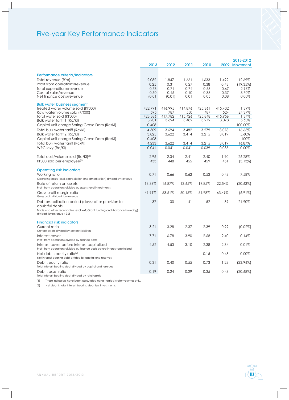# Five-year Key Performance Indicators

|                                                                             |                  |                  |                  |                  |                  | 2013-2012      |
|-----------------------------------------------------------------------------|------------------|------------------|------------------|------------------|------------------|----------------|
|                                                                             | 2013             | 2012             | 2011             | 2010             |                  | 2009 Movement  |
|                                                                             |                  |                  |                  |                  |                  |                |
| Performance criteria/indicators                                             |                  |                  |                  |                  |                  |                |
| Total revenue (R'm)                                                         | 2.082            | 1.847            | 1.661            | 1.633            | 1.492            | 12.69%         |
| Profit from operations/revenue                                              | 0.25             | 0.31             | 0.27             | 0.38             | 0.43             | (19.35%)       |
| Total expenditure/revenue                                                   | 0.73             | 0.71             | 0.74             | 0.68             | 0.67             | 2.96%          |
| Cost of sales/revenue<br>Net finance costs/revenue                          | 0.50             | 0.46             | 0.40<br>0.01     | 0.38<br>0.05     | 0.37<br>0.08     | 8.70%<br>0.00% |
|                                                                             | (0.01)           | (0.01)           |                  |                  |                  |                |
| <b>Bulk water business segment</b>                                          |                  |                  |                  |                  |                  |                |
| Treated water volume sold (KI'000)                                          | 422,791          | 416,995          | 414,876          | 425,361          | 415,432          | 1.39%          |
| Raw water volume sold (KI'000)                                              | 595              | 787              | 550              | 487              | 524              | (24.37%)       |
| Total water sold (KI'000)                                                   | 423,386<br>3.901 | 417,782<br>3.694 | 415,426<br>3.482 | 425,848<br>3.279 | 415,956<br>3.078 | 1.34%<br>5.60% |
| Bulk water tariff 1 (Rc/KI)                                                 | 0.408            |                  |                  |                  |                  | 100.00%        |
| Capital unit charge Spring Grove Dam (Rc/KI)                                |                  |                  |                  |                  |                  |                |
| Total bulk water tariff (Rc/KI)                                             | 4.309            | 3.694            | 3.482            | 3.279            | 3.078            | 16.65%         |
| Bulk water tariff 2 (Rc/KI)                                                 | 3.825            | 3.622            | 3.414            | 3.215            | 3.019            | 5.60%          |
| Capital unit charge Spring Grove Dam (Rc/KI)                                | 0.408<br>4.233   | 3.622            |                  | 3.215            | 3.019            | 100%<br>16.87% |
| Total bulk water tariff (Rc/KI)<br>WRC levy (Rc/KI)                         | 0.041            | 0.041            | 3.414<br>0.041   | 0.039            | 0.035            | 0.00%          |
|                                                                             |                  |                  |                  |                  |                  |                |
| Total cost/volume sold (Rc/KI) <sup>(1)</sup>                               | 2.96             | 2.34             | 2.41             | 2.40             | 1.90             | 26.28%         |
| KI'000 sold per employee <sup>(1)</sup>                                     | 433              | 448              | 455              | 459              | 451              | $(3.13\%)$     |
|                                                                             |                  |                  |                  |                  |                  |                |
| <b>Operating risk indicators</b>                                            |                  |                  |                  |                  |                  |                |
| Working ratio                                                               | 0.71             | 0.66             | 0.62             | 0.52             | 0.48             | 7.58%          |
| Operating costs (excl depreciation and amortisation) divided by revenue     |                  |                  |                  |                  |                  |                |
| Rate of return on assets                                                    | 13.39%           | 16.87%           | 13.65%           | 19.85%           | 22.54%           | (20.63%)       |
| Profit from operations divided by assets (excl investments)                 |                  |                  |                  |                  |                  |                |
| Gross profit margin ratio                                                   | 49.91%           | 53.61%           | 60.15%           | 61.98%           | 63.49%           | $(6.91\%)$     |
| Gross profit divided by revenue                                             |                  |                  |                  |                  |                  |                |
| Debtors collection period (days) after provision for                        | 37               | 30               | 41               | 52               | 39               | 21.90%         |
| doubtful debts                                                              |                  |                  |                  |                  |                  |                |
| Trade and other receivables (excl VAT; Grant funding and Advance invoicing) |                  |                  |                  |                  |                  |                |
| divided by revenue x 365                                                    |                  |                  |                  |                  |                  |                |
| <b>Financial risk indicators</b>                                            |                  |                  |                  |                  |                  |                |
| Current ratio                                                               | 3.21             | 3.28             | 2.37             | 2.39             | 0.99             | $(0.02\%)$     |
| Current assets divided by current liabilities                               |                  |                  |                  |                  |                  |                |
| Interest cover                                                              | 7.71             | 6.78             | 3.90             | 2.68             | 2.40             | 0.14%          |
| Profit from operations divided by finance costs                             |                  |                  |                  |                  |                  |                |
| Interest cover before interest capitalised                                  | 4.52             | 4.53             | 3.10             | 2.38             | 2.34             | 0.01%          |
| Profit from operations divided by finance costs before interest capitalised |                  |                  |                  |                  |                  |                |
| Net debt : equity ratio <sup>(2)</sup>                                      | $\overline{a}$   |                  | $\overline{a}$   | 0.15             | 0.48             | 0.00%          |
| Net interest-bearing debt divided by capital and reserves                   |                  |                  |                  |                  |                  |                |
| Debt : equity ratio                                                         | 0.31             | 0.40             | 0.55             | 0.73             | 1.28             | $(23.96\%)$    |
| Total interest-bearing debt divided by capital and reserves                 |                  |                  |                  |                  |                  |                |
| Debt : asset ratio                                                          | 0.19             | 0.24             | 0.29             | 0.35             | 0.48             | $(20.68\%)$    |
| Total interest-bearing debt divided by total assets                         |                  |                  |                  |                  |                  |                |

(1) These indicators have been calculated using treated water volumes only.

(2) Net debt is total interest bearing debt less investments.

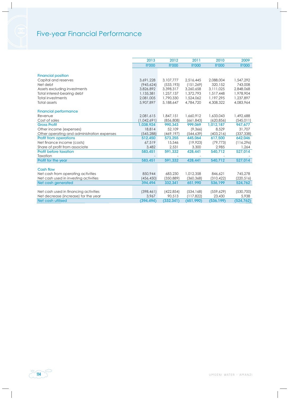|                                             | 2013         | 2012         | 2011         | 2010         | 2009         |
|---------------------------------------------|--------------|--------------|--------------|--------------|--------------|
|                                             | <b>R'000</b> | <b>R'000</b> | <b>R'000</b> | <b>R'000</b> | <b>R'000</b> |
|                                             |              |              |              |              |              |
| <b>Financial position</b>                   |              |              |              |              |              |
| Capital and reserves                        | 3,691,228    | 3,107,777    | 2,516,445    | 2,088,004    | 1,547,292    |
| Net debt                                    | (945, 624)   | (533, 193)   | (151, 269)   | 320,152      | 743,008      |
| Assets excluding investments                | 3,826,892    | 3,398,317    | 3,260,658    | 3,111,025    | 2,848,068    |
| Total interest-bearing debt                 | 1,135,381    | 1,257,137    | 1,372,793    | 1,517,448    | 1,978,904    |
| <b>Total investments</b>                    | 2,081,005    | 1,790,330    | 1,524,062    | 1,197,295    | 1,237,897    |
| Total assets                                | 5,907,897    | 5,188,647    | 4,784,720    | 4,308,322    | 4,083,964    |
|                                             |              |              |              |              |              |
| <b>Financial performance</b>                |              |              |              |              |              |
| Revenue                                     | 2,081,615    | 1,847,151    | 1,660,912    | 1,633,043    | 1,492,688    |
| Cost of sales                               | (1,042,691)  | (856, 808)   | (661, 843)   | (620, 856)   | (545, 011)   |
| <b>Gross Profit</b>                         | 1,038,924    | 990,343      | 999,069      | 1,012,187    | 947,677      |
| Other income (expenses)                     | 18,814       | 52,109       | (9,366)      | 8,529        | 31,707       |
| Other operating and administration expenses | (545, 288)   | (469, 197)   | (544, 639)   | (403, 216)   | (337, 338)   |
| <b>Profit from operations</b>               | 512,450      | 573,255      | 445,064      | 617,500      | 642,046      |
| Net finance income (costs)                  | 67,519       | 15,546       | (19, 923)    | (79, 773)    | (116, 296)   |
| Share of profit from associate              | 3,482        | 2,531        | 3,300        | 2,985        | 1,264        |
| <b>Profit before taxation</b>               | 583,451      | 591,332      | 428,441      | 540,712      | 527,014      |
| Taxation                                    |              |              |              |              |              |
| Profit for the year                         | 583,451      | 591,332      | 428,441      | 540,712      | 527,014      |
|                                             |              |              |              |              |              |
| <b>Cash flow</b>                            |              |              |              |              |              |
| Net cash from operating activities          | 850,944      | 683,230      | 1,012,358    | 846,621      | 745,278      |
| Net cash used in investing activities       | (456, 450)   | (350, 889)   | (360, 368)   | (310, 422)   | (220, 516)   |
| Net cash generated                          | 394,494      | 332,341      | 651,990      | 536,199      | 524,762      |
|                                             |              |              |              |              |              |
| Net cash used in financing activities       | (398, 461)   | (422, 854)   | (534, 168)   | (559, 629)   | (530, 700)   |
| Net decrease (increase) for the year        | 3,967        | 90,513       | (117, 822)   | 23,430       | 5,938        |
| Net cash utilised                           | (394, 494)   | (332, 341)   | (651,990)    | (536, 199)   | (524, 762)   |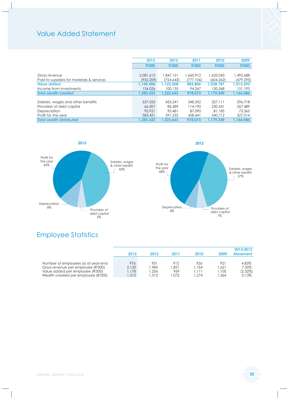# Value Added Statement

|                                            | 2013         | 2012         | 2011         | 2010         | 2009         |
|--------------------------------------------|--------------|--------------|--------------|--------------|--------------|
|                                            | <b>R'000</b> | <b>R'000</b> | <b>R'000</b> | <b>R'000</b> | <b>R'000</b> |
|                                            |              |              |              |              |              |
| Gross revenue                              | 2.081.615    | 1.847.151    | 1,660,912    | 1,633,043    | 1.492,688    |
| Paid to suppliers for materials & services | (932,209)    | (724,643)    | (777, 106)   | (604,262)    | (479,295)    |
| Value added                                | 1,149,406    | 1,122,508    | 883,806      | 1,028,781    | 1,013,393    |
| Income from investments                    | 134,026      | 100.135      | 94.267       | 150,568      | 151,193      |
| <b>Total wealth created</b>                | 1,283,432    | 1,222,643    | 978,073      | 1,179,349    | 1,164,586    |
|                                            |              |              |              |              |              |
| Salaries, wages and other benefits         | 537,553      | 453,241      | 348,352      | 327.111      | 296,718      |
| Providers of debt capital                  | 66,507       | 84,589       | 114,190      | 230.341      | 267,489      |
| Depreciation                               | 95.921       | 93,481       | 87.090       | 81,185       | 73,365       |
| Profit for the year                        | 583,451      | 591,332      | 428,441      | 540.712      | 527.014      |
| <b>Total wealth distributed</b>            | 1,283,432    | 1,222,643    | 978,073      | 1,179,349    | 1,164,586    |





# Employee Statistics

|                                     |       |      |      |        |      | 2013-2012       |
|-------------------------------------|-------|------|------|--------|------|-----------------|
|                                     | 2013  | 2012 | 2011 | 2010   | 2009 | <b>Movement</b> |
|                                     |       |      |      |        |      |                 |
| Number of employees as at year-end  | 976   | 931  | 912  | 926    | 921  | 4.83%           |
| Gross revenue per employee (R'000)  | 2,133 | .984 | .821 | . .764 | .621 | 7.50%           |
| Value added per employee (R'000)    | 1.178 | .206 | 969  | 1.111  | .100 | $(2.32\%)$      |
| Wealth created per employee (R'000) | 1.315 | .313 | .072 | .274   | .264 | 0.13%           |

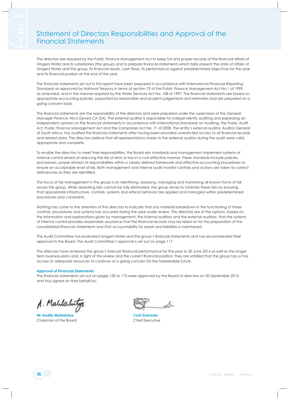# Statement of Directors Responsibilities and Approval of the Financial Statements

The directors are required by the Public Finance Management Act to keep full and proper records of the financial affairs of Umgeni Water and its subsidiaries (the group) and to prepare financial statements which fairly present the state of affairs of Umgeni Water and the group, its financial results, cash flows, its performance against predetermined objectives for the year and its financial position at the end of the year.

The financial statements set out in this report have been prepared in accordance with International Financial Reporting Standards as approved by National Treasury in terms of section 79 of the Public Finance Management Act No.1 of 1999, as amended, and in the manner required by the Water Services Act No. 108 of 1997. The financial statements are based on appropriate accounting policies, supported by reasonable and prudent judgements and estimates and are prepared on a going concern basis.

The financial statements are the responsibility of the directors and were prepared under the supervision of the General Manager Finance, Nica Gevers CA (SA). The external auditor is responsible for independently auditing and expressing an independent opinion on the financial statements in accordance with International Standards on Auditing, the Public Audit Act, Public Finance Management Act and the Companies Act No. 71 of 2008. The entity's external auditor, Auditor-General of South Africa, has audited the financial statements after having been provided unrestricted access to all financial records and related data. The directors believe that all representations made to the external auditor during the audit were valid, appropriate and complete.

To enable the directors to meet their responsibilities, the Board sets standards and management implement systems of internal control aimed at reducing the risk of error or loss in a cost-effective manner. These standards include policies, procedures, proper division of responsibilities within a clearly defined framework and effective accounting procedures to ensure an acceptable level of risk. Both management and internal audit monitor controls and actions are taken to correct deficiencies as they are identified.

The focus of risk management in the group is on identifying, assessing, managing and monitoring all known forms of risk across the group. While operating risks cannot be fully eliminated, the group strives to minimise these risks by ensuring that appropriate infrastructure, controls, systems and ethical behavior are applied and managed within predetermined procedures and constraints.

Nothing has come to the attention of the directors to indicate that any material breakdown in the functioning of these controls, procedures and systems has occurred during the year under review. The directors are of the opinion, based on the information and explanations given by management, the internal auditors and the external auditors, that the systems of internal control provides reasonable assurance that the financial records may be relied on for the preparation of the consolidated financial statements and that accountability for assets and liabilities is maintained.

The Audit Committee has evaluated Umgeni Water and the group's financial statements and has recommended their approval to the Board. The Audit Committee's approval is set out on page 117.

The directors have reviewed the group's forecast financial performance for the year to 30 June 2014 as well as the longer term business plans and, in light of this review and the current financial position, they are satisfied that the group has or has access to adequate resources to continue as a going concern for the foreseeable future.

### **Approval of Financial Statements**

The financial statements set out on pages 120 to 173 were approved by the Board of directors on 30 September 2013, and thus signed on their behalf by:

A. Mahlahut

**Mr Andile Mahlalutye <b>Cyril Gamede** Chairman of the Board Chief Executive

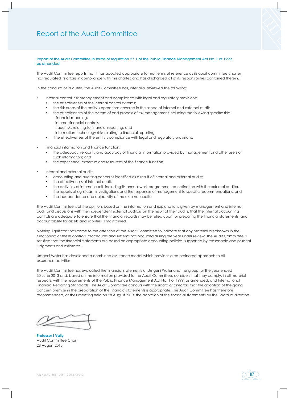# Report of the Audit Committee

### Report of the Audit Committee in terms of regulation 27.1 of the Public Finance Management Act No. 1 of 1999, as amended

The Audit Committee reports that it has adopted appropriate formal terms of reference as its audit committee charter, has regulated its affairs in compliance with this charter, and has discharged all of its responsibilities contained therein.

In the conduct of its duties, the Audit Committee has, inter alia, reviewed the following:

- Internal control, risk management and compliance with legal and regulatory provisions:
	- the effectiveness of the internal control systems;
	- the risk areas of the entity's operations covered in the scope of internal and external audits;
	- the effectiveness of the system of and process of risk management including the following specific risks: - financial reportina:
		- internal financial controls;
		- fraud risks relating to financial reporting; and
		- information technology risks relating to financial reporting;
	- the effectiveness of the entity's compliance with legal and regulatory provisions.
- Financial information and finance function:
	- the adequacy, reliability and accuracy of financial information provided by management and other users of such information; and
	- the experience, expertise and resources of the finance function.
- Internal and external audit:
	- accounting and auditing concerns identified as a result of internal and external audits;
	- the effectiveness of internal audit;
	- the activities of internal audit, including its annual work programme, co-ordination with the external auditor, the reports of significant investigations and the responses of management to specific recommendations; and
	- the independence and objectivity of the external auditor.

The Audit Committee is of the opinion, based on the information and explanations given by management and internal audit and discussions with the independent external auditors on the result of their audits, that the internal accounting controls are adequate to ensure that the financial records may be relied upon for preparing the financial statements, and accountability for assets and liabilities is maintained.

Nothing significant has come to the attention of the Audit Committee to indicate that any material breakdown in the functioning of these controls, procedures and systems has occurred during the year under review. The Audit Committee is satisfied that the financial statements are based on appropriate accounting policies, supported by reasonable and prudent judgments and estimates.

Umgeni Water has developed a combined assurance model which provides a co-ordinated approach to all assurance activities.

The Audit Committee has evaluated the financial statements of Umgeni Water and the group for the year ended 30 June 2013 and, based on the information provided to the Audit Committee, considers that they comply, in all material respects, with the requirements of the Public Finance Management Act No. 1 of 1999, as amended, and International Financial Reporting Standards. The Audit Committee concurs with the Board of directors that the adoption of the going concern premise in the preparation of the financial statements is appropriate. The Audit Committee has therefore recommended, at their meeting held on 28 August 2013, the adoption of the financial statements by the Board of directors.

**Professor I Vally** Audit Committee Chair 28 August 2013

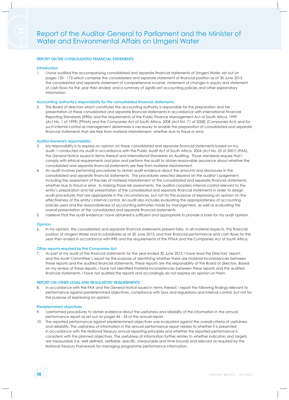# REPORT ON THE CONSOLIDATED FINANCIAL STATEMENTS

### Introduction

1. I have audited the accompanying consolidated and separate financial statements of Umgeni Water, set out on pages 120 - 173 which comprise the consolidated and separate statement of financial position as at 30 June 2013, the consolidated and separate statement of comprehensive income, statement of changes in equity and statement of cash flows for the year then ended, and a summary of significant accounting policies and other explanatory information.

### Accounting authority's responsibility for the consolidated financial statements

The Board of directors which constitutes the accounting authority is responsible for the preparation and fair presentation of these consolidated and separate financial statements in accordance with International Financial Reporting Standards (IFRSs) and the requirements of the Public Finance Management Act of South Africa, 1999 (Act No. 1 of 1999) (PFMA) and the Companies Act of South Africa, 2008 (Act No. 71 of 2008) (Companies Act) and for such internal control as management determines is necessary to enable the preparation of consolidated and separate financial statements that are free from material misstatement, whether due to fraud or error.

### Auditor-General's responsibility

- 3. My responsibility is to express an opinion on these consolidated and separate financial statements based on my audit. I conducted my audit in accordance with the Public Audit Act of South Africa, 2004 (Act No. 25 of 2001) (PAA), the *General Notice* issued in terms thereof and International Standards on Auditing. Those standards require that I comply with ethical requirements and plan and perform the audit to obtain reasonable assurance about whether the consolidated and separate financial statements are free from material misstatement.
- 4. An audit involves performing procedures to obtain audit evidence about the amounts and disclosures in the consolidated and separate financial statements. The procedures selected depend on the auditor's judgement, including the assessment of the risks of material misstatement of the consolidated and separate financial statements, whether due to fraud or error. In making those risk assessments, the auditor considers internal control relevant to the entity's preparation and fair presentation of the consolidated and separate financial statements in order to design audit procedures that are appropriate in the circumstances, but not for the purpose of expressing an opinion on the effectiveness of the entity's internal control. An audit also includes evaluating the appropriateness of accounting policies used and the reasonableness of accounting estimates made by management, as well as evaluating the overall presentation of the consolidated and separate financial statements.
- 5. I believe that the audit evidence I have obtained is sufficient and appropriate to provide a basis for my audit opinion.

### **Opinion**

6. In my opinion, the consolidated and separate financial statements present fairly, in all material respects, the financial position of Umgeni Water and its subsidiaries as at 30 June 2013, and their financial performance and cash flows for the year then ended in accordance with IFRS and the requirements of the PFMA and the Companies Act of South Africa.

### Other reports required by the Companies Act

7. As part of my audit of the financial statements for the year ended 30 June 2013, I have read the Directors' report, and the Audit Committee's report for the purpose of identifying whether there are material inconsistencies between these reports and the audited financial statements. These reports are the responsibility of the Board of directors. Based on my review of these reports, I have not identified material inconsistencies between these reports and the audited financial statements. I have not audited the reports and accordingly do not express an opinion on them.

### REPORT ON OTHER LEGAL AND REGULATORY REQUIREMENTS

8. In accordance with the PAA and the *General Notice* issued in terms thereof, I report the following findings relevant to performance against predetermined objectives, compliance with laws and regulations and internal control, but not for the purpose of expressing an opinion.

### Predetermined objectives

- 9. I performed procedures to obtain evidence about the usefulness and reliability of the information in the annual performance report as set out on pages 46 - 53 of the annual report.
- 10. The reported performance against predetermined objectives was evaluated against the overall criteria of usefulness and reliability. The usefulness of information in the annual performance report relates to whether it is presented in accordance with the National Treasury annual reporting principles and whether the reported performance is consistent with the planned objectives. The usefulness of information further relates to whether indicators and targets are measurable (i.e. well defined, verifiable, specific, measurable and time bound) and relevant as required by the National Treasury Framework for managing programme performance information.

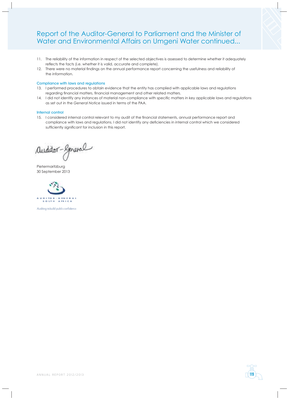# Report of the Auditor-General to Parliament and the Minister of Water and Environmental Affairs on Umgeni Water continued...

- 11. The reliability of the information in respect of the selected objectives is assessed to determine whether it adequately reflects the facts (i.e. whether it is valid, accurate and complete).
- 12. There were no material findings on the annual performance report concerning the usefulness and reliability of the information.

### Compliance with laws and regulations

- 13. I performed procedures to obtain evidence that the entity has complied with applicable laws and regulations regarding financial matters, financial management and other related matters.
- 14. I did not identify any instances of material non-compliance with specific matters in key applicable laws and regulations as set out in the *General Notice* issued in terms of the PAA.

### Internal control

15. I considered internal control relevant to my audit of the financial statements, annual performance report and compliance with laws and regulations. I did not identify any deficiencies in internal control which we considered sufficiently significant for inclusion in this report.

Auditor-General

Pietermaritzburg 30 September 2013



Auditing tabuild public confidence

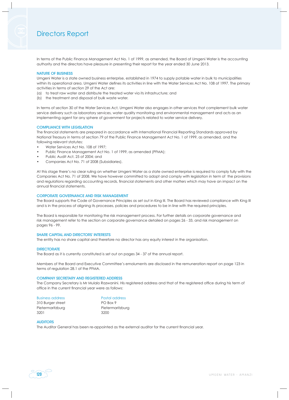In terms of the Public Finance Management Act No. 1 of 1999, as amended, the Board of Umgeni Water is the accounting authority and the directors have pleasure in presenting their report for the year ended 30 June 2013.

### NATURE OF BUSINESS

Umgeni Water is a state owned business enterprise, established in 1974 to supply potable water in bulk to municipalities within its operational area. Umgeni Water defines its activities in line with the Water Services Act No. 108 of 1997. The primary activities in terms of section 29 of the Act are:

- (a) to treat raw water and distribute the treated water via its infrastructure; and
- (b) the treatment and disposal of bulk waste water.

In terms of section 30 of the Water Services Act, Umgeni Water also engages in other services that complement bulk water service delivery such as laboratory services, water quality monitoring and environmental management and acts as an implementing agent for any sphere of government for projects related to water service delivery.

### COMPLIANCE WITH LEGISLATION

The financial statements are prepared in accordance with International Financial Reporting Standards approved by National Treasury in terms of section 79 of the Public Finance Management Act No. 1 of 1999, as amended, and the following relevant statutes:

- Water Services Act No. 108 of 1997;
- Public Finance Management Act No. 1 of 1999, as amended (PFMA);
- Public Audit Act, 25 of 2004; and
- Companies Act No. 71 of 2008 (Subsidiaries).

At this stage there's no clear ruling on whether Umgeni Water as a state owned enterprise is required to comply fully with the Companies Act No. 71 of 2008. We have however committed to adopt and comply with legislation in term of the provisions and regulations regarding accounting records, financial statements and other matters which may have an impact on the annual financial statements.

### CORPORATE GOVERNANCE AND RISK MANAGEMENT

The Board supports the Code of Governance Principles as set out in King III. The Board has reviewed compliance with King III and is in the process of aligning its processes, policies and procedures to be in line with the required principles.

The Board is responsible for monitoring the risk management process. For further details on corporate governance and risk management refer to the section on corporate governance detailed on pages 26 - 33, and risk management on pages 96 - 99.

### SHARE CAPITAL AND DIRECTORS' INTERESTS

The entity has no share capital and therefore no director has any equity interest in the organisation.

#### **DIRECTORATE**

The Board as it is currently constituted is set out on pages 34 - 37 of the annual report.

Members of the Board and Executive Committee's emoluments are disclosed in the remuneration report on page 123 in terms of regulation 28.1 of the PFMA.

### COMPANY SECRETARY AND REGISTERED ADDRESS

The Company Secretary is Mr Mulalo Razwanini. His registered address and that of the registered office during his term of office in the current financial year were as follows:

| <b>Business address</b> | Postal address   |
|-------------------------|------------------|
| 310 Burger street       | PO Box 9         |
| Pietermaritzburg        | Pietermaritzburg |
| 3201                    | 3200             |
|                         |                  |

### AUDITORS

The Auditor General has been re-appointed as the external auditor for the current financial year.

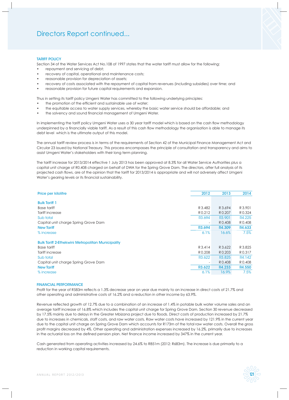# Directors Report continued...

### TARIFF POLICY

Section 34 of the Water Services Act No.108 of 1997 states that the water tariff must allow for the following:

- repayment and servicing of debt;
- recovery of capital, operational and maintenance costs;
- reasonable provision for depreciation of assets;
- recovery of costs associated with the repayment of capital from revenues (including subsidies) over time; and
- reasonable provision for future capital requirements and expansion.

Thus in setting its tariff policy Umgeni Water has committed to the following underlying principles:

- the promotion of the efficient and sustainable use of water:
- the equitable access to water supply services, whereby the basic water service should be affordable; and
- the solvency and sound financial management of Umgeni Water.

In implementing the tariff policy Umgeni Water uses a 30 year tariff model which is based on the cash flow methodology underpinned by a financially viable tariff. As a result of this cash flow methodology the organisation is able to manage its debt level which is the ultimate output of this model.

The annual tariff review process is in terms of the requirements of Section 42 of the Municipal Finance Management Act and Circular 23 issued by National Treasury. This process encompasses the principle of consultation and transparency and aims to assist Umgeni Water's stakeholders with their long term planning.

The tariff increase for 2013/2014 effective 1 July 2013 has been approved at 8.3% for all Water Service Authorities plus a capital unit charge of R0.408 charged on behalf of DWA for the Spring Grove Dam. The directors, after full analysis of its projected cash flows, are of the opinion that the tariff for 2013/2014 is appropriate and will not adversely affect Umgeni Water's gearing levels or its financial sustainability.

| Price per kilolitre                                      | 2012                     | 2013                | 2014    |
|----------------------------------------------------------|--------------------------|---------------------|---------|
|                                                          |                          |                     |         |
| <b>Bulk Tariff 1</b>                                     |                          |                     |         |
| Base tariff                                              | R 3.482                  | R 3.694             | R 3.901 |
| Tariff increase                                          | R0.212                   | R 0.207             | R0.324  |
| Sub total                                                | R <sub>3.694</sub>       | R3.901              | R4.225  |
| Capital unit charge Spring Grove Dam                     | $\overline{\phantom{0}}$ | R 0.408             | R0.408  |
| <b>New Tariff</b>                                        | R <sub>3</sub> .694      | R4.309              | R4.633  |
| % increase                                               | 6.1%                     | 16.6%               | 7.5%    |
|                                                          |                          |                     |         |
| <b>Bulk Tariff 2-Ethekwini Metropolitan Municipality</b> |                          |                     |         |
| Base tariff                                              | R 3.414                  | R 3.622             | R 3.825 |
| Tariff increase                                          | R 0.208                  | R 0.203             | R0.317  |
| Sub total                                                | R <sub>3.622</sub>       | R <sub>3</sub> .825 | R4.142  |
| Capital unit charge Spring Grove Dam                     | $\equiv$                 | R 0.408             | R0.408  |
| <b>New Tariff</b>                                        | R <sub>3</sub> .622      | R4.233              | R4.550  |
| % increase                                               | 6.1%                     | 16.9%               | 7.5%    |

### FINANCIAL PERFORMANCE

Profit for the year of R583m reflects a 1.3% decrease year on year due mainly to an increase in direct costs of 21.7% and other operating and administrative costs of 16.2% and a reduction in other income by 63.9%.

Revenue reflected growth of 12.7% due to a combination of an increase of 1.4% in potable bulk water volume sales and an average tariff increase of 16.8% which includes the capital unit charge for Spring Grove Dam. Section 30 revenue decreased by 17.5% mainly due to delays in the Greater Mbizana project due to floods. Direct costs of production increased by 21.7% due to increases in chemicals, staff costs, and raw water costs. Raw water costs have increased by 121.9% in the current year due to the capital unit charge on Spring Grove Dam which accounts for R173m of the total raw water costs. Overall the gross profit margins decreased by 4%. Other operating and administration expenses increased by 16.2%, primarily due to increases in the actuarial loss on the defined pension plan. Net finance income increased by 347% in the current year.

Cash generated from operating activities increased by 24.6% to R851m (2012: R683m). The increase is due primarily to a reduction in working capital requirements.

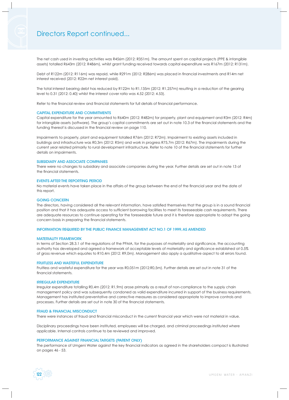# Directors Report continued...

The net cash used in investing activities was R456m (2012: R351m). The amount spent on capital projects (PPE & intangible assets) totalled R643m (2012: R486m), whilst grant funding received towards capital expenditure was R167m (2012: R131m).

Debt of R122m (2012: R116m) was repaid, while R291m (2012: R286m) was placed in financial investments and R14m net interest received (2012: R22m net interest paid).

The total interest bearing debt has reduced by R122m to R1,135m (2012: R1,257m) resulting in a reduction of the gearing level to 0.31 (2012: 0.40) whilst the interest cover ratio was 4.52 (2012: 4.53).

Refer to the financial review and financial statements for full details of financial performance.

### CAPITAL EXPENDITURE AND COMMITMENTS

Capital expenditure for the year amounted to R640m (2012: R482m) for property, plant and equipment and R3m (2012: R4m) for intangible assets (software). The group's capital commitments are set out in note 10.3 of the financial statements and the funding thereof is discussed in the financial review on page 110.

Impairments to property, plant and equipment totalled R76m (2012: R72m). Impairment to existing assets included in buildings and infrastructure was R0,3m (2012: R5m) and work in progress R75,7m (2012: R67m). The impairments during the current year related primarily to rural development infrastructure. Refer to note 10 of the financial statements for further details on impairments.

### SUBSIDIARY AND ASSOCIATE COMPANIES

There were no changes to subsidiary and associate companies during the year. Further details are set out in note 13 of the financial statements.

### EVENTS AFTER THE REPORTING PERIOD

No material events have taken place in the affairs of the group between the end of the financial year and the date of this report.

#### GOING CONCERN

The directors, having considered all the relevant information, have satisfied themselves that the group is in a sound financial position and that it has adequate access to sufficient borrowing facilities to meet its foreseeable cash requirements. There are adequate resources to continue operating for the foreseeable future and it is therefore appropriate to adopt the going concern basis in preparing the financial statements.

### INFORMATION REQUIRED BY THE PUBLIC FINANCE MANAGEMENT ACT NO.1 OF 1999, AS AMENDED

### MATERIALITY FRAMEWORK

In terms of Section 28.3.1 of the regulations of the PFMA, for the purposes of materiality and significance, the accounting authority has developed and agreed a framework of acceptable levels of materiality and significance established at 0.5% of gross revenue which equates to R10,4m (2012: R9,0m). Management also apply a qualitative aspect to all errors found.

#### FRUITLESS AND WASTEFUL EXPENDITURE

Fruitless and wasteful expenditure for the year was R0,051m (2012:R0,5m). Further details are set out in note 31 of the financial statements.

#### IRREGULAR EXPENDITURE

Irregular expenditure totalling R0,4m (2012: R1,9m) arose primarily as a result of non-compliance to the supply chain management policy and was subsequently condoned as valid expenditure incurred in support of the business requirements. Management has instituted preventative and corrective measures as considered appropriate to improve controls and processes. Further details are set out in note 30 of the financial statements.

#### FRAUD & FINANCIAL MISCONDUCT

There were instances of fraud and financial misconduct in the current financial year which were not material in value.

Disciplinary proceedings have been instituted, employees will be charged, and criminal proceedings instituted where applicable. Internal controls continue to be reviewed and improved.

### PERFORMANCE AGAINST FINANCIAL TARGETS (PARENT ONLY)

The performance of Umgeni Water against the key financial indicators as agreed in the shareholders compact is illustrated on pages 46 - 53.

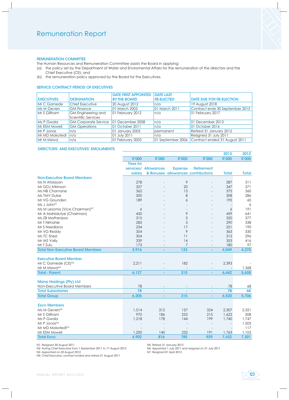### REMUNERATION COMMITTEE

- The Human Resources and Remuneration Committee assists the Board in applying:
- (a) the policy set by the Department of Water and Enviromental Affairs for the remuneration of the directors and the Chief Executive (CE); and
- (b) the remuneration policy approved by the Board for the Executives.

### SERVICE CONTRACT PERIOD OF EXECUTIVES

|                   |                             | <b>DATE FIRST APPOINTED</b> | <b>DATE LAST</b>  |                                 |
|-------------------|-----------------------------|-----------------------------|-------------------|---------------------------------|
| <b>EXECUTIVES</b> | <b>DESIGNATION</b>          | <b>BY THE BOARD</b>         | <b>RE-ELECTED</b> | <b>DATE DUE FOR RE-ELECTION</b> |
| Mr C Gamede       | Chief Executive             | 20 August 2012              | n/a               | 19 August 2018                  |
| Ms M Gevers       | <b>GM Finance</b>           | 01 March 2003               | 01 March 2011     | Contract ends 30 September 2013 |
| Mr S Gillham      | <b>GM</b> Engineering and   | 01 February 2012            | n/a               | 01 February 2017                |
|                   | Scientific Services         |                             |                   |                                 |
| Ms P Gwala        | <b>GM Corporate Service</b> | 01 December 2008            | $n/\alpha$        | 01 December 2013                |
| Mr ESM Msweli     | <b>GM Operations</b>        | 01 October 2011             | n/a               | 01 October 2016                 |
| Mr P Jonas        | n/a                         | 01 January 2003             | permanent         | Retired 31 January 2012         |
| Mr MD Mokotedi    | n/a                         | 01 July 2011                | n/a               | Resigned 31 July 2011           |
| Mr M Msiwa        | n/a                         | 01 February 2003            | 01 September 2006 | Contract ended 31 August 2011   |

### DIRECTORS' AND EXECUTIVES' EMOLUMENTS

|                                           |                          |                      |                |                                    | 2013                     | 2012         |
|-------------------------------------------|--------------------------|----------------------|----------------|------------------------------------|--------------------------|--------------|
|                                           | <b>R'000</b>             | <b>R'000</b>         | <b>R'000</b>   | <b>R'000</b>                       | <b>R'000</b>             | <b>R'000</b> |
|                                           | <b>Fees for</b>          |                      |                |                                    |                          |              |
|                                           |                          | services/ Allowances | <b>Expense</b> | <b>Retirement</b>                  |                          |              |
|                                           | salary                   |                      |                | & Bonuses allowances contributions | <b>Total</b>             | <b>Total</b> |
| <b>Non-Executive Board Members</b>        |                          |                      |                |                                    |                          |              |
| Ms N Afolayan                             | 278                      |                      | 9              |                                    | 287                      | 311          |
| Mr GDJ Atkinson                           | 327                      |                      | 20             | $\overline{a}$                     | 347                      | 371          |
| Ms NB Chamane                             | 362                      |                      | 13             |                                    | 375                      | 360          |
| Ms TMV Dube                               | 300                      |                      | 8              |                                    | 308                      | 286          |
| Mr VG Gounden                             | 189                      |                      | 6              |                                    | 195                      | 60           |
| Ms J John <sup>N1</sup>                   | $\overline{\phantom{a}}$ |                      |                |                                    | $\overline{\phantom{a}}$ | 6            |
| Ms M Lesoma (Vice Chairman) <sup>N7</sup> | 6                        |                      | $\overline{a}$ |                                    | 6                        | 191          |
| Mr A Mahlalutye (Chairman)                | 450                      |                      | 9              |                                    | 459                      | 641          |
| Ms ZB Mathenjwa                           | 315                      |                      | 5              |                                    | 320                      | 377          |
| Mr T Nkhahle                              | 285                      |                      | 5              |                                    | 290                      | 338          |
| Mr S Nxedlana                             | 234                      |                      | 17             |                                    | 251                      | 190          |
| Mr VG Reddy                               | 354                      |                      | 9              | $\overline{a}$                     | 363                      | 330          |
| Ms TC Shezi                               | 304                      |                      | 11             |                                    | 315                      | 296          |
| Mr IAS Vally                              | 339                      |                      | 14             |                                    | 353                      | 416          |
| Mr T Zulu                                 | 173                      |                      | $\overline{7}$ |                                    | 180                      | 97           |
| <b>Total Non Executive Board Members</b>  | 3,916                    |                      | 133            |                                    | 4,049                    | 4,270        |
|                                           |                          |                      |                |                                    |                          |              |
| <b>Executive Board Member</b>             |                          |                      |                |                                    |                          |              |
| Mr C Gamede (CE) <sup>N3</sup>            | 2,211                    |                      | 182            |                                    | 2,393                    |              |
| Mr M Msiwa <sup>N4</sup>                  |                          |                      |                |                                    |                          | 1,368        |
| <b>Total - Parent</b>                     | 6,127                    |                      | 315            |                                    | 6,442                    | 5,638        |
|                                           |                          |                      |                |                                    |                          |              |
| <b>Msinsi Holdings (Pty) Ltd</b>          |                          |                      |                |                                    |                          |              |
| Non-Executive Board Members               | 78                       |                      |                |                                    | 78                       | 68           |
| <b>Total Subsidiaries</b>                 | 78                       |                      |                |                                    | 78                       | 68           |
| <b>Total Group</b>                        | 6,205                    |                      | 315            | $\blacksquare$                     | 6,520                    | 5,706        |
|                                           |                          |                      |                |                                    |                          |              |
| <b>Exco Members</b>                       |                          |                      |                |                                    |                          |              |
| Ms M Gevers <sup>N2</sup>                 | 1,514                    | 312                  | 157            | 324                                | 2,307                    | 2,321        |
| Mr S Gillham                              | 970                      | 186                  | 252            | 215                                | 1,622                    | 508          |
| Ms P Gwala                                | 1,218                    | 178                  | 144            | 199                                | 1,740                    | 1,747        |
| Mr P Jonas <sup>N5</sup>                  |                          |                      |                | $\overline{\phantom{a}}$           |                          | 1,505        |
| Mr MD Mokotedi <sup>N6</sup>              |                          |                      |                |                                    |                          | 117          |
| Mr ESM Msweli                             | 1,200                    | 140                  | 232            | 191                                | 1,763                    | 1,103        |
| <b>Total Exco</b>                         | 4.902                    | 816                  | 785            | 929                                | 7.432                    | 7,301        |
|                                           |                          |                      |                |                                    |                          |              |

N1: Resigned 30 August 2011

N2: Acting Chief Executive from 1 September 2011 to 17 August 2012

N3: Appointed on 20 August 2012 N4: Chief Executive, contract ended and retired 31 August 2011 N5: Retired 31 January 2012

N6: Appointed 1 July 2011 and resigned on 31 July 2011

N7: Resigned 01 April 2012

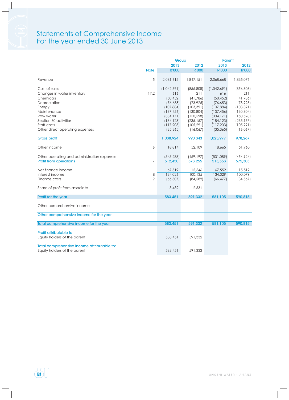# Statements of Comprehensive Income For the year ended 30 June 2013

|                                             |                | Group        |              | Parent       |            |
|---------------------------------------------|----------------|--------------|--------------|--------------|------------|
|                                             |                | 2013<br>2012 |              | 2013         | 2012       |
|                                             | <b>Note</b>    | <b>R'000</b> | <b>R'000</b> | <b>R'000</b> | R'000      |
| Revenue                                     | 5              | 2,081,615    | 1,847,151    | 2,068,668    | 1,835,075  |
| Cost of sales                               |                | (1,042,691)  | (856, 808)   | (1,042,691)  | (856, 808) |
| Changes in water inventory                  | 17.2           | 616          | 211          | 616          | 211        |
| Chemicals                                   |                | (50, 452)    | (41,786)     | (50, 452)    | (41,786)   |
| Depreciation                                |                | (76, 653)    | (73, 925)    | (76, 653)    | (73, 925)  |
| Energy                                      |                | (107, 884)   | (103, 391)   | (107, 884)   | (103, 391) |
| Maintenance                                 |                | (137, 456)   | (130, 804)   | (137, 456)   | (130, 804) |
| Raw water                                   |                | (334, 171)   | (150, 598)   | (334, 171)   | (150, 598) |
| Section 30 activities                       |                | (184, 123)   | (235, 157)   | (184, 123)   | (235, 157) |
| Staff costs                                 |                | (117, 203)   | (105, 291)   | (117, 203)   | (105, 291) |
| Other direct operating expenses             |                | (35, 365)    | (16,067)     | (35, 365)    | (16,067)   |
|                                             |                |              |              |              |            |
| <b>Gross profit</b>                         |                | 1,038,924    | 990,343      | 1,025,977    | 978,267    |
| Other income                                | 6              | 18,814       | 52,109       | 18,665       | 51,960     |
| Other operating and administration expenses |                | (545, 288)   | (469, 197)   | (531,089)    | (454, 924) |
| <b>Profit from operations</b>               | $\overline{7}$ | 512,450      | 573,255      | 513,553      | 575,303    |
| Net finance income                          |                | 67,519       | 15,546       | 67,552       | 15,512     |
| Interest income                             | $\,8\,$        | 134,026      | 100.135      | 134,029      | 100,079    |
| Finance costs                               | 9              | (66, 507)    | (84, 589)    | (66, 477)    | (84, 567)  |
|                                             |                |              |              |              |            |
| Share of profit from associate              |                | 3,482        | 2,531        |              |            |
| Profit for the year                         |                | 583,451      | 591,332      | 581,105      | 590,815    |
| Other comprehensive income                  |                |              |              |              |            |
| Other comprehensive income for the year     |                | $\omega$     | ÷,           | ÷.           |            |
| Total comprehensive income for the year     |                | 583,451      | 591,332      | 581,105      | 590,815    |
|                                             |                |              |              |              |            |
| Profit attributable to:                     |                |              |              |              |            |
| Equity holders of the parent                |                | 583,451      | 591,332      |              |            |
| Total comprehensive income attributable to: |                |              |              |              |            |
| Equity holders of the parent                |                | 583,451      | 591,332      |              |            |

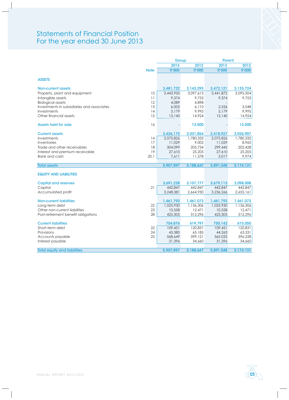# Statements of Financial Position For the year ended 30 June 2013

|                                            |             | Group        |              | Parent       |           |
|--------------------------------------------|-------------|--------------|--------------|--------------|-----------|
|                                            |             | 2013         | 2012         | 2013         | 2012      |
|                                            | <b>Note</b> | <b>R'000</b> | <b>R'000</b> | <b>R'000</b> | R'000     |
|                                            |             |              |              |              |           |
| <b>ASSETS</b>                              |             |              |              |              |           |
|                                            |             |              |              |              |           |
| <b>Non-current assets</b>                  |             | 3,481,722    | 3,143,293    | 3,472,121    | 3,133,724 |
| Property, plant and equipment              | 10          | 3,443,935    | 3,097,613    | 3,441,872    | 3,095,504 |
| Intangible assets                          | 11          | 9,374        | 9,753        | 9,374        | 9,753     |
| <b>Biological assets</b>                   | 12          | 4,089        | 4,898        |              |           |
| Investments in subsidiaries and associates | 13          | 6,005        | 6,110        | 2,556        | 3,548     |
| Investments                                | 14          | 5,179        | 9,995        | 5.179        | 9,995     |
| Other financial assets                     | 15          | 13,140       | 14,924       | 13,140       | 14,924    |
|                                            |             |              |              |              |           |
| Assets held for sale                       | 16          |              | 13,500       |              | 13,500    |
| <b>Current assets</b>                      |             | 2,426,175    | 2,031,854    | 2,418,927    | 2,026,907 |
| Investments                                | 14          | 2,075,826    | 1,780,335    | 2,075,826    | 1,780,335 |
| Inventories                                | 17          | 11,029       | 9,002        | 11,029       | 8,965     |
| Trade and other receivables                | 18          | 304,099      | 205,734      | 299,445      | 202,428   |
| Interest and premium receivable            | 19          | 27,610       | 25,205       | 27,610       | 25,205    |
| <b>Bank and cash</b>                       | 20.1        | 7,611        | 11,578       | 5,017        | 9,974     |
|                                            |             |              |              |              |           |
| <b>Total assets</b>                        |             | 5,907,897    | 5,188,647    | 5,891,048    | 5,174,131 |
|                                            |             |              |              |              |           |
| <b>EQUITY AND LIABILITIES</b>              |             |              |              |              |           |
|                                            |             |              |              |              |           |
| <b>Capital and reserves</b>                |             | 3,691,228    | 3,107,777    | 3,679,113    | 3,098,008 |
| Capital                                    | 21          | 442.847      | 442.847      | 442.847      | 442,847   |
| Accumulated profit                         |             | 3,248,381    | 2,664,930    | 3,236,266    | 2,655,161 |
| <b>Non-current liabilities</b>             |             | 1,461,793    | 1,461,073    | 1,461,793    | 1,461,073 |
| Long-term debt                             | 22          | 1,025,930    | 1,136,306    | 1,025,930    | 1,136,306 |
| Other non-current liabilities              | 23          | 10,558       | 12,471       | 10,558       | 12,471    |
| Post-retirement benefit obligations        | 28          | 425,305      | 312,296      | 425,305      | 312,296   |
|                                            |             |              |              |              |           |
| <b>Current liabilities</b>                 |             | 754,876      | 619,797      | 750,142      | 615,050   |
| Short-term debt                            | 22          | 109,451      | 120,831      | 109,451      | 120,831   |
| Provisions                                 | 24          | 45,380       | 65,185       | 44,263       | 63,331    |
| Accounts payable                           | 25          | 568,649      | 399,121      | 565,032      | 396,228   |
| Interest payable                           |             | 31,396       | 34,660       | 31,396       | 34,660    |
|                                            |             |              |              |              |           |
| <b>Total equity and liabilities</b>        |             | 5,907,897    | 5,188,647    | 5,891,048    | 5,174,131 |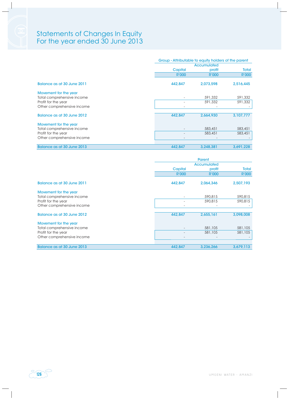|                            | Group - Attributable to equity holders of the parent |           |              |  |
|----------------------------|------------------------------------------------------|-----------|--------------|--|
|                            | Accumulated                                          |           |              |  |
|                            | Capital                                              | profit    | <b>Total</b> |  |
|                            | R'000                                                | R'000     | R'000        |  |
| Balance as at 30 June 2011 | 442.847                                              | 2,073,598 | 2,516,445    |  |
| Movement for the year      |                                                      |           |              |  |
| Total comprehensive income |                                                      | 591,332   | 591,332      |  |
| Profit for the year        |                                                      | 591,332   | 591,332      |  |
| Other comprehensive income |                                                      |           |              |  |
| Balance as at 30 June 2012 | 442.847                                              | 2,664,930 | 3,107,777    |  |
| Movement for the year      |                                                      |           |              |  |
| Total comprehensive income | $\overline{\phantom{a}}$                             | 583,451   | 583,451      |  |
| Profit for the year        |                                                      | 583,451   | 583,451      |  |
| Other comprehensive income |                                                      |           |              |  |
| Balance as at 30 June 2013 | 442,847                                              | 3,248,381 | 3,691,228    |  |

|                            | <b>Parent</b> |           |           |  |
|----------------------------|---------------|-----------|-----------|--|
|                            | Accumulated   |           |           |  |
|                            | Capital       | profit    | Total     |  |
|                            | R'000         | R'000     | R'000     |  |
| Balance as at 30 June 2011 | 442.847       | 2,064,346 | 2,507,193 |  |
| Movement for the year      |               |           |           |  |
| Total comprehensive income |               | 590.815   | 590,815   |  |
| Profit for the year        |               | 590,815   | 590,815   |  |
| Other comprehensive income |               |           |           |  |
| Balance as at 30 June 2012 | 442.847       | 2,655,161 | 3,098,008 |  |
|                            |               |           |           |  |
| Movement for the year      |               |           |           |  |
| Total comprehensive income |               | 581,105   | 581,105   |  |
| Profit for the year        |               | 581,105   | 581,105   |  |
| Other comprehensive income |               |           |           |  |
|                            |               |           |           |  |
| Balance as at 30 June 2013 | 442.847       | 3,236,266 | 3,679,113 |  |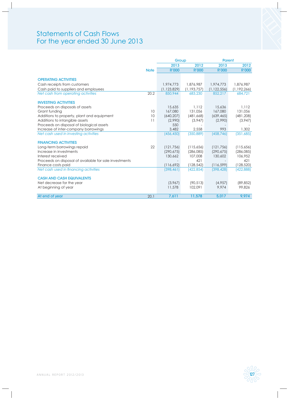# Statements of Cash Flows For the year ended 30 June 2013

|                                                        |             | Group         |               | Parent        |               |
|--------------------------------------------------------|-------------|---------------|---------------|---------------|---------------|
|                                                        |             | 2013          | 2012          | 2013          | 2012          |
|                                                        | <b>Note</b> | <b>R'000</b>  | <b>R'000</b>  | <b>R'000</b>  | <b>R'000</b>  |
|                                                        |             |               |               |               |               |
| <b>OPERATING ACTIVITIES</b>                            |             |               |               |               |               |
| Cash receipts from customers                           |             | 1,974,773     | 1,876,987     | 1,974,773     | 1,876,987     |
| Cash paid to suppliers and employees                   |             | (1, 123, 829) | (1, 193, 757) | (1, 122, 556) | (1, 192, 266) |
| Net cash from operating activities                     | 20.2        | 850.944       | 683,230       | 852,217       | 684,721       |
| <b>INVESTING ACTIVITIES</b>                            |             |               |               |               |               |
| Proceeds on disposals of assets                        |             | 15,635        | 1.112         | 15,636        | 1,112         |
| Grant funding                                          | 10          | 167,080       | 131,056       | 167,080       | 131,056       |
| Additions to property, plant and equipment             | 10          | (640, 207)    | (481,668)     | (639, 465)    | (481, 208)    |
| Additions to intangible assets                         | 11          | (2,990)       | (3,947)       | (2,990)       | (3,947)       |
| Proceeds on disposal of biological assets              |             | 550           |               |               |               |
| Increase of inter-company borrowings                   |             | 3,482         | 2,558         | 993           | 1,302         |
| Net cash used in investing activities                  |             | (456, 450)    | (350, 889)    | (458, 746)    | (351,685)     |
| <b>FINANCING ACTIVITIES</b>                            |             |               |               |               |               |
| Long-term borrowings repaid                            | 22          | (121, 756)    | (115, 656)    | (121, 756)    | (115,656)     |
| Increase in investments                                |             | (290, 675)    | (286, 085)    | (290, 675)    | (286, 085)    |
| Interest received                                      |             | 130,662       | 107,008       | 130,602       | 106,952       |
| Proceeds on disposal of available for sale investments |             |               | 421           |               | 421           |
| Finance costs paid                                     |             | (116, 692)    | (128, 542)    | (116, 599)    | (128, 520)    |
| Net cash used in financing activities                  |             | (398, 461)    | (422, 854)    | (398, 428)    | (422, 888)    |
|                                                        |             |               |               |               |               |
| <b>CASH AND CASH EQUIVALENTS</b>                       |             |               |               |               |               |
| Net decrease for the year                              |             | (3,967)       | (90, 513)     | (4,957)       | (89, 852)     |
| At beginning of year                                   |             | 11,578        | 102,091       | 9.974         | 99.826        |
| At end of year                                         | 20.1        | 7,611         | 11,578        | 5,017         | 9,974         |

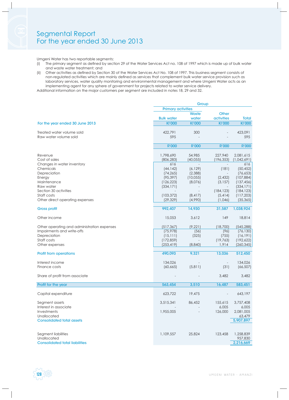Umgeni Water has two reportable segments:

- (i) The primary segment as defined by section 29 of the Water Services Act no. 108 of 1997 which is made up of bulk water and waste water treatment; and
- (ii) Other activities as defined by Section 30 of the Water Services Act No. 108 of 1997. This business segment consists of non-regulated activities which are mainly defined as services that complement bulk water service provision such as laboratory services, water quality monitoring and environmental management and where Umgeni Water acts as an implementing agent for any sphere of government for projects related to water service delivery.

Additional information on the major customers per segment are included in notes 18, 29 and 32.

|                                             | Group                     |               |               |               |  |
|---------------------------------------------|---------------------------|---------------|---------------|---------------|--|
|                                             | <b>Primary activities</b> |               |               |               |  |
|                                             |                           | Waste         | Other         |               |  |
|                                             | <b>Bulk water</b>         | water         | activities    | Total         |  |
| For the year ended 30 June 2013             | <b>KI'000</b>             | <b>KI'000</b> | <b>KI'000</b> | <b>KI'000</b> |  |
| Treated water volume sold                   | 422,791                   | 300           |               | 423,091       |  |
| Raw water volume sold                       | 595                       |               |               | 595           |  |
|                                             |                           |               |               |               |  |
|                                             | <b>R'000</b>              | <b>R'000</b>  | <b>R'000</b>  | <b>R'000</b>  |  |
| Revenue                                     | 1,798,690                 | 54,985        | 227,940       | 2,081,615     |  |
| Cost of sales                               | (806, 283)                | (40, 055)     | (196, 353)    | (1,042,691)   |  |
| Changes in water inventory                  | 616                       |               |               | 616           |  |
| Chemicals                                   | (44, 142)                 | (6, 129)      | (181)         | (50, 452)     |  |
| Depreciation                                | (74, 265)                 | (2,388)       |               | (76, 653)     |  |
| Energy                                      | (95, 397)                 | (10, 055)     | (2,432)       | (107, 884)    |  |
| Maintenance                                 | (126, 223)                | (8,076)       | (3, 157)      | (137, 456)    |  |
| Raw water                                   | (334, 171)                |               |               | (334, 171)    |  |
| Section 30 activities                       |                           |               | (184, 123)    | (184, 123)    |  |
| Staff costs                                 | (103, 372)                | (8, 417)      | (5, 414)      | (117,203)     |  |
| Other direct operating expenses             | (29, 329)                 | (4,990)       | (1,046)       | (35, 365)     |  |
| <b>Gross profit</b>                         | 992,407                   | 14,930        | 31,587        | 1,038,924     |  |
| Other income                                | 15,053                    | 3,612         | 149           | 18,814        |  |
| Other operating and administration expenses | (517, 367)                | (9, 221)      | (18,700)      | (545, 288)    |  |
| Impairments and write-offs                  | (75, 978)                 | (56)          | (96)          | (76, 130)     |  |
| Depreciation                                | (15, 111)                 | (325)         | (755)         | (16, 191)     |  |
| Staff costs                                 | (172, 859)                |               | (19, 763)     | (192, 622)    |  |
| Other expenses                              | (253, 419)                | (8, 840)      | 1,914         | (260, 345)    |  |
|                                             | 490,093                   | 9,321         | 13,036        |               |  |
| <b>Profit from operations</b>               |                           |               |               | 512,450       |  |
| Interest income                             | 134,026                   |               |               | 134,026       |  |
| Finance costs                               | (60, 665)                 | (5,811)       | (31)          | (66, 507)     |  |
| Share of profit from associate              |                           |               | 3,482         | 3,482         |  |
| Profit for the year                         | 563,454                   | 3,510         | 16,487        | 583,451       |  |
|                                             |                           |               |               |               |  |
| Capital expenditure                         | 623,722                   | 19,475        |               | 643,197       |  |
| Segment assets                              | 3,515,341                 | 86,452        | 155,615       | 3,757,408     |  |
| Interest in associate                       |                           |               | 6,005         | 6,005         |  |
| Investments                                 | 1,955,005                 |               | 126,000       | 2,081,005     |  |
| Unallocated                                 |                           |               |               | 63,479        |  |
| <b>Consolidated total assets</b>            |                           |               |               | 5,907,897     |  |
|                                             |                           |               |               |               |  |
| Segment liabilities                         | 1,109,557                 | 25,824        | 123,458       | 1,258,839     |  |
| Unallocated                                 |                           |               |               | 957,830       |  |
| <b>Consolidated total liabilities</b>       |                           |               |               | 2,216,669     |  |

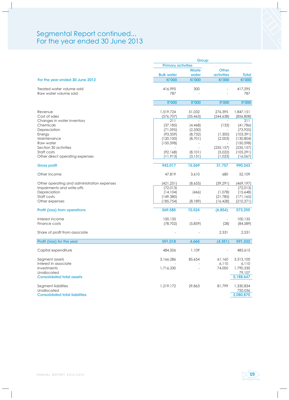# Segmental Report continued... For the year ended 30 June 2013

|                                             | Group                     |               |                          |               |  |
|---------------------------------------------|---------------------------|---------------|--------------------------|---------------|--|
|                                             | <b>Primary activities</b> |               |                          |               |  |
|                                             |                           | Waste         | Other                    |               |  |
|                                             | <b>Bulk water</b>         | water         | activities               | Total         |  |
| For the year ended 30 June 2012             | <b>KI'000</b>             | <b>KI'000</b> | <b>KI'000</b>            | <b>KI'000</b> |  |
| Treated water volume sold                   | 416,995                   | 300           |                          | 417,295       |  |
| Raw water volume sold                       | 787                       |               |                          | 787           |  |
|                                             | <b>R'000</b>              | <b>R'000</b>  | <b>R'000</b>             | <b>R'000</b>  |  |
| Revenue                                     | 1,519,724                 | 51,032        | 276.395                  | 1,847,151     |  |
| Cost of sales                               | (576, 707)                | (35, 463)     | (244, 638)               | (856, 808)    |  |
| Changes in water inventory                  | 211                       |               |                          | 211           |  |
| Chemicals                                   | (37, 185)                 | (4, 468)      | (133)                    | (41,786)      |  |
| Depreciation                                | (71, 595)                 | (2, 330)      |                          | (73, 925)     |  |
| Energy                                      | (93, 359)                 | (8, 732)      | (1,300)                  | (103, 391)    |  |
| Maintenance                                 | (120, 100)                | (8,701)       | (2,003)                  | (130, 804)    |  |
| Raw water                                   | (150, 598)                |               |                          | (150, 598)    |  |
| Section 30 activities                       |                           |               | (235, 157)               | (235, 157)    |  |
| Staff costs                                 | (92, 168)                 | (8, 101)      | (5,022)                  | (105, 291)    |  |
| Other direct operating expenses             | (11, 913)                 | (3, 131)      | (1,023)                  | (16,067)      |  |
|                                             |                           |               |                          |               |  |
| Gross profit                                | 943,017                   | 15,569        | 31,757                   | 990,343       |  |
| Other income                                | 47,819                    | 3,610         | 680                      | 52,109        |  |
| Other operating and administration expenses | (421, 251)                | (8,655)       | (39, 291)                | (469, 197)    |  |
| Impairments and write-offs                  | (72, 013)                 |               |                          | (72, 013)     |  |
| Depreciation                                | (14, 104)                 | (466)         | (1,078)                  | (15,648)      |  |
| Staff costs                                 | (149, 380)                |               | (21, 785)                | (171, 165)    |  |
| Other expenses                              | (185, 754)                | (8, 189)      | (16, 428)                | (210, 371)    |  |
| Profit (loss) from operations               | 569,585                   | 10,524        | (6, 854)                 | 573,255       |  |
| Interest income                             | 100,135                   |               | $\overline{\phantom{a}}$ | 100,135       |  |
| Finance costs                               | (78, 702)                 | (5,859)       | (28)                     | (84, 589)     |  |
| Share of profit from associate              |                           |               | 2,531                    | 2,531         |  |
| Profit (loss) for the year                  | 591,018                   | 4,665         | (4, 351)                 | 591,332       |  |
| Capital expenditure                         | 484,506                   | 1,109         |                          | 485,615       |  |
| Segment assets                              | 3,166,286                 | 85,654        | 61,160                   | 3,313,100     |  |
| Interest in associate                       |                           |               | 6,110                    | 6,110         |  |
| Investments                                 | 1,716,330                 |               | 74,000                   | 1,790,330     |  |
| Unallocated                                 |                           |               |                          | 79,107        |  |
| <b>Consolidated total assets</b>            |                           |               |                          | 5,188,647     |  |
|                                             |                           |               |                          |               |  |
| Segment liabilities                         | 1,219,172                 | 29,863        | 81,799                   | 1,330,834     |  |
| Unallocated                                 |                           |               |                          | 750,036       |  |
| <b>Consolidated total liabilities</b>       |                           |               |                          | 2,080,870     |  |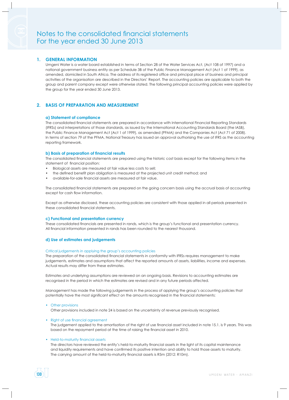# **1. GENERAL INFORMATION**

Umgeni Water is a water board established in terms of Section 28 of the Water Services Act, (Act 108 of 1997) and a national government business entity as per Schedule 3B of the Public Finance Management Act (Act 1 of 1999), as amended, domiciled in South Africa. The address of its registered office and principal place of business and principal activities of the organisation are described in the Directors' Report. The accounting policies are applicable to both the group and parent company except were otherwise stated. The following principal accounting policies were applied by the group for the year ended 30 June 2013.

# **2. BASIS OF PREPARATION AND MEASUREMENT**

### **a) Statement of compliance**

The consolidated financial statements are prepared in accordance with International Financial Reporting Standards (IFRSs) and interpretations of those standards, as issued by the International Accounting Standards Board (the IASB), the Public Finance Management Act (Act 1 of 1999), as amended (PFMA) and the Companies Act (Act 71 of 2008). In terms of section 79 of the PFMA, National Treasury has issued an approval authorising the use of IFRS as the accounting reporting framework.

### **b) Basis of preparation of financial results**

The consolidated financial statements are prepared using the historic cost basis except for the following items in the statement of financial position:

- Biological assets are measured at fair value less costs to sell;
- the defined benefit plan obligation is measured at the projected unit credit method; and
- available-for-sale financial assets are measured at fair value.

The consolidated financial statements are prepared on the going concern basis using the accrual basis of accounting except for cash flow information.

Except as otherwise disclosed, these accounting policies are consistent with those applied in all periods presented in these consolidated financial statements.

### **c) Functional and presentation currency**

These consolidated financials are presented in rands, which is the group's functional and presentation currency. All financial information presented in rands has been rounded to the nearest thousand.

### **d) Use of estimates and judgements**

### Critical judgements in applying the group's accounting policies

The preparation of the consolidated financial statements in conformity with IFRSs requires management to make judgements, estimates and assumptions that affect the reported amounts of assets, liabilities, income and expenses. Actual results may differ from these estimates.

Estimates and underlying assumptions are reviewed on an ongoing basis. Revisions to accounting estimates are recognised in the period in which the estimates are revised and in any future periods affected.

Management has made the following judgements in the process of applying the group's accounting policies that potentially have the most significant effect on the amounts recognised in the financial statements:

### • Other provisions

Other provisions included in note 24 is based on the uncertainty of revenue previously recognised.

### • Right of use financial agreement

The judgement applied to the amortisation of the right of use financial asset included in note 15.1. is 9 years. This was based on the repayment period at the time of raising the financial asset in 2010.

### • Held-to-maturity financial assets

The directors have reviewed the entity's held-to-maturity financial assets in the light of its capital maintenance and liquidity requirements and have confirmed its positive intention and ability to hold those assets to maturity. The carrying amount of the held-to-maturity financial assets is R5m (2012: R10m).

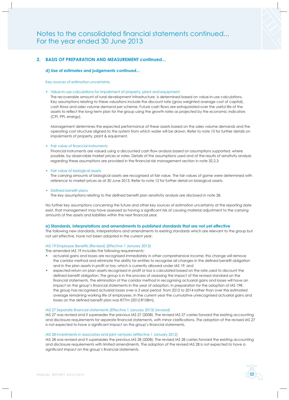# **2. BASIS OF PREPARATION AND MEASUREMENT continued...**

# **d) Use of estimates and judgements continued...**

Key sources of estimation uncertainty

#### • Value-in-use calculations for impairment of property, plant and equipment

The recoverable amount of rural development infrastructure is determined based on value-in-use calculations. Key assumptions relating to these valuations include the discount rate (gross weighted average cost of capital), cash flows and sales volume demand per scheme. Future cash flows are extrapolated over the useful life of the assets to reflect the long-term plan for the group using the growth rates as projected by the economic indicators (CPI, PPI, energy).

Management determines the expected performance of these assets based on the sales volume demands and the operating cost structure aligned to the system from which water will be drawn. Refer to note 10 for further details on impairments of property, plant & equipment.

### • Fair value of financial instruments

Financial instruments are valued using a discounted cash flow analysis based on assumptions supported, where possible, by observable market prices or rates. Details of the assumptions used and of the results of sensitivity analysis regarding these assumptions are provided in the financial risk management section in note 32.2.3

#### • Fair value of biological assets

The carrying amounts of biological assets are recognised at fair value. The fair values of game were determined with reference to market prices as at 30 June 2013. Refer to note 12 for further detail on biological assets.

#### • Defined benefit plans

The key assumptions relating to the defined benefit plan sensitivity analysis are disclosed in note 28.

No further key assumptions concerning the future and other key sources of estimation uncertainty at the reporting date exist, that management may have assessed as having a significant risk of causing material adjustment to the carrying amounts of the assets and liabilities within the next financial year.

### **e) Standards, interpretations and amendments to published standards that are not yet effective**

The following new standards, interpretations and amendments to existing standards which are relevant to the group but not yet effective, have not been adopted in the current year:

### IAS 19 Employee Benefits (Revised) (Effective 1 January 2013)

The amended IAS 19 includes the following requirements:

- actuarial gains and losses are recognised immediately in other comprehensive income; this change will remove the corridor method and eliminate the ability for entities to recognise all changes in the defined benefit obligation and in the plan assets in profit or loss, which is currently allowed under IAS 19; and
- expected return on plan assets recognised in profit or loss is calculated based on the rate used to discount the defined benefit obligation. The group is in the process of assessing the impact of the revised standard on the financial statements. The elimination of the corridor method in recognising actuarial gains and losses will have an impact on the group's financial statements in the year of adoption. In preparation for the adoption of IAS 19R, the group has recognised actuarial losses over a 3 year period from 2012 to 2014 rather than over the estimated average remaining working life of employees. In the current year the cumulative unrecognised actuarial gains and losses on the defined benefit plan was R77m (2012:R108m).

#### IAS 27 Separate financial statements (Effective 1 January 2013) (revised)

IAS 27 was revised and it supersedes the previous IAS 27 (2008). The revised IAS 27 carries forward the existing accounting and disclosure requirements for separate financial statements, with minor clarifications. The adoption of the revised IAS 27 is not expected to have a significant impact on the group's financial statements.

### IAS 28 Investments in associates and joint ventures (effective 1 January 2012)

IAS 28 was revised and it supersedes the previous IAS 28 (2008). The revised IAS 28 carries forward the existing accounting and disclosure requirements with limited amendments. The adoption of the revised IAS 28 is not expected to have a significant impact on the group's financial statements.

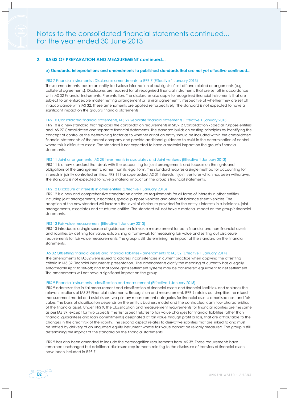# **2. BASIS OF PREPARATION AND MEASUREMENT continued...**

### **e) Standards, interpretations and amendments to published standards that are not yet effective continued...**

### IFRS 7 Financial Instruments : Disclosures amendments to IFRS 7 (Effective 1 January 2013)

These amendments require an entity to disclose information about rights of set-off and related arrangements (e.g., collateral agreements). Disclosures are required for all recognised financial instruments that are set off in accordance with IAS 32 Financial Instruments: Presentation. The disclosures also apply to recognised financial instruments that are subject to an enforceable master netting arrangement or 'similar agreement', irrespective of whether they are set off in accordance with IAS 32. These amendments are applied retrospectively. The standard is not expected to have a significant impact on the group's financial statements.

### IFRS 10 Consolidated financial statements, IAS 27 Separate financial statements (Effective 1 January 2013)

IFRS 10 is a new standard that replaces the consolidation requirements in SIC-12 Consolidation - Special Purpose entities and IAS 27 Consolidated and separate financial statements. The standard builds on existing principles by identifying the concept of control as the determining factor as to whether or not an entity should be included within the consolidated financial statements of the parent company and provide additional guidance to assist in the determination of control where this is difficult to assess. The standard is not expected to have a material impact on the group's financial statements.

### IFRS 11 Joint arrangements, IAS 28 Investments in associates and Joint ventures (Effective 1 January 2013)

IFRS 11 is a new standard that deals with the accounting for joint arrangements and focuses on the rights and obligations of the arrangements, rather than its legal form. The standard requires a single method for accounting for interests in jointly controlled entities. IFRS 11 has superseded IAS 31 Interests in joint ventures which has been withdrawn. The standard is not expected to have a material impact on the group's financial statements.

### IFRS 12 Disclosure of interests in other entities (Effective 1 January 2013)

IFRS 12 is a new and comprehensive standard on disclosure requirements for all forms of interests in other entities, including joint arrangements, associates, special purpose vehicles and other off balance sheet vehicles. The adoption of the new standard will increase the level of disclosure provided for the entity's interests in subsidiaries, joint arrangements, associates and structured entities. The standard will not have a material impact on the group's financial statements.

### IFRS 13 Fair value measurement (Effective 1 January 2013)

IFRS 13 introduces a single source of guidance on fair value measurement for both financial and non-financial assets and liabilities by defining fair value, establishing a framework for measuring fair value and setting out disclosure requirements for fair value measurements. The group is still determining the impact of the standard on the financial statements.

#### IAS 32 Offsetting financial assets and financial liabilities - amendments to IAS 32 (Effective 1 January 2014)

The amendments to IAS32 were issued to address inconsistencies in current practice when applying the offsetting criteria in IAS 32 Financial instruments: presentation. The amendments clarify the meaning of currently has a legally enforceable right to set-off; and that some gross settlement systems may be considered equivalent to net settlement. The amendments will not have a significant impact on the group.

### IFRS 9 Financial instruments - classifi cation and measurement (Effective 1 January 2015)

IFRS 9 addresses the initial measurement and classification of financial assets and financial liabilities, and replaces the relevant sections of IAS 39 Financial instruments: Recognition and measurement. IFRS 9 retains but simplifies the mixed measurement model and establishes two primary measurement categories for financial assets: amortised cost and fair value. The basis of classification depends on the entity's business model and the contractual cash flow characteristics of the financial asset. Under IFRS 9, the classification and measurement requirements for financial liabilities are the same as per IAS 39, except for two aspects. The first aspect relates to fair value changes for financial liabilities (other than financial guarantees and loan commitments) designated at fair value through profit or loss, that are attributable to the changes in the credit risk of the liability. The second aspect relates to derivative liabilities that are linked to and must be settled by delivery of an unquoted equity instrument whose fair value cannot be reliably measured. The group is still determining the impact of the standard on the financial statements.

IFRS 9 has also been amended to include the derecognition requirements from IAS 39. These requirements have remained unchanged but additional disclosure requirements relating to the disclosure of transfers of financial assets have been included in IFRS 7.

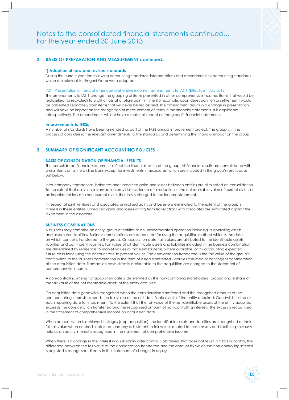# **2. BASIS OF PREPARATION AND MEASUREMENT continued...**

### **f) Adoption of new and revised standards**

During the current year the following accounting standards, interpretations and amendments to accounting standards which are relevant to Umgeni Water were adopted:

### IAS 1 Presentation of items of other comprehensive income - amendments to IAS 1 (Effective 1 July 2012)

The amendments to IAS 1 change the grouping of items presented in other comprehensive income. Items that would be reclassified (or recycled) to profit or loss at a future point in time (for example, upon derecognition or settlement) would be presented separately from items that will never be reclassified. The amendment results in a change in presentation and will have no impact on the recognition or measurement of items in the financial statements. It is applicable retrospectively. The amendments will not have a material impact on the group's financial statements.

### **Improvements to IFRSs**

A number of standards have been amended as part of the IASB annual improvement project. The group is in the process of considering the relevant amendments to the standards and determining the financial impact on the group.

# **3. SUMMARY OF SIGNIFICANT ACCOUNTING POLICIES**

# **BASIS OF CONSOLIDATION OF FINANCIAL RESULTS**

The consolidated financial statements reflect the financial results of the group. All financial results are consolidated with similar items on a line by line basis except for investments in associates, which are included in the group's results as set out below.

Inter-company transactions, balances and unrealised gains and losses between entities are eliminated on consolidation. To the extent that a loss on a transaction provides evidence of a reduction in the net realisable value of current assets or an impairment loss of a non-current asset, that loss is charged to the income statement.

In respect of joint ventures and associates, unrealised gains and losses are eliminated to the extent of the group's interest in these entities. Unrealised gains and losses arising from transactions with associates are eliminated against the investment in the associate.

### **BUSINESS COMBINATIONS**

A Business may comprise an entity, group of entities or an unincorporated operation including its operating assets and associated liabilities. Business combinations are accounted for using the acquisition method which is the date on which control is transferred to the group. On acquisition date, fair values are attributed to the identifiable assets, liabilities and contingent liabilities. Fair value of all identifiable assets and liabilities included in the business combination are determined by reference to market values of those similar items, where available, or by discounting expected future cash flows using the discount rate to present values. The consideration transferred is the fair value of the group's contribution to the business combination in the form of assets transferred, liabilities assumed or contingent consideration at the acquisition date. Transaction costs directly attributable to the acquisition are charged to the statement of comprehensive income.

A non-controlling interest at acquisition date is determined as the non-controlling shareholders' proportionate share of the fair value of the net identifiable assets of the entity acquired.

On acquisition date goodwill is recognised when the consideration transferred and the recognised amount of the non-controlling interests exceeds the fair value of the net identifiable assets of the entity acquired. Goodwill is tested at each reporting date for impairment. To the extent that the fair value of the net identifiable assets of the entity acquired exceeds the consideration transferred and the recognised amount of non-controlling interests, the excess is recognised in the statement of comprehensive income on acquisition date.

When an acquisition is achieved in stages (step acquisition), the identifiable assets and liabilities are recognised at their full fair value when control is obtained, and any adjustment to fair values related to these assets and liabilities previously held as an equity interest is recognised in the statement of comprehensive income.

When there is a change in the interest in a subsidiary after control is obtained, that does not result in a loss in control, the difference between the fair value of the consideration transferred and the amount by which the non-controlling interest is adjusted is recognised directly in the statement of changes in equity.

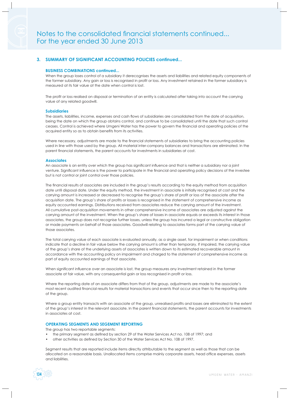# **3. SUMMARY OF SIGNIFICANT ACCOUNTING POLICIES continued...**

# **BUSINESS COMBINATIONS continued...**

When the group loses control of a subsidiary it derecognises the assets and liabilities and related equity components of the former subsidiary. Any gain or loss is recognised in profit or loss. Any investment retained in the former subsidiary is measured at its fair value at the date when control is lost.

The profit or loss realised on disposal or termination of an entity is calculated after taking into account the carrying value of any related goodwill.

### **Subsidiaries**

The assets, liabilities, income, expenses and cash flows of subsidiaries are consolidated from the date of acquisition, being the date on which the group obtains control, and continue to be consolidated until the date that such control ceases. Control is achieved where Umgeni Water has the power to govern the financial and operating policies of the acquired entity so as to obtain benefits from its activities.

Where necessary, adjustments are made to the financial statements of subsidiaries to bring the accounting policies used in line with those used by the group. All material inter-company balances and transactions are eliminated. In the parent financial statements, the parent accounts for investments in subsidiaries at cost.

### **Associates**

An associate is an entity over which the group has significant influence and that is neither a subsidiary nor a joint venture. Significant influence is the power to participate in the financial and operating policy decisions of the investee but is not control or joint control over those policies.

The financial results of associates are included in the group's results according to the equity method from acquisition date until disposal date. Under the equity method, the investment in associate is initially recognised at cost and the carrying amount is increased or decreased to recognise the group's share of profit or loss of the associate after the acquisition date. The group's share of profits or losses is recognised in the statement of comprehensive income as equity accounted earnings. Distributions received from associates reduce the carrying amount of the investment. All cumulative post-acquisition movements in other comprehensive income of associates are adjusted against the carrying amount of the investment. When the group's share of losses in associate equals or exceeds its interest in those associates, the group does not recognise further losses, unless the group has incurred a legal or constructive obligation or made payments on behalf of those associates. Goodwill relating to associates forms part of the carrying value of those associates.

The total carrying value of each associate is evaluated annually, as a single asset, for impairment or when conditions indicate that a decline in fair value below the carrying amount is other than temporary. If impaired, the carrying value of the group's share of the underlying assets of associates is written down to its estimated recoverable amount in accordance with the accounting policy on impairment and charged to the statement of comprehensive income as part of equity accounted earnings of that associate.

When significant influence over an associate is lost, the group measures any investment retained in the former associate at fair value, with any consequential gain or loss recognised in profit or loss.

Where the reporting date of an associate differs from that of the group, adjustments are made to the associate's most recent audited financial results for material transactions and events that occur since then to the reporting date of the group.

Where a group entity transacts with an associate of the group, unrealised profits and losses are eliminated to the extent of the group's interest in the relevant associate. In the parent financial statements, the parent accounts for investments in associates at cost.

### **OPERATING SEGMENTS AND SEGEMENT REPORTING**

The group has two reportable segments:

- the primary segment as defined by section 29 of the Water Services Act no. 108 of 1997; and
- other activities as defined by Section 30 of the Water Services Act No. 108 of 1997.

Segment results that are reported include items directly attributable to the segment as well as those that can be allocated on a reasonable basis. Unallocated items comprise mainly corporate assets, head office expenses, assets and liabilities.

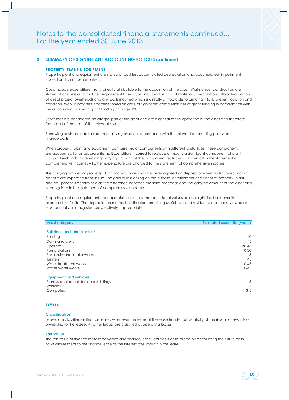# **3. SUMMARY OF SIGNIFICANT ACCOUNTING POLICIES continued...**

# **PROPERTY, PLANT & EQUIPMENT**

Property, plant and equipment are stated at cost less accumulated depreciation and accumulated impairment losses. Land is not depreciated.

Costs include expenditure that is directly attributable to the acquisition of the asset. Works under construction are stated at cost less accumulated impairment losses. Cost includes the cost of materials, direct labour, allocated portion of direct project overheads and any costs incurred which is directly attributable to bringing it to its present location and condition. Work in progress is commissioned on date of significant completion net of grant funding in accordance with the accounting policy on grant funding on page 138.

Servitudes are considered an integral part of the asset and are essential to the operation of the asset and therefore forms part of the cost of the relevant asset.

Borrowing costs are capitalised on qualifying assets in accordance with the relevant accounting policy on finance costs.

When property, plant and equipment comprise major components with different useful lives, these components are accounted for as separate items. Expenditure incurred to replace or modify a significant component of plant is capitalised and any remaining carrying amount of the component replaced is written off in the statement of comprehensive income. All other expenditure are charged to the statement of comprehensive income.

The carrying amount of property plant and equipment will be derecognised on disposal or when no future economic benefits are expected from its use. The gain or loss arising on the disposal or retirement of an item of property, plant and equipment is determined as the difference between the sales proceeds and the carrying amount of the asset and is recognised in the statement of comprehensive income.

Property, plant and equipment are depreciated to its estimated residual values on a straight line basis over its expected useful life. The depreciation methods, estimated remaining useful lives and residual values are reviewed at least annually and adjusted prospectively if appropriate.

| <b>Asset category</b>                   | <b>Estimated useful life (years)</b> |
|-----------------------------------------|--------------------------------------|
|                                         |                                      |
| <b>Buildings and Infrastructure</b>     |                                      |
| <b>Buildings</b>                        | 40                                   |
| Dams and weirs                          | 45                                   |
| Pipelines                               | $30 - 45$                            |
| Pump stations                           | $10 - 30$                            |
| Reservoirs and intake works             | 45                                   |
| Tunnels                                 | 45                                   |
| Water treatment works                   | $10 - 45$                            |
| Waste water works                       | $10 - 45$                            |
| <b>Equipment and vehicles</b>           |                                      |
| Plant & equipment, furniture & fittings | 5                                    |
| Vehicles                                | 5                                    |
| Computers                               | $3 - 5$                              |

### **LEASES**

### **Classifi cation**

Leases are classified as finance leases whenever the terms of the lease transfer substantially all the risks and rewards of ownership to the lessee. All other leases are classified as operating leases.

### **Fair value**

The fair value of finance lease receivables and finance lease liabilities is determined by discounting the future cash flows with respect to the finance lease at the interest rate implicit in the lease.

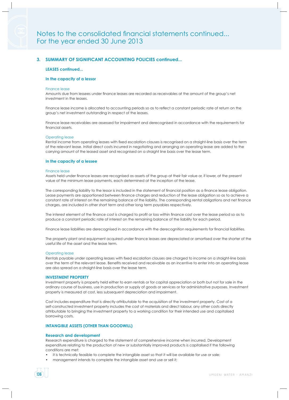## **LEASES continued...**

## **In the capacity of a lessor**

### Finance lease

Amounts due from lessees under finance leases are recorded as receivables at the amount of the group's net investment in the leases.

Finance lease income is allocated to accounting periods so as to reflect a constant periodic rate of return on the group's net investment outstanding in respect of the leases.

Finance lease receivables are assessed for impairment and derecognised in accordance with the requirements for financial assets.

### Operating lease

Rental income from operating leases with fixed escalation clauses is recognised on a straight-line basis over the term of the relevant lease. Initial direct costs incurred in negotiating and arranging an operating lease are added to the carrying amount of the leased asset and recognised on a straight line basis over the lease term.

## **In the capacity of a lessee**

### Finance lease

Assets held under finance leases are recognised as assets of the group at their fair value or, if lower, at the present value of the minimum lease payments, each determined at the inception of the lease.

The corresponding liability to the lessor is included in the statement of financial position as a finance lease obligation. Lease payments are apportioned between finance charges and reduction of the lease obligation so as to achieve a constant rate of interest on the remaining balance of the liability. The corresponding rental obligations and net finance charges, are included in other short term and other long term payables respectively.

The interest element of the finance cost is charged to profit or loss within finance cost over the lease period so as to produce a constant periodic rate of interest on the remaining balance of the liability for each period.

Finance lease liabilities are derecognised in accordance with the derecognition requirements for financial liabilities.

The property plant and equipment acquired under finance leases are depreciated or amortised over the shorter of the useful life of the asset and the lease term.

#### Operating lease

Rentals payable under operating leases with fixed escalation clauses are charged to income on a straight-line basis over the term of the relevant lease. Benefits received and receivable as an incentive to enter into an operating lease are also spread on a straight-line basis over the lease term.

### **INVESTMENT PROPERTY**

Investment property is property held either to earn rentals or for capital appreciation or both but not for sale in the ordinary course of business, use in production or supply of goods or services or for administrative purposes. Investment property is measured at cost, less subsequent depreciation and impairment.

Cost includes expenditure that is directly attributable to the acquisition of the investment property. Cost of a self-constructed investment property includes the cost of materials and direct labour, any other costs directly attributable to bringing the investment property to a working condition for their intended use and capitalised borrowing costs.

## **INTANGIBLE ASSETS (OTHER THAN GOODWILL)**

### **Research and development**

Research expenditure is charged to the statement of comprehensive income when incurred. Development expenditure relating to the production of new or substantially improved products is capitalised if the following conditions are met:

- it is technically feasible to complete the intangible asset so that it will be available for use or sale;
- management intends to complete the intangible asset and use or sell it;

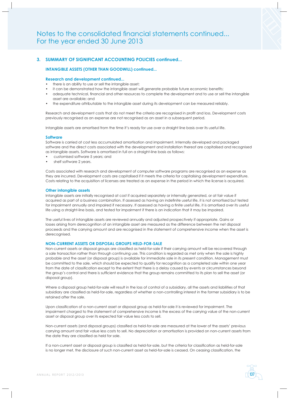# **INTANGIBLE ASSETS (OTHER THAN GOODWILL) continued...**

### **Research and development continued...**

- there is an ability to use or sell the intangible asset;
- it can be demonstrated how the intangible asset will generate probable future economic benefits;
- adequate technical, financial and other resources to complete the development and to use or sell the intangible asset are available; and
- the expenditure attributable to the intangible asset during its development can be measured reliably.

Research and development costs that do not meet the criteria are recognised in profit and loss. Development costs previously recognised as an expense are not recognised as an asset in a subsequent period.

Intangible assets are amortised from the time it's ready for use over a straight line basis over its useful life.

### **Software**

Software is carried at cost less accumulated amortisation and impairment. Internally developed and packaged software and the direct costs associated with the development and installation thereof are capitalised and recognised as intangible assets. Software is amortised in full on a straight-line basis as follows:

- customised software 5 years; and
- shelf software 2 years.

Costs associated with research and development of computer software programs are recognised as an expense as they are incurred. Development costs are capitalised if it meets the criteria for capitalising development expenditure. Costs relating to the acquisition of licenses are treated as an expense in the period in which the license is acquired.

## **Other intangible assets**

Intangible assets are initially recognised at cost if acquired separately or internally generated, or at fair value if acquired as part of a business combination. If assessed as having an indefinite useful life, it is not amortised but tested for impairment annually and impaired if necessary. If assessed as having a finite useful life, it is amortised over its useful life using a straight-line basis, and tested for impairment if there is an indication that it may be impaired.

The useful lives of intangible assets are reviewed annually and adjusted prospectively if appropriate. Gains or losses arising from derecognition of an intangible asset are measured as the difference between the net disposal proceeds and the carrying amount and are recognised in the statement of comprehensive income when the asset is derecognised.

## **NON-CURRENT ASSETS OR DISPOSAL GROUPS HELD-FOR-SALE**

Non-current assets or disposal groups are classified as held-for-sale if their carrying amount will be recovered through a sale transaction rather than through continuing use. This condition is regarded as met only when the sale is highly probable and the asset (or disposal group) is available for immediate sale in its present condition. Management must be committed to the sale, which should be expected to qualify for recognition as a completed sale within one year from the date of classification except to the extent that there is a delay caused by events or circumstances beyond the group's control and there is sufficient evidence that the group remains committed to its plan to sell the asset (or disposal group).

Where a disposal group held-for-sale will result in the loss of control of a subsidiary, all the assets and liabilities of that subsidiary are classified as held-for-sale, regardless of whether a non-controlling interest in the former subsidiary is to be retained after the sale.

Upon classification of a non-current asset or disposal group as held-for-sale it is reviewed for impairment. The impairment charged to the statement of comprehensive income is the excess of the carrying value of the non-current asset or disposal group over its expected fair value less costs to sell.

Non-current assets (and disposal groups) classified as held-for-sale are measured at the lower of the assets' previous carrying amount and fair value less costs to sell. No depreciation or amortisation is provided on non-current assets from the date they are classified as held for sale.

If a non-current asset or disposal group is classified as held-for-sale, but the criteria for classification as held-for-sale is no longer met, the disclosure of such non-current asset as held-for-sale is ceased. On ceasing classification, the

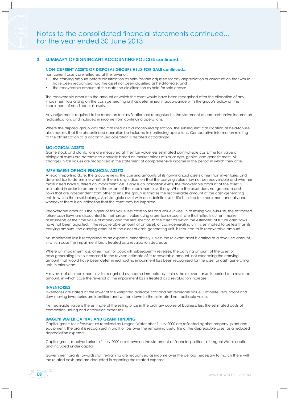## **NON-CURRENT ASSETS OR DISPOSAL GROUPS HELD-FOR-SALE continued...**

non-current assets are reflected at the lower of:

- the carrying amount before classification as held-for-sale adjusted for any depreciation or amortisation that would
- have been recognised had the asset not been classified as held-for-sale; and
- the recoverable amount at the date the classification as held-for-sale ceases.

The recoverable amount is the amount at which the asset would have been recognised after the allocation of any impairment loss arising on the cash generating unit as determined in accordance with the group's policy on the impairment of non-financial assets.

Any adjustments required to be made on reclassification are recognised in the statement of comprehensive income on reclassification, and included in income from continuing operations.

Where the disposal group was also classified as a discontinued operation, the subsequent classification as held-for-use also requires that the discontinued operation be included in continuing operations. Comparative information relating to the classification as a discontinued operation is restated accordingly.

## **BIOLOGICAL ASSETS**

Game stock and plantations are measured at their fair value less estimated point-of-sale costs. The fair value of biological assets are determined annually based on market prices of similar age, genies, and genetic merit. All changes in fair values are recognised in the statement of comprehensive income in the period in which they arise.

## **IMPAIRMENT OF NON-FINANCIAL ASSETS**

At each reporting date, the group reviews the carrying amounts of its non-financial assets other than inventories and deferred tax to determine whether there is any indication that the carrying value may not be recoverable and whether those assets have suffered an impairment loss. If any such indication exists, the recoverable amount of the asset is estimated in order to determine the extent of the impairment loss, if any. Where the asset does not generate cash flows that are independent from other assets, the group estimates the recoverable amount of the cash-generating unit to which the asset belongs. An intangible asset with an indefinite useful life is tested for impairment annually and whenever there is an indication that the asset may be impaired.

Recoverable amount is the higher of fair value less costs to sell and value-in-use. In assessing value-in-use, the estimated future cash flows are discounted to their present value using a pre-tax discount rate that reflects current market assessments of the time value of money and the risks specific to the asset for which the estimates of future cash flows have not been adjusted. If the recoverable amount of an asset, or cash-generating unit, is estimated to be less than its carrying amount, the carrying amount of the asset or cash-generating unit, is reduced to its recoverable amount.

An impairment loss is recognised as an expense immediately, unless the relevant asset is carried at a revalued amount, in which case the impairment loss is treated as a revaluation decrease.

Where an impairment loss, other than for goodwill, subsequently reverses, the carrying amount of the asset or cash-generating unit is increased to the revised estimate of its recoverable amount, not exceeding the carrying amount that would have been determined had no impairment loss been recognised for the asset or cash generating unit, in prior years.

A reversal of an impairment loss is recognised as income immediately, unless the relevant asset is carried at a revalued amount, in which case the reversal of the impairment loss is treated as a revaluation increase.

### **INVENTORIES**

Inventories are stated at the lower of the weighted average cost and net realisable value. Obsolete, redundant and slow-moving inventories are identified and written down to the estimated net realisable value.

Net realisable value is the estimate of the selling price in the ordinary course of business, less the estimated costs of completion, selling and distribution expenses.

### **UMGENI WATER CAPITAL AND GRANT FUNDING**

Capital grants for infrastructure received by Umgeni Water after 1 July 2000 are reflected against property, plant and equipment. The grant is recognised in profit or loss over the remaining useful life of the depreciable asset as a reduced depreciation expense.

Capital grants received prior to 1 July 2000 are shown on the statement of financial position as Umgeni Water capital and included under capital.

Government grants towards staff re-training are recognised as income over the periods necessary to match them with the related costs and are deducted in reporting the related expense.

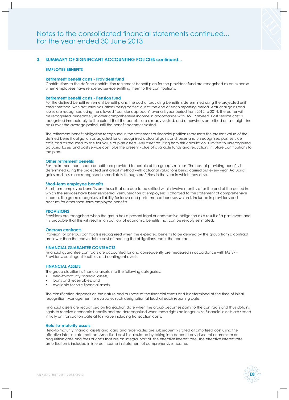## **EMPLOYEE BENEFITS**

## **Retirement benefit costs - Provident fund**

Contributions to the defined contribution retirement benefit plan for the provident fund are recognised as an expense when employees have rendered service entitling them to the contributions.

## **Retirement benefit costs - Pension fund**

For the defined benefit retirement benefit plans, the cost of providing benefits is determined using the projected unit credit method, with actuarial valuations being carried out at the end of each reporting period. Actuarial gains and losses are recognised using the allowed "corridor approach" over a 3 year period from 2012 to 2014, thereafter will be recognised immediately in other comprehensive income in accordance with IAS 19 revised. Past service cost is recognised immediately to the extent that the benefits are already vested, and otherwise is amortised on a straight line basis over the average period until the benefit becomes vested.

The retirement benefit obligation recognised in the statement of financial position represents the present value of the defined benefit obligation as adjusted for unrecognised actuarial gains and losses and unrecognised past service cost, and as reduced by the fair value of plan assets. Any asset resulting from this calculation is limited to unrecognised actuarial losses and past service cost, plus the present value of available funds and reductions in future contributions to the plan.

### **Other retirement benefits**

Post-retirement healthcare benefits are provided to certain of the group's retirees. The cost of providing benefits is determined using the projected unit credit method with actuarial valuations being carried out every year. Actuarial gains and losses are recognised immediately through profit/loss in the year in which they arise.

### **Short-term employee benefits**

Short-term employee benefits are those that are due to be settled within twelve months after the end of the period in which the services have been rendered. Remuneration of employees is charged to the statement of comprehensive income. The group recognises a liability for leave and performance bonuses which is included in provisions and accrues for other short-term employee benefits.

### **PROVISIONS**

Provisions are recognised when the group has a present legal or constructive obligation as a result of a past event and it is probable that this will result in an outflow of economic benefits that can be reliably estimated.

### **Onerous contracts**

Provision for onerous contracts is recognised when the expected benefits to be derived by the group from a contract are lower than the unavoidable cost of meeting the obligations under the contract.

### **FINANCIAL GUARANTEE CONTRACTS**

Financial guarantee contracts are accounted for and consequently are measured in accordance with IAS 37 - Provisions, contingent liabilities and contingent assets.

### **FINANCIAL ASSETS**

The aroup classifies its financial assets into the following categories:

- held-to-maturity financial assets;
- loans and receivables; and
- available-for-sale financial assets.

The classification depends on the nature and purpose of the financial assets and is determined at the time of initial recognition. Management re-evaluates such designation at least at each reporting date.

Financial assets are recognised on transaction date when the group becomes party to the contracts and thus obtains rights to receive economic benefits and are derecognised when those rights no longer exist. Financial assets are stated initially on transaction date at fair value including transaction costs.

### **Held-to-maturity assets**

Held-to-maturity financial assets and loans and receivables are subsequently stated at amortised cost using the effective interest rate method. Amortised cost is calculated by taking into account any discount or premium on acquisition date and fees or costs that are an integral part of the effective interest rate. The effective interest rate amortisation is included in interest income in statement of comprehensive income.

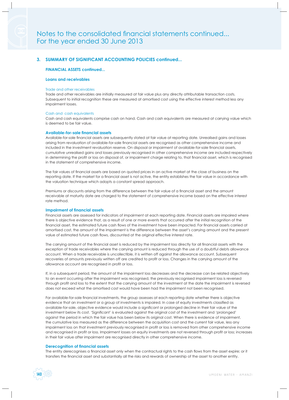# **FINANCIAL ASSETS continued...**

### **Loans and receivables**

### Trade and other receivables

Trade and other receivables are initially measured at fair value plus any directly attributable transaction costs. Subsequent to initial recognition these are measured at amortised cost using the effective interest method less any impairment losses.

## Cash and cash equivalents

Cash and cash equivalents comprise cash on hand. Cash and cash equivalents are measured at carrying value which is deemed to be fair value.

## **Available-for-sale financial assets**

Available-for-sale financial assets are subsequently stated at fair value at reporting date. Unrealised gains and losses arising from revaluation of available-for-sale financial assets are recognised as other comprehensive income and included in the investment revaluation reserve. On disposal or impairment of available-for-sale financial assets, cumulative unrealised gains and losses previously recognised in other comprehensive income are included respectively in determining the profit or loss on disposal of, or impairment charge relating to, that financial asset, which is recognised in the statement of comprehensive income.

The fair values of financial assets are based on quoted prices in an active market at the close of business on the reporting date. If the market for a financial asset is not active, the entity establishes the fair value in accordance with the valuation technique which adopts a constant spread approach.

Premiums or discounts arising from the difference between the fair value of a financial asset and the amount receivable at maturity date are charged to the statement of comprehensive income based on the effective interest rate method.

## **Impairment of financial assets**

Financial assets are assessed for indicators of impairment at each reporting date. Financial assets are impaired where there is objective evidence that, as a result of one or more events that occurred after the initial recognition of the financial asset, the estimated future cash flows of the investment have been impacted. For financial assets carried at amortised cost, the amount of the impairment is the difference between the asset's carrying amount and the present value of estimated future cash flows, discounted at the original effective interest rate.

The carrying amount of the financial asset is reduced by the impairment loss directly for all financial assets with the exception of trade receivables where the carrying amount is reduced through the use of a doubtful debts allowance account. When a trade receivable is uncollectible, it is written off against the allowance account. Subsequent recoveries of amounts previously written off are credited to profit or loss. Changes in the carrying amount of the allowance account are recognised in profit or loss.

If, in a subsequent period, the amount of the impairment loss decreases and the decrease can be related objectively to an event occurring after the impairment was recognised, the previously recognised impairment loss is reversed through profit and loss to the extent that the carrying amount of the investment at the date the impairment is reversed does not exceed what the amortised cost would have been had the impairment not been recognised.

For available-for-sale financial investments, the group assesses at each reporting date whether there is objective evidence that an investment or a group of investments is impaired. In case of equity investments classified as available-for-sale, objective evidence would include a significant or prolonged decline in their fair value of the investment below its cost. 'Significant' is evaluated against the original cost of the investment and 'prolonged' against the period in which the fair value has been below its original cost. When there is evidence of impairment, the cumulative loss measured as the difference between the acquisition cost and the current fair value, less any impairment loss on that investment previously recognised in profit or loss is removed from other comprehensive income and recognised in profit or loss. Impairment losses on equity investments are not reversed through profit or loss; increases in their fair value after impairment are recognised directly in other comprehensive income.

## **Derecognition of financial assets**

The entity derecognises a financial asset only when the contractual rights to the cash flows from the asset expire; or it transfers the financial asset and substantially all the risks and rewards of ownership of the asset to another entity.

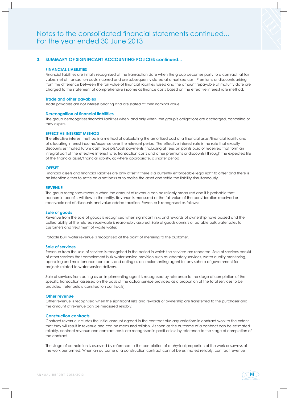## **FINANCIAL LIABILITIES**

Financial liabilities are initially recognised at the transaction date when the group becomes party to a contract, at fair value, net of transaction costs incurred and are subsequently stated at amortised cost. Premiums or discounts arising from the difference between the fair value of financial liabilities raised and the amount repayable at maturity date are charged to the statement of comprehensive income as finance costs based on the effective interest rate method.

### **Trade and other payables**

Trade payables are not interest bearing and are stated at their nominal value.

### **Derecognition of financial liabilities**

The group derecognises financial liabilities when, and only when, the group's obligations are discharged, cancelled or they expire.

### **EFFECTIVE INTEREST METHOD**

The effective interest method is a method of calculating the amortised cost of a financial asset/financial liability and of allocating interest income/expense over the relevant period. The effective interest rate is the rate that exactly discounts estimated future cash receipts/cash payments (including all fees on points paid or received that form an integral part of the effective interest rate, transaction costs and other premiums or discounts) through the expected life of the financial asset/financial liability, or, where appropriate, a shorter period.

### **OFFSET**

Financial assets and financial liabilities are only offset if there is a currently enforceable legal right to offset and there is an intention either to settle on a net basis or to realise the asset and settle the liability simultaneously.

### **REVENUE**

The group recognises revenue when the amount of revenue can be reliably measured and it is probable that economic benefits will flow to the entity. Revenue is measured at the fair value of the consideration received or receivable net of discounts and value added taxation. Revenue is recognised as follows:

#### **Sale of goods**

Revenue from the sale of goods is recognised when significant risks and rewards of ownership have passed and the collectability of the related receivable is reasonably assured. Sale of goods consists of potable bulk water sales to customers and treatment of waste water.

Potable bulk water revenue is recognised at the point of metering to the customer.

### **Sale of services**

Revenue from the sale of services is recognised in the period in which the services are rendered. Sale of services consist of other services that complement bulk water service provision such as laboratory services, water quality monitoring, operating and maintenance contracts and acting as an implementing agent for any sphere of government for projects related to water service delivery.

Sale of services from acting as an implementing agent is recognised by reference to the stage of completion of the specific transaction assessed on the basis of the actual service provided as a proportion of the total services to be provided (refer below construction contracts).

#### **Other revenue**

Other revenue is recognised when the significant risks and rewards of ownership are transferred to the purchaser and the amount of revenue can be measured reliably.

## **Construction contracts**

Contract revenue includes the initial amount agreed in the contract plus any variations in contract work to the extent that they will result in revenue and can be measured reliably. As soon as the outcome of a contract can be estimated reliably, contract revenue and contract costs are recognised in profit or loss by reference to the stage of completion of the contract.

The stage of completion is assessed by reference to the completion of a physical proportion of the work or surveys of the work performed. When an outcome of a construction contract cannot be estimated reliably, contract revenue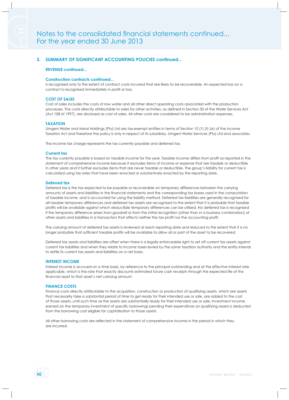## **REVENUE continued...**

## **Construction contracts continued...**

is recognised only to the extent of contract costs incurred that are likely to be recoverable. An expected loss on a contract is recognised immediately in profit or loss.

## **COST OF SALES**

Cost of sales includes the costs of raw water and all other direct operating costs associated with the production processes. The costs directly attributable to sales for other activities, as defined in Section 30 of the Water Services Act (Act 108 of 1997), are disclosed as cost of sales. All other costs are considered to be administration expenses.

## **TAXATION**

Umgeni Water and Msinsi Holdings (Pty) Ltd are tax-exempt entities in terms of Section 10 (1) (t) (ix) of the Income Taxation Act and therefore the policy is only in respect of its subsidiary, Umgeni Water Services (Pty) Ltd and associates.

The income tax charge represents the tax currently payable and deferred tax.

### **Current tax**

The tax currently payable is based on taxable income for the year. Taxable income differs from profit as reported in the statement of comprehensive income because it excludes items of income or expense that are taxable or deductible in other years and it further excludes items that are never taxable or deductible. The group's liability for current tax is calculated using tax rates that have been enacted or substantively enacted by the reporting date.

### **Deferred tax**

Deferred tax is the tax expected to be payable or recoverable on temporary differences between the carrying amounts of assets and liabilities in the financial statements and the corresponding tax bases used in the computation of taxable income, and is accounted for using the liability method. Deferred tax liabilities are generally recognised for all taxable temporary differences and deferred tax assets are recognised to the extent that it is probable that taxable profits will be available against which deductible temporary differences can be utilised. No deferred tax is recognised if the temporary difference arises from goodwill or from the initial recognition (other than in a business combination) of other assets and liabilities in a transaction that affects neither the tax profit nor the accounting profit.

The carrying amount of deferred tax assets is reviewed at each reporting date and reduced to the extent that it is no longer probable that sufficient taxable profits will be available to allow all or part of the asset to be recovered.

Deferred tax assets and liabilities are offset when there is a legally enforceable right to set off current tax assets against current tax liabilities and when they relate to income taxes levied by the same taxation authority and the entity intends to settle its current tax assets and liabilities on a net basis.

## **INTEREST INCOME**

Interest income is accrued on a time basis, by reference to the principal outstanding and at the effective interest rate applicable, which is the rate that exactly discounts estimated future cash receipts through the expected life of the financial asset to that asset's net carrying amount.

### **FINANCE COSTS**

Finance costs directly attributable to the acquisition, construction or production of qualifying assets, which are assets that necessarily take a substantial period of time to get ready for their intended use or sale, are added to the cost of those assets, until such time as the assets are substantially ready for their intended use or sale. Investment income earned on the temporary investment of specific borrowings pending their expenditure on qualifying assets is deducted from the borrowing cost eligible for capitalisation to those assets.

All other borrowing costs are reflected in the statement of comprehensive income in the period in which they are incurred.

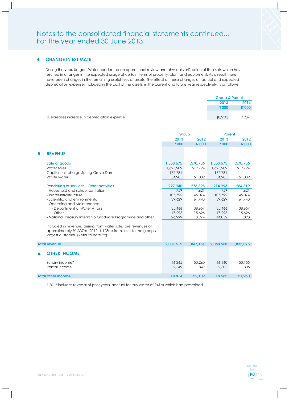# **4. CHANGE IN ESTIMATE**

During the year, Umgeni Water conducted an operational review and physical verification of its assets which has resulted in changes in the expected usage of certain items of property, plant and equipment. As a result there have been changes in the remaining useful lives of assets. The effect of these changes on actual and expected depreciation expense, included in the cost of the assets, in the current and future year respectively, is as follows:

|                                             |          | <b>Group &amp; Parent</b> |
|---------------------------------------------|----------|---------------------------|
|                                             | 2013     | 2014                      |
|                                             | R'000    | R'000                     |
|                                             |          |                           |
| (Decrease) increase in depreciation expense | (8, 230) | 2,237                     |

|    |                                                                                                                                                                         | Group        |           | Parent       |              |
|----|-------------------------------------------------------------------------------------------------------------------------------------------------------------------------|--------------|-----------|--------------|--------------|
|    |                                                                                                                                                                         | 2013         | 2012      | 2013         | 2012         |
|    |                                                                                                                                                                         | <b>R'000</b> | R'000     | <b>R'000</b> | <b>R'000</b> |
| 5. | <b>REVENUE</b>                                                                                                                                                          |              |           |              |              |
|    | Sale of goods                                                                                                                                                           | 1,853,675    | 1,570,756 | 1,853,675    | 1,570,756    |
|    | Water sales                                                                                                                                                             | 1,625,909    | 1,519,724 | 1,625,909    | 1,519,724    |
|    | Capital unit charge Spring Grove Dam                                                                                                                                    | 172,781      |           | 172,781      |              |
|    | Waste water                                                                                                                                                             | 54,985       | 51,032    | 54,985       | 51,032       |
|    | Rendering of services - Other activities                                                                                                                                | 227,940      | 276,395   | 214,993      | 264,319      |
|    | - Household and school sanitation                                                                                                                                       | 759          | 1.621     | 759          | 1,621        |
|    | - Water Infrastructure                                                                                                                                                  | 107.792      | 145.074   | 107.792      | 145,074      |
|    | - Scientific and environmental                                                                                                                                          | 39,629       | 61,443    | 39,629       | 61,443       |
|    | - Operating and Maintenance:                                                                                                                                            |              |           |              |              |
|    | - Department of Water Affairs                                                                                                                                           | 35,466       | 38,657    | 35,466       | 38,657       |
|    | - Other                                                                                                                                                                 | 17.295       | 15.626    | 17.295       | 15,626       |
|    | - National Treasury Internship Graduate Programme and other                                                                                                             | 26,999       | 13,974    | 14,052       | 1,898        |
|    | Included in revenues arising from water sales are revenues of<br>approximately R1,337m (2012: 1,128m) from sales to the group's<br>largest customer. (Refer to note 29) |              |           |              |              |
|    | <b>Total revenue</b>                                                                                                                                                    | 2,081,615    | 1,847,151 | 2,068,668    | 1,835,075    |
| 6. | <b>OTHER INCOME</b>                                                                                                                                                     |              |           |              |              |
|    | Sundry income*                                                                                                                                                          | 16,265       | 50,260    | 16,160       | 50,155       |
|    | Rental income                                                                                                                                                           | 2,549        | 1,849     | 2,505        | 1,805        |
|    | <b>Total other income</b>                                                                                                                                               | 18,814       | 52,109    | 18,665       | 51,960       |

\* 2012 includes reversal of prior years' accrual for raw water of R41m which had prescribed.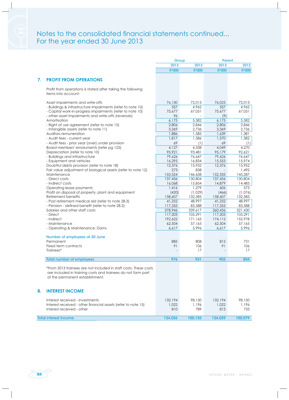|          |                                                                                                                                  | Group             |                   | Parent            |                   |
|----------|----------------------------------------------------------------------------------------------------------------------------------|-------------------|-------------------|-------------------|-------------------|
|          |                                                                                                                                  | 2013              | 2012              | 2013              | 2012              |
|          |                                                                                                                                  | <b>R'000</b>      | <b>R'000</b>      | <b>R'000</b>      | <b>R'000</b>      |
|          |                                                                                                                                  |                   |                   |                   |                   |
|          | <b>PROFIT FROM OPERATIONS</b>                                                                                                    |                   |                   |                   |                   |
| 7.<br>8. |                                                                                                                                  |                   |                   |                   |                   |
|          | Profit from operations is stated after taking the following<br>items into account:                                               |                   |                   |                   |                   |
|          |                                                                                                                                  |                   |                   |                   |                   |
|          | Asset impairments and write-offs                                                                                                 | 76,130            | 72.013            | 76,025            | 72,013            |
|          | - Buildings & infrastructure impairments (refer to note 10)                                                                      | 357               | 4,962             | 357               | 4.962             |
|          | - Capital work-in-progress impairments (refer to note 10)                                                                        | 75,677            | 67.051            | 75,677            | 67,051            |
|          | - other asset impairments and write-offs (reversals)                                                                             | 96                |                   | (9)               |                   |
|          | Amortisation                                                                                                                     | 6,175             | 5,582             | 6,175             | 5,582             |
|          | - Right of use agreement (refer to note 15)                                                                                      | 2,806             | 2,846<br>2,736    | 2,806             | 2,846             |
|          | - Intangible assets (refer to note 11)<br>Auditors remuneration                                                                  | 3,369<br>1,886    | 1,585             | 3,369<br>1,639    | 2,736<br>1,381    |
|          | - Audit fees - current year                                                                                                      | 1,817             | 1,586             | 1,570             | 1,382             |
|          | - Audit fees - prior year (over) under provision                                                                                 | 69                | (1)               | 69                | (1)               |
|          | Board members' emoluments (refer pg 123)                                                                                         | 4,127             | 4,338             | 4,049             | 4,270             |
|          | Depreciation (refer to note 10)                                                                                                  | 95,921            | 93,481            | 95,179            | 92.621            |
|          | - Buildings and infrastructure                                                                                                   | 79,626            | 76,647            | 79,626            | 76,647            |
|          | - Equipment and vehicles                                                                                                         | 16,295            | 16,834            | 15,553            | 15,974            |
|          | Doubtful debts provision (refer to note 18)                                                                                      | 12,376            | 15,952            | 12,376            | 15,952            |
|          | Fair value adjustment of biological assets (refer to note 12)                                                                    | 273               | 838               |                   | 1,492             |
|          | Maintenance                                                                                                                      | 153,524           | 146,658           | 152,335           | 145,287           |
|          | - Direct costs<br>- Indirect costs                                                                                               | 137,456<br>16,068 | 130,804<br>15,854 | 137,456<br>14,879 | 130,804<br>14,483 |
|          | Operating lease payments                                                                                                         | 1,416             | 1,279             | 606               | 573               |
|          | Profit on disposal of property, plant and equipment                                                                              | (420)             | (1,029)           | (466)             | (1,076)           |
|          | Retirement benefits                                                                                                              | 158,607           | 132,585           | 158,607           | 132,585           |
|          | - Post retirement medical aid (refer to note 28.3)                                                                               | 41,252            | 48,997            | 41,252            | 48,997            |
|          | - Pension - defined benefit (refer to note 28.2)                                                                                 | 117,355           | 83,588            | 117,355           | 83,588            |
|          | Salaries and other staff costs                                                                                                   | 378,946           | 339,617           | 360,436           | 321,430           |
|          | - Direct                                                                                                                         | 117,203           | 105,291           | 117,203           | 105,291           |
|          | - Indirect                                                                                                                       | 192,622           | 171,165           | 174,112           | 152,978           |
|          | - Maintenance                                                                                                                    | 62,504            | 57,165            | 62,504<br>6,617   | 57,165            |
|          | - Operating & Maintenance: Dams                                                                                                  | 6,617             | 5,996             |                   | 5,996             |
|          | Number of employees at 30 June                                                                                                   |                   |                   |                   |                   |
|          | Permanent                                                                                                                        | 885               | 808               | 812               | 731               |
|          | Fixed term contracts                                                                                                             | 91                | 106               | 91                | 106               |
|          | Trainees*                                                                                                                        |                   | 17                |                   | 17                |
|          |                                                                                                                                  |                   |                   |                   |                   |
|          | <b>Total number of employees</b>                                                                                                 | 976               | 931               | 903               | 854               |
|          |                                                                                                                                  |                   |                   |                   |                   |
|          | *From 2013 trainees are not included in staff costs. These costs<br>are included in training costs and trainees do not form part |                   |                   |                   |                   |
|          | of the permanent establishment.                                                                                                  |                   |                   |                   |                   |
|          |                                                                                                                                  |                   |                   |                   |                   |
|          |                                                                                                                                  |                   |                   |                   |                   |
|          | <b>INTEREST INCOME</b>                                                                                                           |                   |                   |                   |                   |
|          |                                                                                                                                  |                   |                   |                   |                   |
|          | Interest received - investments                                                                                                  | 132,194           | 98,150            | 132,194           | 98,150            |
|          | Interest received - other financial assets (refer to note 15)                                                                    | 1,022             | 1,196             | 1,022             | 1,196             |
|          | Interest received - other                                                                                                        | 810               | 789               | 813               | 733               |
|          |                                                                                                                                  |                   |                   |                   |                   |
|          | <b>Total interest income</b>                                                                                                     | 134,026           | 100,135           | 134,029           | 100,079           |

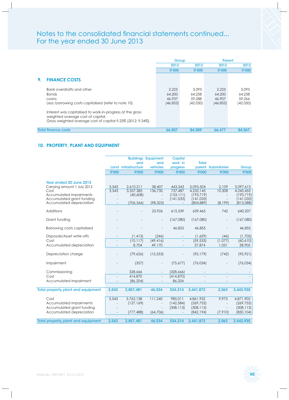|    |                                                                                                                                                                                                              | Group                                  |                                       | Parent                                 |                                       |  |
|----|--------------------------------------------------------------------------------------------------------------------------------------------------------------------------------------------------------------|----------------------------------------|---------------------------------------|----------------------------------------|---------------------------------------|--|
|    |                                                                                                                                                                                                              | 2013                                   | 2012                                  | 2013                                   | 2012                                  |  |
|    |                                                                                                                                                                                                              | <b>R'000</b>                           | <b>R'000</b>                          | <b>R'000</b>                           | R'000                                 |  |
| 9. | <b>FINANCE COSTS</b>                                                                                                                                                                                         |                                        |                                       |                                        |                                       |  |
|    | Bank overdrafts and other<br><b>Bonds</b><br>Loans<br>Less: borrowing costs capitalised (refer to note 10)<br>Interest was capitalised to work-in-progress at the gross<br>weighted average cost of capital. | 2.225<br>64,200<br>46,937<br>(46, 855) | 3.093<br>64.258<br>59,288<br>(42,050) | 2.225<br>64,200<br>46,907<br>(46, 855) | 3.093<br>64,258<br>59.266<br>(42,050) |  |
|    | Gross weighted average cost of capital 9.23% (2012: 9.34%).                                                                                                                                                  |                                        |                                       |                                        |                                       |  |
|    | <b>Total finance costs</b>                                                                                                                                                                                   | 66,507                                 | 84,589                                | 66,477                                 | 84,567                                |  |

# **10. PROPERTY, PLANT AND EQUIPMENT**

|                                                       |                          |                          | <b>Buildings Equipment</b> | Capital                  |                          |                          |                         |
|-------------------------------------------------------|--------------------------|--------------------------|----------------------------|--------------------------|--------------------------|--------------------------|-------------------------|
|                                                       |                          | and                      | and                        | work in                  | <b>Total</b>             |                          |                         |
|                                                       |                          | Land infrastructure      | vehicles                   | progress                 |                          | parent Subsidiaries      | Group                   |
|                                                       | <b>R'000</b>             | <b>R'000</b>             | <b>R'000</b>               | <b>R'000</b>             | <b>R'000</b>             | <b>R'000</b>             | <b>R'000</b>            |
|                                                       |                          |                          |                            |                          |                          |                          |                         |
| Year ended 30 June 2013                               |                          |                          |                            |                          |                          |                          |                         |
| Carrying amount 1 July 2012                           | 3.543                    | 2,610,211                | 38,407                     | 443,343                  | 3,095,504                | 2.109                    | 3,097,613               |
| Cost                                                  | 3,543                    | 3,357,385                | 136,730                    | 737,487                  | 4,235,145                | 10,308                   | 4,245,453               |
| Accumulated impairments                               | $\overline{\phantom{a}}$ | (40,608)                 | $\overline{\phantom{a}}$   | (153, 111)               | (193, 719)               |                          | (193, 719)              |
| Accumulated grant funding<br>Accumulated depreciation |                          | (706, 566)               | (98, 323)                  | (141, 033)               | (141, 033)<br>(804, 889) | (8, 199)                 | (141, 033)<br>(813,088) |
|                                                       |                          |                          |                            |                          |                          |                          |                         |
| <b>Additions</b>                                      |                          | $\overline{\phantom{a}}$ | 23,926                     | 615,539                  | 639,465                  | 742                      | 640,207                 |
|                                                       |                          |                          |                            |                          |                          |                          |                         |
| Grant funding                                         |                          |                          | $\overline{\phantom{a}}$   | (167,080)                | (167,080)                | $\overline{\phantom{a}}$ | (167,080)               |
|                                                       |                          |                          |                            |                          |                          |                          |                         |
| Borrowing costs capitalised                           |                          |                          |                            | 46,855                   | 46,855                   |                          | 46,855                  |
| Disposals/Asset write-offs                            |                          | (1, 413)                 | (246)                      |                          | (1,659)                  | (46)                     | (1,705)                 |
| Cost                                                  | $\overline{\phantom{a}}$ | (10, 117)                | (49, 416)                  | $\overline{\phantom{0}}$ | (59, 533)                | (1,077)                  | (60, 610)               |
| Accumulated depreciation                              |                          | 8,704                    | 49,170                     |                          | 57,874                   | 1,031                    | 58,905                  |
|                                                       |                          |                          |                            |                          |                          |                          |                         |
| Depreciation charge                                   |                          | (79, 626)                | (15, 553)                  |                          | (95, 179)                | (742)                    | (95, 921)               |
|                                                       |                          |                          |                            |                          |                          |                          |                         |
| Impairment                                            |                          | (357)                    |                            | (75,677)                 | (76, 034)                |                          | (76, 034)               |
|                                                       |                          |                          |                            |                          |                          |                          |                         |
| Commissioning                                         |                          | 328,666                  |                            | (328, 666)               |                          |                          |                         |
| Cost                                                  |                          | 414,870                  |                            | (414, 870)               |                          |                          |                         |
| Accumulated impairment                                |                          | (86, 204)                |                            | 86,204                   |                          |                          |                         |
|                                                       |                          |                          |                            |                          |                          |                          |                         |
| Total property, plant and equipment                   | 3,543                    | 2,857,481                | 46,534                     | 534,314                  | 3,441,872                | 2,063                    | 3,443,935               |
|                                                       |                          |                          |                            |                          |                          |                          |                         |
| Cost                                                  | 3,543                    | 3,762,138                | 111,240                    | 985,011                  | 4,861,932                | 9,973                    | 4,871,905               |
| Accumulated impairments                               | $\overline{a}$           | (127, 169)               | $\overline{\phantom{a}}$   | (142, 584)               | (269, 753)               |                          | (269, 753)              |
| Accumulated grant funding                             |                          |                          |                            | (308, 113)               | (308, 113)               |                          | (308, 113)              |
| Accumulated depreciation                              |                          | (777, 488)               | (64, 706)                  |                          | (842, 194)               | (7,910)                  | (850, 104)              |
|                                                       |                          |                          |                            |                          |                          |                          |                         |
| Total property, plant and equipment                   | 3,543                    | 2.857.481                | 46,534                     | 534,314                  | 3,441,872                | 2.063                    | 3,443,935               |

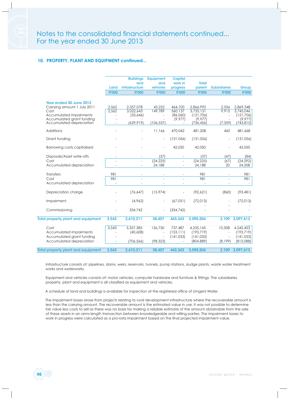|                                                                                                                                                    | Land<br><b>R'000</b>                       | <b>Buildings</b><br>and<br>infrastructure<br><b>R'000</b> | Equipment<br>and<br>vehicles<br><b>R'000</b> | Capital<br>work in<br>progress<br><b>R'000</b> | <b>Total</b><br>parent<br><b>R'000</b>                        | <b>Subsidiaries</b><br><b>R'000</b>                                        | Group<br><b>R'000</b>                                         |
|----------------------------------------------------------------------------------------------------------------------------------------------------|--------------------------------------------|-----------------------------------------------------------|----------------------------------------------|------------------------------------------------|---------------------------------------------------------------|----------------------------------------------------------------------------|---------------------------------------------------------------|
| Year ended 30 June 2012<br>Carrying amount 1 July 2011<br>Cost<br>Accumulated impairments<br>Accumulated grant funding<br>Accumulated depreciation | 2.562<br>2,562<br>$\overline{\phantom{a}}$ | 2.357.078<br>3.022.643<br>(35,646)<br>(629, 919)          | 43.252<br>149,789<br>(106, 537)              | 464,100<br>560.137<br>(86,060)<br>(9,977)      | 2,866,992<br>3,735,131<br>(121, 706)<br>(9,977)<br>(736, 456) | 2.556<br>9.915<br>$\overline{\phantom{a}}$<br>(7, 359)                     | 2,869,548<br>3.745.046<br>(121, 706)<br>(9,977)<br>(743, 815) |
| Additions                                                                                                                                          |                                            |                                                           | 11,166                                       | 470.042                                        | 481,208                                                       | 460                                                                        | 481,668                                                       |
| Grant funding                                                                                                                                      |                                            |                                                           |                                              | (131, 056)                                     | (131, 056)                                                    | $\overline{\phantom{a}}$                                                   | (131, 056)                                                    |
| Borrowing costs capitalised                                                                                                                        |                                            |                                                           |                                              | 42,050                                         | 42,050                                                        |                                                                            | 42,050                                                        |
| Disposals/Asset write-offs                                                                                                                         | $\sim$                                     | $\overline{\phantom{a}}$                                  | (37)                                         | $\overline{a}$                                 | (37)                                                          | (47)                                                                       | (84)                                                          |
| Cost<br>Accumulated depreciation                                                                                                                   |                                            | $\overline{\phantom{a}}$                                  | (24, 225)<br>24,188                          | $\overline{\phantom{a}}$                       | (24, 225)<br>24,188                                           | (67)<br>20                                                                 | (24, 292)<br>24,208                                           |
| Transfers                                                                                                                                          | 981                                        |                                                           |                                              |                                                | 981                                                           |                                                                            | 981                                                           |
| Cost<br>Accumulated depreciation                                                                                                                   | 981                                        |                                                           |                                              |                                                | 981<br>$\overline{a}$                                         |                                                                            | 981                                                           |
| Depreciation charge                                                                                                                                |                                            | (76, 647)                                                 | (15,974)                                     |                                                | (92,621)                                                      | (860)                                                                      | (93, 481)                                                     |
| Impairment                                                                                                                                         |                                            | (4,962)                                                   |                                              | (67, 051)                                      | (72, 013)                                                     |                                                                            | (72, 013)                                                     |
| Commissioning                                                                                                                                      |                                            | 334,742                                                   |                                              | (334, 742)                                     |                                                               |                                                                            |                                                               |
| Total property, plant and equipment                                                                                                                | 3.543                                      | 2,610,211                                                 | 38,407                                       | 443,343                                        | 3,095,504                                                     | 2.109                                                                      | 3,097,613                                                     |
| Cost<br>Accumulated impairments<br>Accumulated grant funding<br>Accumulated depreciation                                                           | 3,543                                      | 3,357,385<br>(40,608)<br>(706, 566)                       | 136,730<br>(98, 323)                         | 737,487<br>(153, 111)<br>(141, 033)            | 4,235,145<br>(193, 719)<br>(141, 033)<br>(804, 889)           | 10,308<br>$\overline{\phantom{a}}$<br>$\overline{\phantom{0}}$<br>(8, 199) | 4,245,453<br>(193, 719)<br>(141, 033)<br>(813,088)            |
| Total property, plant and equipment                                                                                                                | 3,543                                      | 2,610,211                                                 | 38,407                                       | 443,343                                        | 3,095,504                                                     |                                                                            | 2,109 3,097,613                                               |

Infrastructure consists of: pipelines, dams, weirs, reservoirs, tunnels, pump stations, sludge plants, waste water treatment works and waterworks.

Equipment and vehicles consists of: motor vehicles, computer hardware and furniture & fittings. The subsidiaries property, plant and equipment is all classified as equipment and vehicles.

A schedule of land and buildings is available for inspection at the registered office of Umgeni Water.

The impairment losses arose from projects relating to rural development infrastructure where the recoverable amount is less than the carrying amount. The recoverable amount is the estimated value in use. It was not possible to determine fair value less costs to sell as there was no basis for making a reliable estimate of the amount obtainable from the sale of these assets in an arms length transaction between knowledgeable and willing parties. The impairment losses to work in progress were calculated as a pro-rata impairment based on the final projected impairment value.

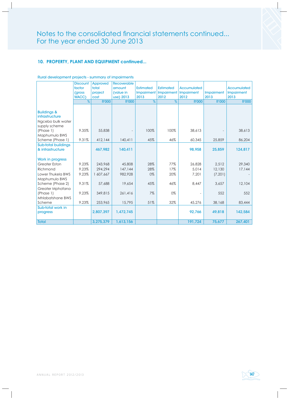# Rural development projects - summary of impairments

|                                                                                | <b>Discount</b><br>factor<br>(gross)<br>WACC) | <b>Approved</b><br>total<br>project<br>cost | <b>Recoverable</b><br>amount<br>(value in<br>use) 2013 | <b>Estimated</b><br>2013 | <b>Estimated</b><br>Impairment   Impairment<br>2012 | <b>Accumulated</b><br>Impairment<br>2012 | <b>Impairment</b><br>2013 | Accumulated<br><b>Impairment</b><br>2013 |
|--------------------------------------------------------------------------------|-----------------------------------------------|---------------------------------------------|--------------------------------------------------------|--------------------------|-----------------------------------------------------|------------------------------------------|---------------------------|------------------------------------------|
|                                                                                | %                                             | <b>R'000</b>                                | <b>R'000</b>                                           | %                        | %                                                   | <b>R'000</b>                             | <b>R'000</b>              | <b>R'000</b>                             |
| <b>Buildings &amp;</b><br>infrastructure<br>Nacebo bulk water<br>supply scheme |                                               |                                             |                                                        |                          |                                                     |                                          |                           |                                          |
| (Phase 1)                                                                      | 9.35%                                         | 55,838                                      |                                                        | 100%                     | 100%                                                | 38,613                                   |                           | 38,613                                   |
| Maphumulo BWS<br>Scheme (Phase 1)                                              | 9.31%                                         | 412,144                                     | 140,411                                                | 45%                      | 46%                                                 | 60,345                                   | 25,859                    | 86,204                                   |
| <b>Sub-total buildings</b><br>& infrastructure                                 |                                               | 467,982                                     | 140,411                                                |                          |                                                     | 98,958                                   | 25,859                    | 124,817                                  |
| Work in progress                                                               |                                               |                                             |                                                        |                          |                                                     |                                          |                           |                                          |
| <b>Greater Eston</b><br>Richmond                                               | 9.23%<br>9.23%                                | 243,968<br>294.294                          | 45,808<br>147.144                                      | 28%<br>28%               | 77%<br>17%                                          | 26,828<br>5.014                          | 2.512<br>12,130           | 29,340<br>17,144                         |
| Lower Thukela BWS                                                              | 9.23%                                         | 1 607.667                                   | 982.928                                                | 0%                       | 20%                                                 | 7,201                                    | (7, 201)                  |                                          |
| Maphumulo BWS<br>Scheme (Phase 2)                                              | 9.31%                                         | 57,688                                      | 19,654                                                 | 45%                      | 46%                                                 | 8,447                                    | 3,657                     | 12,104                                   |
| Greater Mphofana<br>(Phase 1)<br>Mhlabatshane BWS                              | 9.23%                                         | 349.815                                     | 261,416                                                | 7%                       | 0%                                                  |                                          | 552                       | 552                                      |
| Scheme                                                                         | 9.23%                                         | 253,965                                     | 15,795                                                 | 51%                      | 32%                                                 | 45,276                                   | 38,168                    | 83,444                                   |
| Sub-total work in<br>progress                                                  |                                               | 2,807,397                                   | 1,472,745                                              |                          |                                                     | 92.766                                   | 49,818                    | 142,584                                  |
| <b>Total</b>                                                                   |                                               | 3,275,379                                   | 1,613,156                                              |                          |                                                     | 191,724                                  | 75,677                    | 267,401                                  |

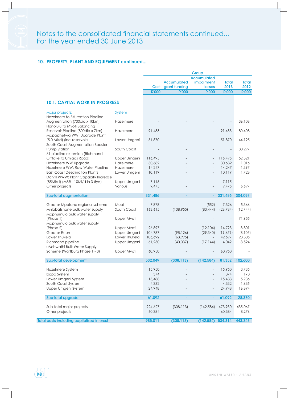|                                                                   |               |              |                          | Group                    |                |              |
|-------------------------------------------------------------------|---------------|--------------|--------------------------|--------------------------|----------------|--------------|
|                                                                   |               |              |                          | <b>Accumulated</b>       |                |              |
|                                                                   |               |              | <b>Accumulated</b>       | impairment               | <b>Total</b>   | Total        |
|                                                                   |               | Cost         | grant funding            | losses                   | 2013           | 2012         |
|                                                                   |               | <b>R'000</b> | <b>R'000</b>             | <b>R'000</b>             | <b>R'000</b>   | <b>R'000</b> |
|                                                                   |               |              |                          |                          |                |              |
| <b>10.1. CAPITAL WORK IN PROGRESS</b>                             |               |              |                          |                          |                |              |
| Major projects:                                                   | System        |              |                          |                          |                |              |
| Hazelmere to Bifurcation Pipeline<br>Augmentation (700dia x 10km) | Hazelmere     |              |                          |                          |                | 36,108       |
| Honolulu to Mvoti Balancing<br>Reservoir Pipeline (800dia x 7km)  | Hazelmere     | 91,483       |                          |                          | 91,483         | 80,408       |
| Mapaphetwa WW: Upgrade Plant<br>(5.0 Ml/d) (incl reservoir)       | Lower Umgeni  | 51,870       |                          |                          | 51,870         | 44,125       |
| South Coast Augmentation Booster<br>Pump Station                  | South Coast   |              |                          |                          | $\overline{a}$ | 80,297       |
| 61 pipeline extension (Richmond<br>Offtake to Umlaas Road)        | Upper Umgeni  | 116,495      |                          | $\overline{\phantom{a}}$ | 116,495        | 52,321       |
| Hazelmere WW Upgrade                                              | Hazelmere     | 30,682       |                          |                          | 30.682         | 1,016        |
| Hazelmere WW: Raw Water Pipeline                                  | Hazelmere     | 14,247       |                          |                          | 14,247         | 1,397        |
| <b>East Coast Desalination Plants</b>                             | Lower Umgeni  | 10,119       |                          |                          | 10,119         | 1,728        |
| Darvill WWW: Plant Capacity Increase                              |               |              |                          |                          |                |              |
| (85Ml/d) (MBR - 10Ml/d in 3-5yrs)                                 | Upper Umgeni  | 7,115        |                          |                          | 7.115          |              |
| Other projects                                                    | Various       | 9,475        |                          |                          | 9,475          | 6,697        |
| Sub-total augmentation                                            |               | 331,486      | $\overline{\phantom{a}}$ |                          | 331,486        | 304,097      |
| Greater Mpofana regional scheme                                   | Mooi          | 7,878        |                          | (552)                    | 7,326          | 5,366        |
| Mhlabatshane bulk water supply                                    | South Coast   | 163,615      | (108, 955)               | (83, 444)                | (28, 784)      | (12, 744)    |
| Maphumulo bulk water supply                                       |               |              |                          |                          |                |              |
| (Phase 1)                                                         | Upper Mvoti   |              |                          |                          |                | 71,955       |
| Maphumulo bulk water supply                                       |               |              |                          |                          |                |              |
| (Phase 2)                                                         | Upper Mvoti   | 26,897       |                          | (12, 104)                | 14,793         | 8,801        |
| <b>Greater Eston</b>                                              | Upper Umgeni  | 104,787      | (95, 126)                | (29, 340)                | (19,679)       | (8,107)      |
| Lower Thukela                                                     | Lower Thukela | 106,692      | (63,995)                 | $\overline{\phantom{a}}$ | 42,697         | 28,805       |
| Richmond pipeline<br>uMshwathi Bulk Water Supply                  | Upper Umgeni  | 61,230       | (40,037)                 | (17, 144)                | 4,049          | 8,524        |
| Scheme (Wartburg Phase 1 - 3)                                     | Upper Mvoti   | 60,950       |                          |                          | 60,950         |              |
| Sub-total development                                             |               | 532,049      | (308, 113)               | (142, 584)               | 81,352         | 102,600      |
| Hazelmere System                                                  |               | 15,950       |                          | $\overline{a}$           | 15,950         | 3.735        |
| Ixopo System                                                      |               | 374          |                          |                          | 374            | 170          |
| Lower Umgeni System                                               |               | 15,488       |                          |                          | 15,488         | 5,936        |
| South Coast System                                                |               | 4,332        |                          |                          | 4,332          | 1,635        |
| Upper Umgeni System                                               |               | 24,948       |                          |                          | 24,948         | 16,894       |
| Sub-total upgrade                                                 |               | 61,092       |                          | ÷,                       | 61,092         | 28,370       |
| Sub-total major projects                                          |               | 924,627      | (308, 113)               | (142, 584)               | 473,930        | 435,067      |
| Other projects                                                    |               | 60,384       |                          |                          | 60,384         | 8,276        |
| Total costs including capitalised interest                        |               | 985,011      | (308, 113)               | (142, 584)               | 534,314        | 443,343      |
|                                                                   |               |              |                          |                          |                |              |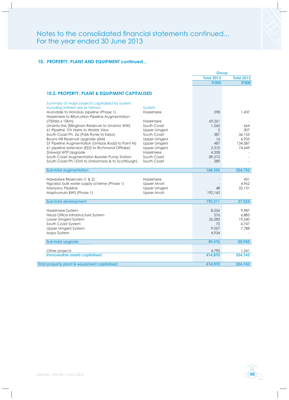|                                                       |              | Group             |                   |
|-------------------------------------------------------|--------------|-------------------|-------------------|
|                                                       |              | <b>Total 2013</b> | <b>Total 2012</b> |
|                                                       |              | <b>R'000</b>      | <b>R'000</b>      |
|                                                       |              |                   |                   |
| 10.2. PROPERTY, PLANT & EQUIPMENT CAPITALISED         |              |                   |                   |
| Summary of major projects capitalised by system,      |              |                   |                   |
| including interest are as follows:                    | System       |                   |                   |
| Avondale to Honolulu pipeline (Phase 1)               | Hazelmere    | 298               | 1,437             |
| Hazelmere to Bifurcation Pipeline Augmentation        |              |                   |                   |
| (700dia x 10km)                                       | Hazelmere    | 69,261            |                   |
| Umzinto link (Ellingham Reservoir to Umzinto WW)      | South Coast  | 1,560             | 664               |
| 61 Pipeline DV Harris to Worlds View                  | Upper Umgeni | 5                 | 307               |
| South Coast Ph. 2a (Park Rynie to Kelso)              | South Coast  | 387               | 36.153            |
| Bruyns Hill Reservoir upgrade (6MI)                   | Upper Umgeni | 16                | 6,935             |
| 57 Pipeline Augmentation (Umlaas Road to Point M)     | Upper Umgeni | 487               | 134,587           |
| 61 pipeline extension (ED2 to Richmond Offtake)       | Upper Umgeni | 2,310             | 74,649            |
| Zinkwazi WTP Upgrade                                  | Hazelmere    | 4,208             |                   |
| South Coast Augmentation Booster Pump Station         | South Coast  | 89,572            |                   |
| South Coast Ph.1 (Toti to Umkomaas & to Scottburgh)   | South Coast  | 289               |                   |
| Sub-total augmentation                                |              | 168,393           | 254,732           |
| Ndwedwe Reservoirs (1 & 2)                            | Hazelmere    |                   | 431               |
| Ngcebo bulk water supply scheme (Phase 1)             | Upper Mvoti  |                   | 4,962             |
| Manyavu Pipeline                                      | Upper Umgeni | 48                | 22,131            |
| Maphumulo BWS (Phase 1)                               | Upper Mvoti  | 192.163           |                   |
| Sub-total development                                 |              | 192,211           | 27,524            |
|                                                       |              |                   | 9.987             |
| Hazelmere System<br>Head Office Infrastructure System |              | 8,556<br>576      | 6,883             |
| Lower Umgeni System                                   |              | 26,283            | 19,540            |
| South Coast System                                    |              | 70                | 6.747             |
| Upper Umgeni System                                   |              | 9.057             | 7,788             |
| Ixopo System                                          |              | 4,934             |                   |
|                                                       |              |                   |                   |
| Sub-total upgrade                                     |              | 49,476            | 50,945            |
| Other projects                                        |              | 4,790             | 1,541             |
| Immoveable assets capitalised                         |              | 414,870           | 334,742           |
| Total property, plant & equipment capitalised         |              | 414,870           | 334,742           |
|                                                       |              |                   |                   |

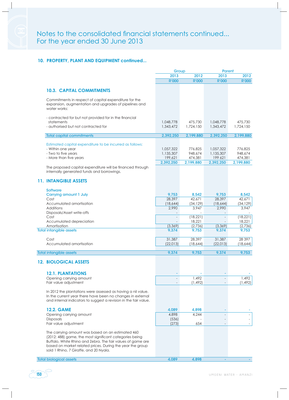|                                                                                                                                                                                                                                                                                    | Group          |                     | Parent                   |                     |
|------------------------------------------------------------------------------------------------------------------------------------------------------------------------------------------------------------------------------------------------------------------------------------|----------------|---------------------|--------------------------|---------------------|
|                                                                                                                                                                                                                                                                                    | 2013           | 2012                | 2013                     | 2012                |
|                                                                                                                                                                                                                                                                                    | <b>R'000</b>   | <b>R'000</b>        | <b>R'000</b>             | R'000               |
|                                                                                                                                                                                                                                                                                    |                |                     |                          |                     |
| <b>10.3. CAPITAL COMMITMENTS</b>                                                                                                                                                                                                                                                   |                |                     |                          |                     |
| Commitments in respect of capital expenditure for the<br>expansion, augmentation and upgrades of pipelines and<br>water works:                                                                                                                                                     |                |                     |                          |                     |
| - contracted for but not provided for in the financial                                                                                                                                                                                                                             |                |                     |                          |                     |
| statements                                                                                                                                                                                                                                                                         | 1,048,778      | 475,730             | 1,048,778                | 475,730             |
| - authorised but not contracted for                                                                                                                                                                                                                                                | 1,343,472      | 1,724,150           | 1,343,472                | 1,724,150           |
| <b>Total capital commitments</b>                                                                                                                                                                                                                                                   | 2,392,250      | 2,199,880           | 2,392,250                | 2,199,880           |
|                                                                                                                                                                                                                                                                                    |                |                     |                          |                     |
| Estimated capital expenditure to be incurred as follows:<br>- Within one year                                                                                                                                                                                                      | 1,057,322      | 776,825             | 1,057,322                | 776,825             |
| - Two to five years                                                                                                                                                                                                                                                                | 1,135,307      | 948,674             | 1,135,307                | 948,674             |
| - More than five years                                                                                                                                                                                                                                                             | 199,621        | 474,381             | 199 621                  | 474,381             |
|                                                                                                                                                                                                                                                                                    | 2,392,250      | 2,199,880           | 2,392,250                | 2.199.880           |
| The proposed capital expenditure will be financed through<br>internally generated funds and borrowings.                                                                                                                                                                            |                |                     |                          |                     |
| <b>11. INTANGIBLE ASSETS</b>                                                                                                                                                                                                                                                       |                |                     |                          |                     |
| <b>Software</b>                                                                                                                                                                                                                                                                    |                |                     |                          |                     |
| Carrying amount 1 July                                                                                                                                                                                                                                                             | 9,753          | 8,542               | 9,753                    | 8,542               |
| Cost                                                                                                                                                                                                                                                                               | 28,397         | 42,671              | 28,397                   | 42,671              |
| Accumulated amortisation                                                                                                                                                                                                                                                           | (18, 644)      | (34, 129)           | (18, 644)                | (34, 129)           |
| <b>Additions</b>                                                                                                                                                                                                                                                                   | 2,990          | 3,947               | 2,990                    | 3,947               |
| Disposals/Asset write-offs                                                                                                                                                                                                                                                         |                |                     |                          |                     |
| Cost<br>Accumulated depreciation                                                                                                                                                                                                                                                   | $\sim$         | (18, 221)<br>18,221 | $\overline{\phantom{a}}$ | (18, 221)<br>18,221 |
| Amortisation                                                                                                                                                                                                                                                                       | (3,369)        | (2,736)             | (3, 369)                 | (2,736)             |
| <b>Total intangible assets</b>                                                                                                                                                                                                                                                     | 9.374          | 9,753               | 9,374                    | 9,753               |
|                                                                                                                                                                                                                                                                                    |                |                     |                          |                     |
| Cost                                                                                                                                                                                                                                                                               | 31,387         | 28,397              | 31,387                   | 28 397              |
| Accumulated amortisation                                                                                                                                                                                                                                                           | (22,013)       | (18,644)            | (22,013)                 | (18, 644)           |
| <b>Total intangible assets</b>                                                                                                                                                                                                                                                     | 9,374          | 9,753               | 9,374                    | 9,753               |
| <b>12. BIOLOGICAL ASSETS</b>                                                                                                                                                                                                                                                       |                |                     |                          |                     |
| <b>12.1. PLANTATIONS</b>                                                                                                                                                                                                                                                           |                |                     |                          |                     |
| Opening carrying amount                                                                                                                                                                                                                                                            | $\overline{a}$ | 1,492               |                          | 1,492               |
| Fair value adjustment                                                                                                                                                                                                                                                              |                | (1, 492)            |                          | (1, 492)            |
| In 2012 the plantations were assessed as having a nil value.<br>In the current year there have been no changes in external<br>and internal indicators to suggest a revision in the fair value.                                                                                     |                |                     |                          |                     |
| <b>12.2. GAME</b>                                                                                                                                                                                                                                                                  | 4,089          | 4,898               |                          |                     |
| Opening carrying amount                                                                                                                                                                                                                                                            | 4,898          | 4,244               |                          |                     |
| <b>Disposals</b>                                                                                                                                                                                                                                                                   | (536)          |                     |                          |                     |
| Fair value adjustment                                                                                                                                                                                                                                                              | (273)          | 654                 |                          |                     |
| The carrying amount was based on an estimated 460<br>(2012: 488) game, the most significant categories being<br>Buffalo, White Rhino and Zebra. The fair values of game are<br>based on market related prices. During the year the group<br>sold 1 Rhino, 7 Giraffe, and 20 Nyala. |                |                     |                          |                     |
| <b>Total biological assets</b>                                                                                                                                                                                                                                                     | 4,089          | 4,898               |                          |                     |

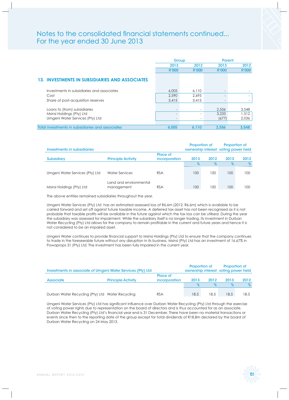|                                                  | Group                    |                          | Parent       |                          |  |
|--------------------------------------------------|--------------------------|--------------------------|--------------|--------------------------|--|
|                                                  | 2013                     | 2012                     | 2013         | 2012                     |  |
|                                                  | R'000                    | R'000                    | <b>R'000</b> | R'000                    |  |
| 13. INVESTMENTS IN SUBSIDIARIES AND ASSOCIATES   |                          |                          |              |                          |  |
| Investments in subsidiaries and associates       | 6,005                    | 6.110                    |              |                          |  |
| Cost                                             | 2.590                    | 2.695                    |              | $\overline{\phantom{0}}$ |  |
| Share of post-acquisition reserves               | 3.415                    | 3.415                    |              | $\overline{\phantom{a}}$ |  |
| Loans to (from) subsidiaries                     | $\overline{\phantom{0}}$ | $\overline{\phantom{0}}$ | 2.556        | 3,548                    |  |
| Msinsi Holdings (Pty) Ltd                        | $\overline{\phantom{0}}$ | ۰                        | 3.233        | 1,512                    |  |
| Umgeni Water Services (Pty) Ltd                  | $\overline{\phantom{a}}$ | $\overline{\phantom{0}}$ | (677)        | 2,036                    |  |
| Total investments in subsidiaries and associates | 6,005                    | 6.110                    | 2.556        | 3,548                    |  |

| Investments in subsidiaries     |                                      |                           | <b>Proportion of</b> |      | <b>Proportion of</b><br>ownership interest voting power held |      |  |
|---------------------------------|--------------------------------------|---------------------------|----------------------|------|--------------------------------------------------------------|------|--|
| <b>Subsidiary</b>               | <b>Principle Activity</b>            | Place of<br>incorporation | 2013                 | 2012 | 2013                                                         | 2012 |  |
|                                 |                                      |                           | %                    | $\%$ | $\%$                                                         | $\%$ |  |
| Umgeni Water Services (Pty) Ltd | Water Services                       | <b>RSA</b>                | 100                  | 100  | 100                                                          | 100  |  |
| Msinsi Holdings (Pty) Ltd       | Land and environmental<br>management | <b>RSA</b>                | 100                  | 100  | 100                                                          | 100  |  |

The above entities remained subsidiaries throughout the year.

Umgeni Water Services (Pty) Ltd has an estimated assessed loss of R6,6m (2012: R6,6m) which is available to be carried forward and set off against future taxable income. A deferred tax asset has not been recognised as it is not probable that taxable profits will be available in the future against which the tax loss can be utilised. During the year the subsidiary was assessed for impairment. While the subsidiary itself is no longer trading, its investment in Durban Water Recycling (Pty) Ltd allows for the company to remain profitable in the current and future years and hence it is not considered to be an impaired asset.

Umgeni Water continues to provide financial support to Msinsi Holdings (Pty) Ltd to ensure that the company continues to trade in the foreseeable future without any disruption in its business. Msinsi (Pty) Ltd has an investment of 16.67% in Powaprops 31 (Pty) Ltd. The investment has been fully impaired in the current year.

| Investments in associate of Umgeni Water Services (Pty) Ltd |                           |                           | <b>Proportion of</b><br>ownership interest voting power held |      | <b>Proportion of</b> |      |
|-------------------------------------------------------------|---------------------------|---------------------------|--------------------------------------------------------------|------|----------------------|------|
| <b>Associate</b>                                            | <b>Principle Activity</b> | Place of<br>incorporation | 2013                                                         | 2012 | 2013                 | 2012 |
|                                                             |                           |                           |                                                              |      |                      | $\%$ |
| Durban Water Recycling (Pty) Ltd Water Recycling            |                           | <b>RSA</b>                | 18.5                                                         | 18.5 | 18.5                 | 18.5 |

Umgeni Water Services (Pty) Ltd has significant influence over Durban Water Recycling (Pty) Ltd through the exercise of voting power rights due to representation on the board of directors and is thus accounted for as an associate. Durban Water Recycling (Pty) Ltd's financial year end is 31 December. There have been no material transactions or events since then to the reporting date of the group except for total dividends of R18,8m declared by the board of Durban Water Recycling on 24 May 2013.

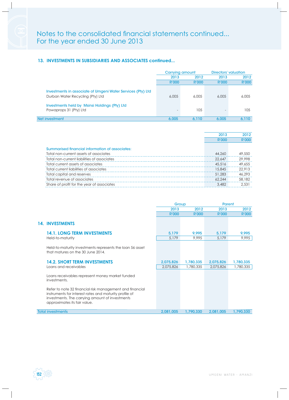# **13. INVESTMENTS IN SUBSIDIARIES AND ASSOCIATES continued...**

|                                                                                                 | Carrying amount          |              | Directors' valuation |              |
|-------------------------------------------------------------------------------------------------|--------------------------|--------------|----------------------|--------------|
|                                                                                                 | 2013<br>2012             |              | 2013                 | 2012         |
|                                                                                                 | R'000                    | <b>R'000</b> | R'000                | <b>R'000</b> |
| Investments in associate of Umgeni Water Services (Pty) Ltd<br>Durban Water Recycling (Pty) Ltd | 6.005                    | 6,005        | 6,005                | 6,005        |
| Investments held by Msinsi Holdings (Pty) Ltd<br>Powaprops 31 (Pty) Ltd                         | $\overline{\phantom{0}}$ | 105          |                      | 105          |
| Net investment                                                                                  | 6.005                    | 6.110        | 6.005                | 6.110        |

|                                                 | 2013   | 2012.  |
|-------------------------------------------------|--------|--------|
|                                                 | R'OOO  |        |
| Summarised financial information of associates: |        |        |
| Total non-current assets of associates          | 44.260 | 49,550 |
| Total non-current liabilities of associates     | 22.647 | 29 998 |
| Total current assets of associates              | 45.516 | 49,655 |
| Total current liabilities of associates         | 15.845 | 22.913 |
| Total capital and reserves                      | 51.283 |        |
| Total revenue of associates                     | 62.244 | 58,182 |
| Share of profit for the year of associates      | 3 482  |        |

|                                                                                                                                                                                                       |           | Group        |           | Parent       |
|-------------------------------------------------------------------------------------------------------------------------------------------------------------------------------------------------------|-----------|--------------|-----------|--------------|
|                                                                                                                                                                                                       | 2013      | 2012         |           | 2012         |
|                                                                                                                                                                                                       | R'000     | <b>R'000</b> | R'000     | <b>R'000</b> |
| <b>14. INVESTMENTS</b>                                                                                                                                                                                |           |              |           |              |
| <b>14.1. LONG TERM INVESTMENTS</b>                                                                                                                                                                    | 5,179     | 9,995        | 5,179     | 9,995        |
| Held-to-maturity                                                                                                                                                                                      | 5,179     | 9,995        | 5,179     | 9,995        |
| Held-to-maturity investments represents the loan 56 asset<br>that matures on the 30 June 2014.                                                                                                        |           |              |           |              |
| <b>14.2. SHORT TERM INVESTMENTS</b>                                                                                                                                                                   | 2,075,826 | 1,780,335    | 2,075,826 | 1,780,335    |
| Loans and receivables                                                                                                                                                                                 | 2,075,826 | 1,780,335    | 2,075,826 | 1,780,335    |
| Loans receivables represent money market funded<br>investments.                                                                                                                                       |           |              |           |              |
| Refer to note 32 financial risk management and financial<br>instruments for interest rates and maturity profile of<br>investments. The carrying amount of investments<br>approximates its fair value. |           |              |           |              |
| <b>Total investments</b>                                                                                                                                                                              | 2,081,005 | 1,790,330    | 2,081,005 | 1,790,330    |

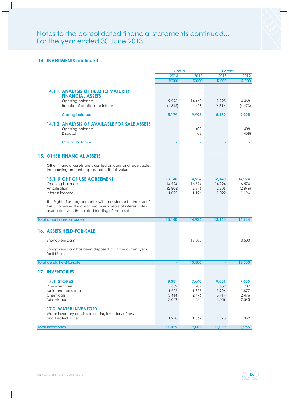# **14. INVESTMENTS continued...**

|                                                                                                                                 | Group        |              | Parent       |              |
|---------------------------------------------------------------------------------------------------------------------------------|--------------|--------------|--------------|--------------|
|                                                                                                                                 | 2013         | 2012         | 2013         | 2012         |
|                                                                                                                                 | <b>R'000</b> | <b>R'000</b> | <b>R'000</b> | R'000        |
|                                                                                                                                 |              |              |              |              |
| 14.1.1. ANALYSIS OF HELD TO MATURITY                                                                                            |              |              |              |              |
| <b>FINANCIAL ASSETS</b>                                                                                                         |              |              |              |              |
| Opening balance                                                                                                                 | 9,995        | 14,468       | 9,995        | 14,468       |
| Receipt of capital and interest                                                                                                 | (4,816)      | (4, 473)     | (4,816)      | (4, 473)     |
| <b>Closing balance</b>                                                                                                          | 5,179        | 9,995        | 5.179        | 9,995        |
|                                                                                                                                 |              |              |              |              |
| 14.1.2. ANALYSIS OF AVAILABLE FOR SALE ASSETS                                                                                   |              |              |              |              |
| Opening balance                                                                                                                 |              | 408          |              | 408          |
| Disposal                                                                                                                        |              | (408)        |              | (408)        |
| <b>Closing balance</b>                                                                                                          | ÷.           | ä,           | ÷            |              |
|                                                                                                                                 |              |              |              |              |
|                                                                                                                                 |              |              |              |              |
| <b>15. OTHER FINANCIAL ASSETS</b>                                                                                               |              |              |              |              |
|                                                                                                                                 |              |              |              |              |
| Other financial assets are classified as loans and receivables,                                                                 |              |              |              |              |
| the carrying amount approximates its fair value.                                                                                |              |              |              |              |
| <b>15.1. RIGHT OF USE AGREEMENT</b>                                                                                             | 13,140       | 14.924       | 13,140       | 14,924       |
| Opening balance                                                                                                                 | 14,924       | 16,574       | 14,924       | 16,574       |
| Amortisation                                                                                                                    | (2,806)      | (2,846)      | (2,806)      | (2,846)      |
| Interest income                                                                                                                 | 1,022        | 1,196        | 1,022        | 1,196        |
|                                                                                                                                 |              |              |              |              |
| The Right of use agreement is with a customer for the use of<br>the 57 pipeline. It is amortised over 9 years at interest rates |              |              |              |              |
| associated with the related funding of the asset.                                                                               |              |              |              |              |
|                                                                                                                                 |              |              |              |              |
| <b>Total other financial assets</b>                                                                                             | 13,140       | 14.924       | 13,140       | 14,924       |
|                                                                                                                                 |              |              |              |              |
| <b>16. ASSETS HELD-FOR-SALE</b>                                                                                                 |              |              |              |              |
|                                                                                                                                 |              |              |              |              |
| Shongweni Dam                                                                                                                   |              | 13,500       |              | 13,500       |
|                                                                                                                                 |              |              |              |              |
| Shongweni Dam has been disposed off in the current year<br>for R16,4m.                                                          |              |              |              |              |
|                                                                                                                                 |              |              |              |              |
| <b>Total assets held-for-sale</b>                                                                                               |              | 13,500       |              | 13,500       |
|                                                                                                                                 |              |              |              |              |
| <b>17. INVENTORIES</b>                                                                                                          |              |              |              |              |
|                                                                                                                                 |              |              |              |              |
| <b>17.1. STORES</b>                                                                                                             | 9,051<br>652 | 7,640<br>707 | 9,051<br>652 | 7,603<br>707 |
| Pipe inventories<br>Maintenance spares                                                                                          | 1,926        | 1,877        | 1,926        | 1,877        |
| Chemicals                                                                                                                       | 3,414        | 2,476        | 3,414        | 2,476        |
| Miscellaneous                                                                                                                   | 3,059        | 2,580        | 3,059        | 2,543        |
|                                                                                                                                 |              |              |              |              |
| <b>17.2. WATER INVENTORY</b>                                                                                                    |              |              |              |              |
| Water inventory consists of closing inventory of raw                                                                            |              |              |              |              |
| and treated water.                                                                                                              | 1,978        | 1,362        | 1,978        | 1,362        |
| <b>Total inventories</b>                                                                                                        | 11,029       | 9,002        | 11,029       | 8,965        |
|                                                                                                                                 |              |              |              |              |

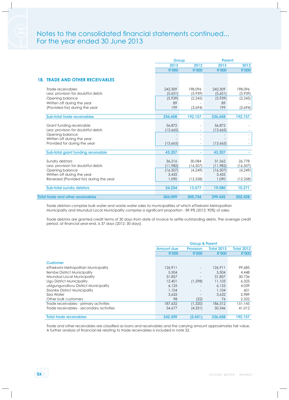|                                                                                                                                                   |                                                   | Group                                                |                                                   | <b>Parent</b>                                |  |
|---------------------------------------------------------------------------------------------------------------------------------------------------|---------------------------------------------------|------------------------------------------------------|---------------------------------------------------|----------------------------------------------|--|
|                                                                                                                                                   | 2013                                              | 2012                                                 | 2013                                              | 2012                                         |  |
|                                                                                                                                                   | <b>R'000</b>                                      | <b>R'000</b>                                         | <b>R'000</b>                                      | R'000                                        |  |
| <b>18. TRADE AND OTHER RECEIVABLES</b>                                                                                                            |                                                   |                                                      |                                                   |                                              |  |
| Trade receivables<br>Less: provision for doubtful debts                                                                                           | 242,309<br>(5,651)                                | 198,096<br>(5,939)                                   | 242,309<br>(5,651)                                | 198,096<br>(5,939)                           |  |
| Opening balance                                                                                                                                   | (5,939)                                           | (2, 245)                                             | (5,939)                                           | (2, 245)                                     |  |
| Written off during the year<br>(Provided for) during the year                                                                                     | 89<br>199                                         | (3,694)                                              | 89<br>199                                         | (3,694)                                      |  |
|                                                                                                                                                   |                                                   |                                                      |                                                   |                                              |  |
| Sub-total trade receivables                                                                                                                       | 236,658                                           | 192,157                                              | 236,658                                           | 192,157                                      |  |
| Grant funding receivable<br>Less: provision for doubtful debts<br>Opening balance<br>Written off during the year<br>Provided for during the year  | 56,872<br>(13,665)<br>(13,665)                    | $\overline{\phantom{a}}$<br>$\overline{\phantom{a}}$ | 56,872<br>(13, 665)<br>(13,665)                   | $\overline{\phantom{a}}$                     |  |
| Sub-total grant funding receivable                                                                                                                | 43,207                                            |                                                      | 43,207                                            |                                              |  |
| Sundry debtors<br>Less: provision for doubtful debts<br>Opening balance<br>Written off during the year<br>Reversed (Provided for) during the year | 36,216<br>(11,982)<br>(16, 507)<br>3.435<br>1,090 | 30,084<br>(16, 507)<br>(4,249)<br>(12, 258)          | 31,562<br>(11,982)<br>(16, 507)<br>3,435<br>1,090 | 26,778<br>(16, 507)<br>(4, 249)<br>(12, 258) |  |
| Sub-total sundry debtors                                                                                                                          | 24,234                                            | 13,577                                               | 19,580                                            | 10,271                                       |  |
| <b>Total trade and other receivables</b>                                                                                                          | 304,099                                           | 205,734                                              | 299,445                                           | 202,428                                      |  |

Trade debtors comprise bulk water and waste water sales to municipalities of which eThekwini Metropolitan Municipality and Msunduzi Local Municipality comprise a significant proportion - 89.9% (2012: 90%) of sales.

Trade debtors are granted credit terms of 30 days from date of invoice to settle outstanding debts. The average credit period, at financial year-end, is 37 days (2012: 30 days).

|                                          | <b>Group &amp; Parent</b> |                  |                   |                   |  |
|------------------------------------------|---------------------------|------------------|-------------------|-------------------|--|
|                                          | Amount due                | <b>Provision</b> | <b>Total 2013</b> | <b>Total 2012</b> |  |
|                                          | R'000                     | <b>R'000</b>     | R'000             | R'000             |  |
|                                          |                           |                  |                   |                   |  |
| <b>Customer</b>                          |                           |                  |                   |                   |  |
| eThekwini Metropolitan Municipality      | 126,911                   |                  | 126.911           | 99,685            |  |
| <b>Ilembe District Municipality</b>      | 5,504                     |                  | 5,504             | 4,448             |  |
| Msunduzi Local Municipality              | 31,857                    |                  | 31,857            | 30,736            |  |
| Ugu District Municipality                | 12,401                    | (1, 298)         | 11,103            | 6,325             |  |
| uMgungundlovu District Municipality      | 6,125                     |                  | 6.125             | 4,039             |  |
| Sisonke District Municipality            | 1,104                     |                  | 1,104             | 601               |  |
| Siza Water                               | 3.632                     |                  | 3.632             | 2.989             |  |
| Other bulk customers                     | 98                        | (22)             | 76                | 2,322             |  |
| Trade receivables - primary activities   | 187,632                   | (1,320)          | 186,312           | 151,145           |  |
| Trade receivables - secondary activities | 54,677                    | (4, 331)         | 50,346            | 41,012            |  |
|                                          |                           |                  |                   |                   |  |
| Total trade receivables                  | 242,309                   | (5,651)          | 236,658           | 192.157           |  |

Trade and other receivables are classified as loans and receivables and the carrying amount approximates fair value. A further analysis of financial risk relating to trade receivables is included in note 32.

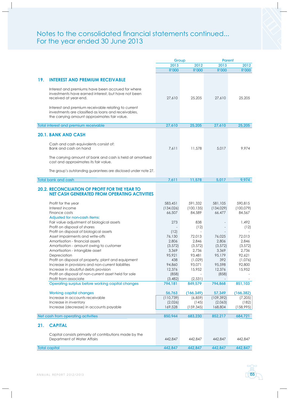|     |                                                                 | Group        |              | Parent       |            |
|-----|-----------------------------------------------------------------|--------------|--------------|--------------|------------|
|     |                                                                 | 2013         | 2012         | 2013         | 2012       |
|     |                                                                 | <b>R'000</b> | <b>R'000</b> | <b>R'000</b> | R'000      |
|     |                                                                 |              |              |              |            |
| 19. | <b>INTEREST AND PREMIUM RECEIVABLE</b>                          |              |              |              |            |
|     |                                                                 |              |              |              |            |
|     | Interest and premiums have been accrued for where               |              |              |              |            |
|     | investments have earned interest, but have not been             |              |              |              |            |
|     | received at year-end.                                           | 27,610       | 25,205       | 27,610       | 25,205     |
|     |                                                                 |              |              |              |            |
|     | Interest and premium receivable relating to current             |              |              |              |            |
|     | investments are classified as loans and receivables.            |              |              |              |            |
|     |                                                                 |              |              |              |            |
|     | the carrying amount approximates fair value.                    |              |              |              |            |
|     | Total interest and premium receivable                           | 27,610       | 25,205       | 27,610       | 25,205     |
|     |                                                                 |              |              |              |            |
|     | <b>20.1. BANK AND CASH</b>                                      |              |              |              |            |
|     |                                                                 |              |              |              |            |
|     | Cash and cash equivalents consist of:                           |              |              |              |            |
|     | Bank and cash on hand                                           | 7,611        | 11,578       | 5,017        | 9,974      |
|     |                                                                 |              |              |              |            |
|     | The carrying amount of bank and cash is held at amortised       |              |              |              |            |
|     | cost and approximates its fair value.                           |              |              |              |            |
|     |                                                                 |              |              |              |            |
|     | The group's outstanding guarantees are disclosed under note 27. |              |              |              |            |
|     |                                                                 |              |              |              |            |
|     | <b>Total bank and cash</b>                                      | 7,611        | 11,578       | 5,017        | 9,974      |
|     |                                                                 |              |              |              |            |
|     | <b>20.2. RECONCILIATION OF PROFIT FOR THE YEAR TO</b>           |              |              |              |            |
|     | <b>NET CASH GENERATED FROM OPERATING ACTIVITIES</b>             |              |              |              |            |
|     |                                                                 |              |              |              |            |
|     | Profit for the year                                             | 583,451      | 591,332      | 581,105      | 590,815    |
|     | Interest income                                                 | (134, 026)   | (100, 135)   | (134,029)    | (100, 079) |
|     | Finance costs                                                   | 66,507       | 84,589       | 66,477       | 84,567     |
|     | Adjusted for non-cash items:                                    |              |              |              |            |
|     | Fair value adjustment of biological assets                      | 273          | 838          |              | 1,492      |
|     | Profit on disposal of shares                                    |              | (12)         |              | (12)       |
|     | Profit on disposal of biological assets                         | (12)         |              |              |            |
|     |                                                                 |              |              |              |            |
|     | Asset impairments and write-offs                                | 76,130       | 72,013       | 76,025       | 72,013     |
|     | Amortisation - financial assets                                 | 2,806        | 2,846        | 2,806        | 2,846      |
|     | Amortisation - amount owing to customer                         | (3, 572)     | (3, 572)     | (3, 572)     | (3, 572)   |
|     | Amortisation - intangible asset                                 | 3,369        | 2,736        | 3,369        | 2,736      |
|     | Depreciation                                                    | 95,921       | 93,481       | 95,179       | 92,621     |
|     | Profit on disposal of property, plant and equipment             | 438          | (1,029)      | 392          | (1,076)    |
|     | Increase in provisions and non-current liabilities              | 94,860       | 93,071       | 95,598       | 92,800     |
|     | Increase in doubtful debts provision                            | 12,376       | 15,952       | 12,376       | 15,952     |
|     | Profit on disposal of non-current asset held for sale           | (858)        |              | (858)        |            |
|     | Profit from associate                                           | (3, 482)     | (2, 531)     |              |            |
|     | Operating surplus before working capital changes                | 794,181      | 849,579      | 794,868      | 851,103    |
|     |                                                                 |              |              |              |            |
|     | <b>Working capital changes</b>                                  | 56,763       | (166, 349)   | 57,349       | (166, 382) |
|     | Increase in accounts receivable                                 | (110, 739)   | (6,859)      | (109, 392)   | (7, 205)   |
|     | Increase in inventory                                           | (2,026)      | (145)        | (2,063)      | (182)      |
|     | Increase (decrease) in accounts payable                         | 169,528      | (159, 345)   | 168,804      | (158, 995) |
|     |                                                                 |              |              |              |            |
|     | Net cash from operating activities                              | 850,944      | 683,230      | 852,217      | 684,721    |
|     |                                                                 |              |              |              |            |
| 21. | <b>CAPITAL</b>                                                  |              |              |              |            |
|     |                                                                 |              |              |              |            |
|     | Capital consists primarily of contributions made by the         |              |              |              |            |
|     | Department of Water Affairs                                     | 442,847      | 442,847      | 442,847      | 442,847    |
|     |                                                                 |              |              |              |            |
|     | <b>Total capital</b>                                            | 442,847      | 442,847      | 442,847      | 442,847    |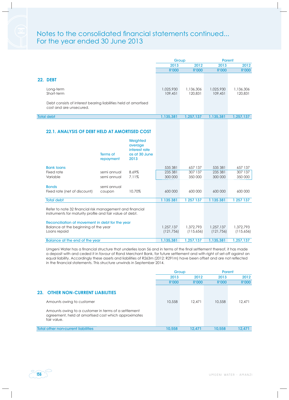|                                                                                                                                                                                                                 |                       |                                                               | Group                   |                        | Parent                  |                        |
|-----------------------------------------------------------------------------------------------------------------------------------------------------------------------------------------------------------------|-----------------------|---------------------------------------------------------------|-------------------------|------------------------|-------------------------|------------------------|
|                                                                                                                                                                                                                 |                       |                                                               | 2013                    | 2012                   | 2013                    | 2012                   |
|                                                                                                                                                                                                                 |                       |                                                               | <b>R'000</b>            | <b>R'000</b>           | <b>R'000</b>            | R'000                  |
| <b>22. DEBT</b>                                                                                                                                                                                                 |                       |                                                               |                         |                        |                         |                        |
| Long-term<br>Short-term                                                                                                                                                                                         |                       |                                                               | 1,025,930<br>109,451    | 1,136,306<br>120,831   | 1,025,930<br>109,451    | 1,136,306<br>120,831   |
| Debt consists of interest bearing liabilities held at amortised<br>cost and are unsecured.                                                                                                                      |                       |                                                               |                         |                        |                         |                        |
| <b>Total debt</b>                                                                                                                                                                                               |                       |                                                               | 1,135,381               | 1,257,137              | 1,135,381               | 1,257,137              |
| <b>22.1. ANALYSIS OF DEBT HELD AT AMORTISED COST</b>                                                                                                                                                            |                       |                                                               |                         |                        |                         |                        |
|                                                                                                                                                                                                                 | Terms of<br>repayment | Weighted<br>average<br>interest rate<br>as at 30 June<br>2013 |                         |                        |                         |                        |
| <b>Bank loans</b>                                                                                                                                                                                               |                       |                                                               | 535 381                 | 657 137                | 535 381                 | 657 137                |
| Fixed rate                                                                                                                                                                                                      | semi annual           | 8.69%                                                         | 235 381                 | 307 137                | 235 381                 | 307 137                |
| Variable                                                                                                                                                                                                        | semi annual           | 7.11%                                                         | 300 000                 | 350 000                | 300 000                 | 350 000                |
| <b>Bonds</b><br>Fixed rate (net of discount)                                                                                                                                                                    | semi annual<br>coupon | 10.70%                                                        | 600 000                 | 600 000                | 600 000                 | 600 000                |
| <b>Total debt</b>                                                                                                                                                                                               |                       |                                                               | 1 135 381               | 1 257 137              | 1 135 381               | 1 257 137              |
| Refer to note 32 financial risk management and financial<br>instruments for maturity profile and fair value of debt.<br>Reconciliation of movement in debt for the year<br>Balance at the beginning of the year |                       | 1.257.137                                                     | 1.372.793               | 1.257.137              | 1.372.793               |                        |
| Loans repaid                                                                                                                                                                                                    |                       |                                                               | (121, 756)<br>1,135,381 | (115,656)<br>1,257,137 | (121, 756)<br>1,135,381 | (115,656)<br>1,257,137 |
| Balance at the end of the year                                                                                                                                                                                  |                       |                                                               |                         |                        |                         |                        |

Umgeni Water has a financial structure that underlies loan 56 and in terms of the final settlement thereof, it has made a deposit with and ceded it in favour of Rand Merchant Bank, for future settlement and with right of set-off against an equal liability. Accordingly these assets and liabilities of R263m (2012: R291m) have been offset and are not reflected in the financial statements. This structure unwinds in September 2014.

|                                                                                                                             | Group        |              | Parent       |              |
|-----------------------------------------------------------------------------------------------------------------------------|--------------|--------------|--------------|--------------|
|                                                                                                                             | 2013         | 2012         | 2013         | 2012         |
|                                                                                                                             | <b>R'000</b> | <b>R'000</b> | <b>R'000</b> | <b>R'000</b> |
| 23. OTHER NON-CURRENT LIABILITIES<br>Amounts owing to customer                                                              | 10,558       | 12.471       | 10,558       | 12.471       |
| Amounts owing to a customer in terms of a settlement<br>agreement, held at amortised cost which approximates<br>fair value. |              |              |              |              |
| Total other non-current liabilities                                                                                         | 10,558       | 12.471       | 10.558       | 12.471       |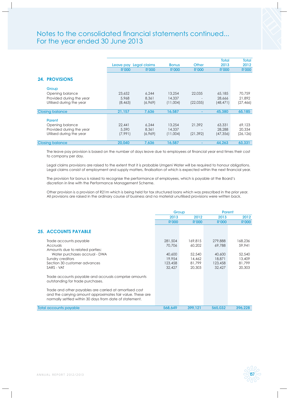|                          |          |                        |              |              | Total     | Total     |
|--------------------------|----------|------------------------|--------------|--------------|-----------|-----------|
|                          |          | Leave pay Legal claims | <b>Bonus</b> | <b>Other</b> | 2013      | 2012      |
|                          | R'000    | R'000                  | R'000        | R'000        | R'000     | R'000     |
| <b>24. PROVISIONS</b>    |          |                        |              |              |           |           |
| Group                    |          |                        |              |              |           |           |
| Opening balance          | 23,652   | 6.244                  | 13,254       | 22,035       | 65,185    | 70,759    |
| Provided during the year | 5.968    | 8,361                  | 14,337       |              | 28,666    | 21,892    |
| Utilised during the year | (8, 463) | (6,969)                | (11,004)     | (22,035)     | (48, 471) | (27, 466) |
| <b>Closing balance</b>   | 21,157   | 7.636                  | 16,587       | $\sim$       | 45,380    | 65,185    |
| <b>Parent</b>            |          |                        |              |              |           |           |
| Opening balance          | 22,441   | 6.244                  | 13,254       | 21,392       | 63,331    | 69,123    |
| Provided during the year | 5,590    | 8,361                  | 14,337       |              | 28,288    | 20,334    |
| Utilised during the year | (7,991)  | (6,969)                | (11,004)     | (21, 392)    | (47, 356) | (26, 126) |
| <b>Closing balance</b>   | 20,040   | 7.636                  | 16,587       |              | 44,263    | 63,331    |

The leave pay provision is based on the number of days leave due to employees at financial year end times their cost to company per day.

Legal claims provisions are raised to the extent that it is probable Umgeni Water will be required to honour obligations. Legal claims consist of employment and supply matters, finalisation of which is expected within the next financial year.

The provision for bonus is raised to recognise the performance of employees, which is payable at the Board's discretion in line with the Performance Management Scheme.

Other provision is a provision of R21m which is being held for tax structured loans which was prescribed in the prior year. All provisions are raised in the ordinary course of business and no material unutilised provisions were written back.

|                                                                                                                                                                                                                                                                                                                                                                                                                                                         | Group                                                      |                                                           |                                                            | Parent                                                    |  |
|---------------------------------------------------------------------------------------------------------------------------------------------------------------------------------------------------------------------------------------------------------------------------------------------------------------------------------------------------------------------------------------------------------------------------------------------------------|------------------------------------------------------------|-----------------------------------------------------------|------------------------------------------------------------|-----------------------------------------------------------|--|
|                                                                                                                                                                                                                                                                                                                                                                                                                                                         | 2013                                                       | 2012                                                      | 2013                                                       | 2012                                                      |  |
|                                                                                                                                                                                                                                                                                                                                                                                                                                                         | <b>R'000</b>                                               | <b>R'000</b>                                              | <b>R'000</b>                                               | R'000                                                     |  |
| <b>25. ACCOUNTS PAYABLE</b>                                                                                                                                                                                                                                                                                                                                                                                                                             |                                                            |                                                           |                                                            |                                                           |  |
| Trade accounts payable<br>Accruals<br>Amounts due to related parties:<br>Water purchases accrual - DWA<br>Sundry creditors<br>Section 30 customer advances<br>SARS - VAT<br>Trade accounts payable and accruals comprise amounts<br>outstanding for trade purchases.<br>Trade and other payables are carried at amortised cost<br>and the carrying amount approximates fair value. These are<br>normally settled within 30 days from date of statement. | 281,504<br>70,706<br>40,600<br>19,954<br>123,458<br>32,427 | 169.815<br>60,202<br>52,540<br>14,462<br>81,799<br>20,303 | 279,888<br>69.788<br>40,600<br>18,871<br>123,458<br>32,427 | 168,236<br>59,941<br>52,540<br>13,409<br>81,799<br>20,303 |  |
| <b>Total accounts payable</b>                                                                                                                                                                                                                                                                                                                                                                                                                           | 568,649                                                    | 399,121                                                   | 565,032                                                    | 396,228                                                   |  |

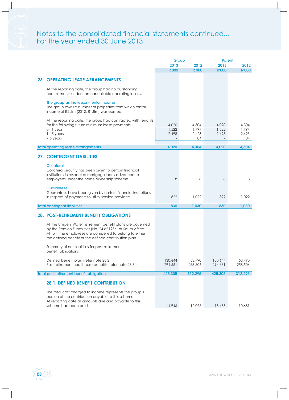|                                                                                                                                                                                                                                                | Group              |                   | Parent             |                   |
|------------------------------------------------------------------------------------------------------------------------------------------------------------------------------------------------------------------------------------------------|--------------------|-------------------|--------------------|-------------------|
|                                                                                                                                                                                                                                                | 2013               | 2012              | 2013               | 2012              |
|                                                                                                                                                                                                                                                | <b>R'000</b>       | <b>R'000</b>      | <b>R'000</b>       | R'000             |
|                                                                                                                                                                                                                                                |                    |                   |                    |                   |
| <b>26. OPERATING LEASE ARRANGEMENTS</b>                                                                                                                                                                                                        |                    |                   |                    |                   |
| At the reporting date, the group had no outstanding<br>commitments under non-cancellable operating leases.                                                                                                                                     |                    |                   |                    |                   |
| The group as the lessor - rental income<br>The group owns a number of properties from which rental<br>income of R2,5m (2012: R1,8m) was earned.                                                                                                |                    |                   |                    |                   |
| At the reporting date, the group had contracted with tenants<br>for the following future minimum lease payments.                                                                                                                               | 4,020              | 4,304             | 4,020              | 4,304             |
| $0 - 1$ year                                                                                                                                                                                                                                   | 1,522              | 1,797             | 1,522              | 1,797             |
| $1 - 5$ years                                                                                                                                                                                                                                  | 2,498              | 2,423             | 2,498              | 2,423             |
| $> 5$ years                                                                                                                                                                                                                                    |                    | 84                |                    | 84                |
| <b>Total operating lease arrangements</b>                                                                                                                                                                                                      | 4,020              | 4,304             | 4.020              | 4,304             |
|                                                                                                                                                                                                                                                |                    |                   |                    |                   |
| <b>27. CONTINGENT LIABILITIES</b>                                                                                                                                                                                                              |                    |                   |                    |                   |
| <b>Collateral</b><br>Collateral security has been given to certain financial<br>institutions in respect of mortgage loans advanced to<br>employees under the home ownership scheme.                                                            | 8                  | 8                 | 8                  | 8                 |
| <b>Guarantees</b><br>Guarantees have been given by certain financial institutions<br>in respect of payments to utility service providers.                                                                                                      | 822                | 1.022             | 822                | 1.022             |
| <b>Total contingent liabilities</b>                                                                                                                                                                                                            | 830                | 1,030             | 830                | 1,030             |
| <b>28. POST-RETIREMENT BENEFIT OBLIGATIONS</b>                                                                                                                                                                                                 |                    |                   |                    |                   |
| All the Umgeni Water retirement benefit plans are governed<br>by the Pension Funds Act (No. 24 of 1956) of South Africa.<br>All full-time employees are compelled to belong to either<br>the defined benefit or the defined contribution plan. |                    |                   |                    |                   |
| Summary of net liabilities for post-retirement<br>benefit obligations:                                                                                                                                                                         |                    |                   |                    |                   |
| Defined benefit plan (refer note 28.2.)<br>Post-retirement healthcare benefits (refer note 28.3.)                                                                                                                                              | 130,644<br>294.661 | 53,790<br>258,506 | 130,644<br>294,661 | 53,790<br>258,506 |
| Total post-retirement benefit obligations                                                                                                                                                                                                      | 425,305            | 312,296           | 425,305            | 312,296           |
| <b>28.1. DEFINED BENEFIT CONTRIBUTION</b>                                                                                                                                                                                                      |                    |                   |                    |                   |
| The total cost charged to income represents the group's<br>portion of the contribution payable to this scheme.<br>At reporting date all amounts due and payable to this<br>scheme had been paid.                                               | 14,946             | 12,096            | 13,458             | 10,681            |
|                                                                                                                                                                                                                                                |                    |                   |                    |                   |

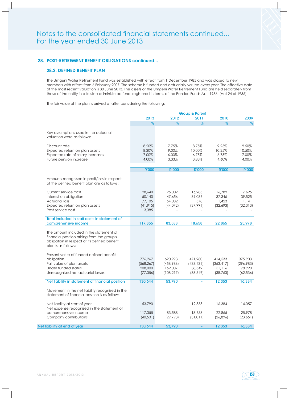# **28.2. DEFINED BENEFIT PLAN**

The Umgeni Water Retirement Fund was established with effect from 1 December 1985 and was closed to new members with effect from 6 February 2007. The scheme is funded and actuarially valued every year. The effective date of the most recent valuation is 30 June 2013. The assets of the Umgeni Water Retirement Fund are held separately from those of the entity in a trustee administered fund, registered in terms of the Pension Funds Act, 1956. (Act 24 of 1956)

The fair value of the plan is arrived at after considering the following:

|                                                                                                                                                               |                                                  |                                        | <b>Group &amp; Parent</b>           |                                       |                                        |
|---------------------------------------------------------------------------------------------------------------------------------------------------------------|--------------------------------------------------|----------------------------------------|-------------------------------------|---------------------------------------|----------------------------------------|
|                                                                                                                                                               | 2013                                             | 2012                                   | 2011                                | 2010                                  | 2009                                   |
|                                                                                                                                                               | %                                                | %                                      | %                                   | %                                     | %                                      |
| Key assumptions used in the actuarial<br>valuation were as follows:                                                                                           |                                                  |                                        |                                     |                                       |                                        |
| Discount rate<br>Expected return on plan assets<br>Expected rate of salary increases<br>Future pension increase                                               | 8.20%<br>8.20%<br>7.00%<br>4.00%                 | 7.75%<br>9.00%<br>6.00%<br>3.33%       | 8.75%<br>10.00%<br>6.75%<br>3.83%   | 9.25%<br>10.25%<br>6.75%<br>4.60%     | 9.50%<br>10.50%<br>7.00%<br>4.00%      |
|                                                                                                                                                               |                                                  |                                        |                                     |                                       |                                        |
|                                                                                                                                                               | <b>R'000</b>                                     | <b>R'000</b>                           | <b>R'000</b>                        | <b>R'000</b>                          | <b>R'000</b>                           |
| Amounts recognised in profit/loss in respect<br>of the defined benefit plan are as follows:                                                                   |                                                  |                                        |                                     |                                       |                                        |
| Current service cost<br>Interest on obligation<br><b>Actuarial loss</b><br>Expected return on plan assets<br>Past service cost                                | 28,640<br>50,140<br>77,105<br>(41, 915)<br>3,385 | 26,002<br>47,656<br>54,002<br>(44,072) | 16,985<br>39,086<br>578<br>(37,991) | 16,789<br>37,346<br>1,423<br>(32,693) | 17,625<br>39,525<br>1,141<br>(32, 313) |
| Total included in staff costs in statement of<br>comprehensive income                                                                                         | 117,355                                          | 83,588                                 | 18,658                              | 22,865                                | 25,978                                 |
| The amount included in the statement of<br>financial position arising from the group's<br>obligation in respect of its defined benefit<br>plan is as follows: |                                                  |                                        |                                     |                                       |                                        |
| Present value of funded defined benefit<br>obligation<br>Fair value of plan assets                                                                            | 776,267<br>(568, 267)                            | 620,993<br>(458,986)                   | 471,980<br>(433, 431)               | 414,533<br>(363, 417)                 | 375,903<br>(296,983)                   |
| Under funded status<br>Unrecognised net actuarial losses                                                                                                      | 208,000<br>(77, 356)                             | 162,007<br>(108, 217)                  | 38,549<br>(38, 549)                 | 51,116<br>(38, 763)                   | 78,920<br>(62, 536)                    |
| Net liability in statement of financial position                                                                                                              | 130,644                                          | 53,790                                 | ä,                                  | 12,353                                | 16,384                                 |
| Movement in the net liability recognised in the<br>statement of financial position is as follows:                                                             |                                                  |                                        |                                     |                                       |                                        |
| Net liability at start of year<br>Net expense recognised in the statement of                                                                                  | 53,790                                           |                                        | 12,353                              | 16,384                                | 14,057                                 |
| comprehensive income<br>Company contributions                                                                                                                 | 117,355<br>(40, 501)                             | 83,588<br>(29, 798)                    | 18,658<br>(31, 011)                 | 22,865<br>(26, 896)                   | 25,978<br>(23, 651)                    |
| Net liability at end of year                                                                                                                                  | 130,644                                          | 53,790                                 | $\blacksquare$                      | 12,353                                | 16,384                                 |

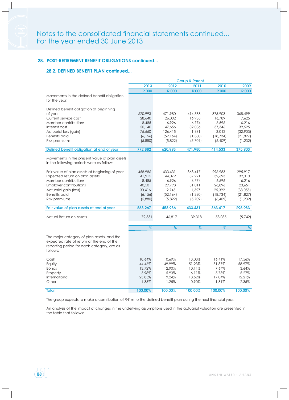# **28.2. DEFINED BENEFIT PLAN continued...**

|                                                                                                                                                                                                      |                                                                       |                                                                         | <b>Group &amp; Parent</b>                                           |                                                                        |                                                                          |
|------------------------------------------------------------------------------------------------------------------------------------------------------------------------------------------------------|-----------------------------------------------------------------------|-------------------------------------------------------------------------|---------------------------------------------------------------------|------------------------------------------------------------------------|--------------------------------------------------------------------------|
|                                                                                                                                                                                                      | 2013                                                                  | 2012                                                                    | 2011                                                                | 2010                                                                   | 2009                                                                     |
|                                                                                                                                                                                                      | <b>R'000</b>                                                          | <b>R'000</b>                                                            | <b>R'000</b>                                                        | <b>R'000</b>                                                           | <b>R'000</b>                                                             |
| Movements in the defined benefit obligation<br>for the year:                                                                                                                                         |                                                                       |                                                                         |                                                                     |                                                                        |                                                                          |
| Defined benefit obligation at beginning<br>of year<br>Current service cost<br>Member contributions<br>Interest cost<br>Actuarial loss (gain)<br><b>Benefits paid</b><br>Risk premiums                | 620,993<br>28,640<br>8,485<br>50,140<br>76,660<br>(6, 156)<br>(5,880) | 471,980<br>26,002<br>6,926<br>47,656<br>126,415<br>(52, 164)<br>(5,822) | 414,533<br>16,985<br>6,774<br>39,086<br>1,691<br>(1,380)<br>(5,709) | 375,903<br>16,789<br>6,596<br>37,346<br>3,042<br>(18, 734)<br>(6,409)  | 368,499<br>17,625<br>6,216<br>39,525<br>(32,903)<br>(21, 827)<br>(1,232) |
| Defined benefit obligation at end of year                                                                                                                                                            | 772,882                                                               | 620,993                                                                 | 471,980                                                             | 414,533                                                                | 375,903                                                                  |
| Movements in the present value of plan assets<br>in the following periods were as follows:                                                                                                           |                                                                       |                                                                         |                                                                     |                                                                        |                                                                          |
| Fair value of plan assets at beginning of year<br>Expected return on plan assets<br>Member contributions<br>Employer contributions<br>Actuarial gain (loss)<br><b>Benefits paid</b><br>Risk premiums | 458,986<br>41,915<br>8,485<br>40,501<br>30,416<br>(6, 156)<br>(5,880) | 433,431<br>44,072<br>6,926<br>29,798<br>2,745<br>(52, 164)<br>(5,822)   | 363,417<br>37,991<br>6,774<br>31,011<br>1,327<br>(1,380)<br>(5,709) | 296,983<br>32,693<br>6,596<br>26,896<br>25,392<br>(18, 734)<br>(6,409) | 295,917<br>32,313<br>6,216<br>23,651<br>(38,055)<br>(21, 827)<br>(1,232) |
| Fair value of plan assets at end of year                                                                                                                                                             | 568,267                                                               | 458,986                                                                 | 433,431                                                             | 363,417                                                                | 296,983                                                                  |
| Actual Return on Assets                                                                                                                                                                              | 72,331                                                                | 46,817                                                                  | 39,318                                                              | 58 085                                                                 | (5,742)                                                                  |
|                                                                                                                                                                                                      | %                                                                     | $\frac{9}{6}$                                                           | %                                                                   | %                                                                      | %                                                                        |
| The major category of plan assets, and the<br>expected rate of return at the end of the<br>reporting period for each category, are as<br>follows:                                                    |                                                                       |                                                                         |                                                                     |                                                                        |                                                                          |
| Cash<br>Equity<br><b>Bonds</b><br>Property<br>International<br>Other                                                                                                                                 | 10.64%<br>44.46%<br>13.72%<br>5.98%<br>23.85%<br>1.35%                | 10.69%<br>49.99%<br>12.90%<br>5.93%<br>19.24%<br>1.25%                  | 13.03%<br>51.23%<br>10.11%<br>6.11%<br>18.62%<br>0.90%              | 16.41%<br>51.87%<br>7.64%<br>5.73%<br>17.04%<br>1.31%                  | 17.56%<br>58.97%<br>3.64%<br>5.27%<br>12.21%<br>2.35%                    |
| <b>Total</b>                                                                                                                                                                                         | 100.00%                                                               | 100.00%                                                                 | 100.00%                                                             | 100.00%                                                                | 100.00%                                                                  |

The group expects to make a contribution of R41m to the defined benefit plan during the next financial year.

An analysis of the impact of changes in the underlying assumptions used in the actuarial valuation are presented in the table that follows: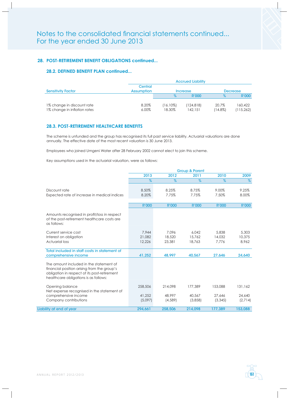# **28.2. DEFINED BENEFIT PLAN continued...**

|                                                            | <b>Accrued Liability</b> |                    |                       |                     |                       |  |
|------------------------------------------------------------|--------------------------|--------------------|-----------------------|---------------------|-----------------------|--|
|                                                            | Central                  |                    |                       |                     |                       |  |
| <b>Sensitivity Factor</b>                                  | Assumption               | Increase           |                       | <b>Decrease</b>     |                       |  |
|                                                            |                          | $\%$               | R'000                 | $\%$                | R'000                 |  |
| 1% change in discount rate<br>1% change in inflation rates | 8.20%<br>$6.00\%$        | (16.10%)<br>18.30% | (124, 818)<br>142.151 | 20.7%<br>$(14.8\%)$ | 160.422<br>(115, 262) |  |

# **28.3. POST-RETIREMENT HEALTHCARE BENEFITS**

The scheme is unfunded and the group has recognised its full past service liability. Actuarial valuations are done annually. The effective date of the most recent valuation is 30 June 2013.

Employees who joined Umgeni Water after 28 February 2002 cannot elect to join this scheme.

Key assumptions used in the actuarial valuation, were as follows:

|                                                                                                                                                                                 | <b>Group &amp; Parent</b>    |                               |                              |                               |                              |
|---------------------------------------------------------------------------------------------------------------------------------------------------------------------------------|------------------------------|-------------------------------|------------------------------|-------------------------------|------------------------------|
|                                                                                                                                                                                 | 2013                         | 2012                          | 2011                         | 2010                          | 2009                         |
|                                                                                                                                                                                 | $\%$                         | %                             | %                            | %                             | %                            |
| Discount rate<br>Expected rate of increase in medical indices                                                                                                                   | 8.50%<br>8.20%               | 8.25%<br>7.75%                | 8.75%<br>7.75%               | 9.00%<br>7.50%                | 9.25%<br>8.00%               |
|                                                                                                                                                                                 | R'000                        | <b>R'000</b>                  | <b>R'000</b>                 | <b>R'000</b>                  | <b>R'000</b>                 |
| Amounts recognised in profit/loss in respect<br>of the post-retirement healthcare costs are<br>as follows:                                                                      |                              |                               |                              |                               |                              |
| Current service cost<br>Interest on obligation<br><b>Actuarial loss</b>                                                                                                         | 7.944<br>21,082<br>12,226    | 7.096<br>18,520<br>23,381     | 6.042<br>15,762<br>18,763    | 5,838<br>14.032<br>7,776      | 5,303<br>10,375<br>8,962     |
| Total included in staff costs in statement of<br>comprehensive income                                                                                                           | 41,252                       | 48.997                        | 40,567                       | 27.646                        | 24,640                       |
| The amount included in the statement of<br>financial position arising from the group's<br>obligation in respect of its post-retirement<br>healthcare obligations is as follows: |                              |                               |                              |                               |                              |
| Opening balance<br>Net expense recognised in the statement of<br>comprehensive income<br>Company contributions                                                                  | 258,506<br>41.252<br>(5,097) | 214,098<br>48.997<br>(4, 589) | 177,389<br>40.567<br>(3,858) | 153,088<br>27,646<br>(3, 345) | 131,162<br>24,640<br>(2,714) |
| Liability at end of year                                                                                                                                                        | 294,661                      | 258,506                       | 214,098                      | 177,389                       | 153,088                      |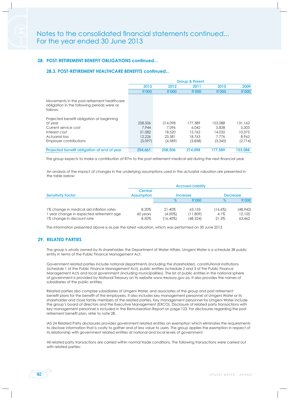# **28.3. POST-RETIREMENT HEALTHCARE BENEFITS continued...**

|                                                                                                        | <b>Group &amp; Parent</b> |          |              |         |              |
|--------------------------------------------------------------------------------------------------------|---------------------------|----------|--------------|---------|--------------|
|                                                                                                        | 2013                      | 2012     | 2011         | 2010    | 2009         |
|                                                                                                        | <b>R'000</b>              | R'000    | <b>R'000</b> | R'000   | <b>R'000</b> |
| Movements in the post-retirement healthcare<br>obligation in the following periods were as<br>follows: |                           |          |              |         |              |
| Projected benefit obligation at beginning                                                              |                           |          |              |         |              |
| of year                                                                                                | 258.506                   | 214.098  | 177.389      | 153.088 | 131.162      |
| Current service cost                                                                                   | 7.944                     | 7.096    | 6.042        | 5,838   | 5,303        |
| Interest cost                                                                                          | 21.082                    | 18,520   | 15,762       | 14,032  | 10,375       |
| Actuarial loss                                                                                         | 12.226                    | 23,381   | 18.763       | 7.776   | 8.962        |
| Employer contributions                                                                                 | (5,097)                   | (4, 589) | (3,858)      | (3,345) | (2,714)      |
| Projected benefit obligation at end of year                                                            | 294.661                   | 258.506  | 214.098      | 177.389 | 153,088      |

The group expects to make a contribution of R7m to the post retirement medical aid during the next financial year.

An analysis of the impact of changes in the underlying assumptions used in the actuarial valuation are presented in the table below:

|                                          | Central    |            |           |         |                 |
|------------------------------------------|------------|------------|-----------|---------|-----------------|
| <b>Sensitivity Factor</b>                | Assumption |            | Increase  |         | <b>Decrease</b> |
|                                          |            | %          | R'000     | $\%$    | R'000           |
|                                          |            |            |           |         |                 |
| 1% change in medical aid inflation rates | 8.20%      | 21.40%     | 63.153    | (16.6%) | (48,943)        |
| I year change in expected retirement age | 60 years   | $(4.00\%)$ | (11,809)  | 4.1%    | 12,105          |
| 1% change in discount rate               | 8.50%      | (16.40%)   | (48, 324) | 21.5%   | 63,462          |

The information presented above is as per the latest valuation, which was performed on 30 June 2013.

# **29. RELATED PARTIES**

The group is wholly owned by its shareholder, the Department of Water Affairs. Umgeni Water is a schedule 3B public entity in terms of the Public Finance Management Act.

Government related parties include national departments (including the shareholder), constitutional institutions (schedule 1 of the Public Finance Management Act), public entities (schedule 2 and 3 of the Public Finance Management Act) and local government (including municipalities). The list of public entities in the national sphere of government is provided by National Treasury on its website www.treasury.gov.za. It also provides the names of subsidiaries of the public entities.

Related parties also comprise subsidiaries of Umgeni Water, and associates of the group and post retirement benefit plans for the benefit of the employees. It also includes key management personnel of Umgeni Water or its shareholder and close family members of the related parties. Key management personnel for Umgeni Water include the group's board of directors and the Executive Management (EXCO). Disclosure of related party transactions with key management personnel is included in the Remuneration Report on page 123. For disclosures regarding the post retirement benefit plan, refer to note 28.

IAS 24 Related Party disclosures provides government related entities an exemption which eliminates the requirements to disclose information that is costly to gather and of less value to users. The group applies the exemption in respect of its relationship with government related entities at national and local levels of government.

All related party transactions are carried within normal trade conditions. The following transactions were carried out with related parties:

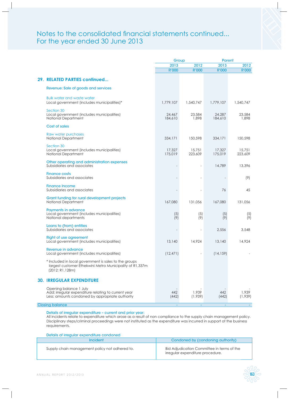|                                                                                                                                      | Group             |                   | Parent            |                   |
|--------------------------------------------------------------------------------------------------------------------------------------|-------------------|-------------------|-------------------|-------------------|
|                                                                                                                                      | 2013<br>2012      |                   | 2013              | 2012              |
|                                                                                                                                      | R'000             | <b>R'000</b>      | <b>R'000</b>      | R'000             |
| 29. RELATED PARTIES continued                                                                                                        |                   |                   |                   |                   |
| Revenue: Sale of goods and services                                                                                                  |                   |                   |                   |                   |
| <b>Bulk water and waste water</b><br>Local government (includes municipalities)*                                                     | 1,779,107         | 1,540,747         | 1,779,107         | 1,540,747         |
| Section 30<br>Local government (includes municipalities)<br>National Department                                                      | 24,467<br>184,610 | 23,584<br>1,898   | 24,287<br>184,610 | 23,584<br>1,898   |
| Cost of sales                                                                                                                        |                   |                   |                   |                   |
| Raw water purchases<br>National Department                                                                                           | 334,171           | 150,598           | 334,171           | 150,598           |
| Section 30<br>Local government (includes municipalities)<br>National Department                                                      | 17,327<br>175,019 | 15,751<br>223,609 | 17,327<br>175,019 | 15,751<br>223,609 |
| Other operating and administration expenses<br>Subsidiaries and associates                                                           |                   | L,                | 14,789            | 13,396            |
| <b>Finance costs</b><br>Subsidiaries and associates                                                                                  |                   |                   |                   | (9)               |
| <b>Finance Income</b><br>Subsidiaries and associates                                                                                 |                   |                   | 76                | 45                |
| Grant funding for rural development projects<br>National Department                                                                  | 167,080           | 131,056           | 167,080           | 131,056           |
| <b>Payments in advance</b><br>Local government (includes municipalities)<br>National departments                                     | (5)<br>(9)        | (5)<br>(9)        | (5)<br>(9)        | (5)<br>(9)        |
| Loans to (from) entities<br>Subsidiaries and associates                                                                              |                   |                   | 2,556             | 3,548             |
| <b>Right of use agreement</b><br>Local government (includes municipalities)                                                          | 13,140            | 14,924            | 13,140            | 14,924            |
| Revenue in advance<br>Local government (includes municipalities)                                                                     | (12, 471)         | $\overline{a}$    | (14, 159)         |                   |
| * Included in local government is sales to the groups<br>largest customer Ethekwini Metro Municipality of R1,337m<br>(2012: R1,128m) |                   |                   |                   |                   |
| <b>30. IRREGULAR EXPENDITURE</b>                                                                                                     |                   |                   |                   |                   |
| Opening balance 1 July<br>Add: irregular expenditure relating to current year<br>Less: amounts condoned by appropriate authority     | 442<br>(442)      | 1,939<br>(1,939)  | 442<br>(442)      | 1,939<br>(1,939)  |
| <b>Closing balance</b>                                                                                                               | ÷                 |                   |                   |                   |

Details of irregular expenditure – current and prior year:

All incidents relate to expenditure which arose as a result of non compliance to the supply chain management policy. Disciplinary steps/criminal proceedings were not instituted as the expenditure was incurred in support of the business requirements.

| Details of irregular expenditure condoned      |                                                                                |
|------------------------------------------------|--------------------------------------------------------------------------------|
| <b>Incident</b>                                | Condoned by (condoning authority)                                              |
| Supply chain management policy not adhered to. | Bid Adjudication Committee in terms of the<br>irregular expenditure procedure. |

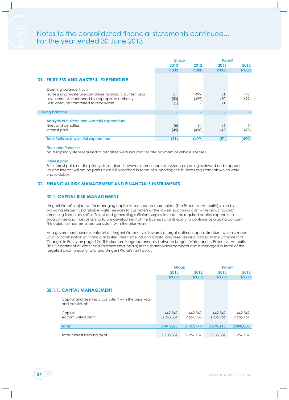|                                                                                        | Group            |              | Parent      |              |
|----------------------------------------------------------------------------------------|------------------|--------------|-------------|--------------|
|                                                                                        | 2013             | 2012         | 2013        | 2012         |
|                                                                                        | R'000            | R'000        | R'000       | R'000        |
| <b>31. FRUITLESS AND WASTEFUL EXPENDITURE</b>                                          |                  |              |             |              |
| Opening balance 1 July<br>Fruitless and wasteful expenditure relating to current year  | 51               | 499          | 51          | 499          |
| Less: amounts condoned by appropriate authority                                        | (50)             | (499)        | (50)        | (499)        |
| Less: amounts transferred to receivable                                                | $\left(1\right)$ |              | (1)         |              |
| <b>Closing balance</b>                                                                 |                  |              |             |              |
| Analysis of fruitless and wasteful expenditure<br>Fines and penalties<br>Interest paid | (6)<br>(45)      | (1)<br>(498) | (6)<br>(45) | (1)<br>(498) |
|                                                                                        |                  |              |             |              |
| Total fruitless & wasteful expenditure                                                 | (51)             | (499)        | (51)        | (499)        |

### Fines and Penalties

No disciplinary steps required as penalties were incurred for late payment of vehicle licenses.

#### Interest paid

For interest paid, no disciplinary steps taken, however internal controls systems are being reviewed and stepped up and interest will not be paid unless it is validated in terms of supporting the business requirements which were unavoidable.

# **32. FINANCIAL RISK MANAGEMENT AND FINANCIALS INSTRUMENTS**

# **32.1. CAPITAL RISK MANAGEMENT**

Umgeni Water's objective for managing capital is to enhance shareholder (The Executive Authority) value by providing efficient and reliable water services to customers at the lowest economic cost while reducing debt, remaining financially self sufficient and generating sufficient surplus to meet the required capital expenditure programme and thus sustaining future development of the business and its ability to continue as a going concern. This objective has remained consistent with the prior years.

As a government business enterprise, Umgeni Water strives towards a target optimal capital structure, which is made up of a combination of financial liabilities (refer note 22) and capital and reserves as disclosed in the Statement of Changes in Equity on page 126. This structure is agreed annually between Umgeni Water and its Executive Authority (The Department of Water and Environmental Affairs) in the shareholders compact and is managed in terms of the targeted debt to equity ratio and Umgeni Water's tariff policy.

|                                                                            | Group     |           | Parent       |              |
|----------------------------------------------------------------------------|-----------|-----------|--------------|--------------|
|                                                                            | 2013      | 2012      | 2012<br>2013 |              |
|                                                                            | R'000     | R'000     | R'000        | <b>R'000</b> |
|                                                                            |           |           |              |              |
| <b>32.1.1. CAPITAL MANAGEMENT</b>                                          |           |           |              |              |
| Capital and reserves is consistent with the prior year<br>and consists of: |           |           |              |              |
| Capital                                                                    | 442,847   | 442,847   | 442.847      | 442,847      |
| Accumulated profit                                                         | 3.248.381 | 2.664.930 | 3.236.266    | 2,655,161    |
| <b>Total</b>                                                               | 3,691,228 | 3,107,777 | 3,679,113    | 3,098,008    |
| Total interest bearing debt                                                | 1,135,381 | 1,257,137 | 1.135.381    | 1.257.137    |

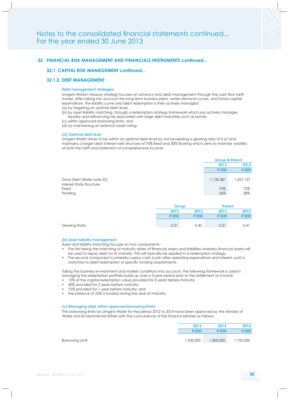# **32.1. CAPITAL RISK MANAGEMENT continued...**

# **32.1.2. DEBT MANAGEMENT**

### Debt management strategies

Umgeni Water's treasury strategy focuses on solvency and debt management through the cash flow tariff model, after taking into account the long-term business plans, water demand curves, and future capital expenditure. The liability curve and debt redemption is then actively managed:

- (a) by targeting an optimal debt level;
- (b) by asset liability matching, through a redemption strategy framework which pro-actively manages liquidity and refinancing risk associated with large debt maturities such as bonds;
- (c) within approved borrowing limits; and
- (d) by maintaining an external credit rating.

### (a) Optimal debt level

Umgeni Water strives to be within an optimal debt level by not exceeding a gearing ratio of 0.67 and maintains a target debt interest rate structure of 70% fixed and 30% floating which aims to minimise volatility of both the tariff and statement of comprehensive income.

|                                                       |           | <b>Group &amp; Parent</b> |  |  |
|-------------------------------------------------------|-----------|---------------------------|--|--|
|                                                       | 2013      | 2012                      |  |  |
|                                                       | R'000     | <b>R'000</b>              |  |  |
| Gross Debt (Refer note 22)<br>Interest Rate Structure | 1,135,381 | 1,257,137                 |  |  |
| Fixed                                                 | 74%       | 72%                       |  |  |
| Floating                                              | 26%       | 28%                       |  |  |

#### (b) Asset liability management

Asset and liability matching focuses on two components:

- The first being the matching of maturity dates of financial assets and liabilities whereby financial assets will be used to repay debt on its maturity. This will typically be applied in a redemption strategy.
- The second component is whereby surplus cash (cash after operating expenditure and interest cost) is matched to debt redemption or specific funding requirements.

Taking the business environment and market conditions into account, the following framework is used in managing the redemption portfolio build-up over a 3-year period prior to the settlement of a bond:

- 10% of the capital redemption value provided for 3 years before maturity;
- 40% provided for 2 years before maturity;
- 75% provided for 1 year before maturity; and
- the balance of 25% is funded during the year of maturity.

### (c) Managing debt within approved borrowing limits

The borrowing limits for Umgeni Water for the period 2012 to 2014 have been approved by the Minister of Water and Environmental Affairs with the concurrence of the Finance Minister as follows:

|                 | 2012         | 2013         | 2014         |
|-----------------|--------------|--------------|--------------|
|                 | <b>R'000</b> | <b>R'000</b> | <b>R'000</b> |
| Borrowing Limit | 1,950,000    | 1,800,000    | 1,750,000    |

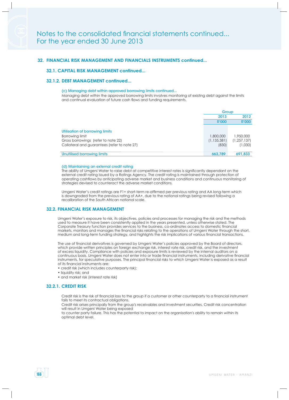# **32.1. CAPITAL RISK MANAGEMENT continued...**

# **32.1.2. DEBT MANAGEMENT continued...**

### (c) Managing debt within approved borrowing limits continued...

Managing debt within the approved borrowing limits involves monitoring of existing debt against the limits and continual evaluation of future cash flows and funding requirements.

|                                                                                                                                           | Group                               |                                       |
|-------------------------------------------------------------------------------------------------------------------------------------------|-------------------------------------|---------------------------------------|
|                                                                                                                                           | 2013                                | 2012                                  |
|                                                                                                                                           | <b>R'000</b>                        | <b>R'000</b>                          |
| Utilisation of borrowing limits<br>Borrowing limit<br>Gross borrowings (refer to note 22)<br>Collateral and guarantees (refer to note 27) | 1,800,000<br>(1, 135, 381)<br>(830) | 1,950,000<br>(1, 257, 137)<br>(1,030) |
| Unutilised borrowing limits                                                                                                               | 663,789                             | 691,833                               |

### (d) Maintaining an external credit rating

The ability of Umgeni Water to raise debt at competitive interest rates is significantly dependant on the external credit rating issued by a Ratings Agency. The credit rating is maintained through protection of operating cashflows by anticipating adverse market and business conditions and continuous monitoring of strategies devised to counteract the adverse market conditions.

Umgeni Water's credit ratings are F1+ short-term re-affirmed per previous rating and AA long-term which is downgraded from the previous rating of AA+, due to the national ratings being revised following a recalibration of the South African national scale.

# **32.2. FINANCIAL RISK MANAGEMENT**

Umgeni Water's exposure to risk, its objectives, policies and processes for managing the risk and the methods used to measure it have been consistently applied in the years presented, unless otherwise stated. The Corporate Treasury function provides services to the business, co-ordinates access to domestic financial markets, monitors and manages the financial risks relating to the operations of Umgeni Water through the short, medium and long-term funding strategy, and highlights the risk implications of various financial transactions.

The use of financial derivatives is governed by Umgeni Water's policies approved by the Board of directors, which provide written principles on foreign exchange risk, interest rate risk, credit risk, and the investment of excess liquidity. Compliance with policies and exposure limits is reviewed by the internal auditors on a continuous basis. Umgeni Water does not enter into or trade financial instruments, including derivative financial instruments, for speculative purposes. The principal financial risks to which Umgeni Water is exposed as a result of its financial instruments are:

• credit risk (which includes counterparty risk);

- liquidity risk; and
- and market risk (interest rate risk)

# **32.2.1. CREDIT RISK**

Credit risk is the risk of financial loss to the group if a customer or other counterparty to a financial instrument fails to meet its contractual obligations.

Credit risk arises principally from the group's receivables and investment securities. Credit risk concentration will result in Umgeni Water being exposed

to counter party failure. This has the potential to impact on the organisation's ability to remain within its optimal debt level.

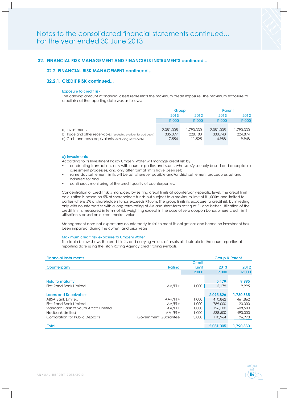# **32.2. FINANCIAL RISK MANAGEMENT continued...**

# **32.2.1. CREDIT RISK continued...**

### Exposure to credit risk

The carrying amount of financial assets represents the maximum credit exposure. The maximum exposure to credit risk at the reporting date was as follows:

|                                                                                                                                             | Group                         |                                | Parent                        |                               |
|---------------------------------------------------------------------------------------------------------------------------------------------|-------------------------------|--------------------------------|-------------------------------|-------------------------------|
|                                                                                                                                             | 2013<br>2012                  |                                | 2013                          | 2012                          |
|                                                                                                                                             | R'000                         | R'000                          | R'000                         | R'000                         |
| a) Investments<br>b) Trade and other receivables (excluding provision for bad debts)<br>c) Cash and cash equivalents (excluding petty cash) | 2.081.005<br>335,397<br>7.554 | 1,790,330<br>228,180<br>11.525 | 2.081.005<br>330,743<br>4.988 | 1,790,330<br>224,874<br>9.948 |

### a) Investments

According to its Investment Policy Umgeni Water will manage credit risk by:

- conducting transactions only with counter parties and issuers who satisfy soundly based and acceptable assessment processes, and only after formal limits have been set;
- same-day settlement limits will be set wherever possible and/or strict settlement procedures set and adhered to; and
- continuous monitoring of the credit quality of counterparties.

Concentration of credit risk is managed by setting credit limits at counterparty-specific level. The credit limit calculation is based on 5% of shareholders funds but subject to a maximum limit of R1,000m and limited to parties where 5% of shareholders funds exceeds R100m. The group limits its exposure to credit risk by investing only with counterparties with a long-term rating of AA and short-term rating of F1 and better. Utilisation of the credit limit is measured in terms of risk weighting except in the case of zero coupon bonds where credit limit utilisation is based on current market value.

Management does not expect any counterparty to fail to meet its obligations and hence no investment has been impaired, during the current and prior years.

### Maximum credit risk exposure to Umgeni Water

The table below shows the credit limits and carrying values of assets attributable to the counterparties at reporting date using the Fitch Rating Agency credit rating symbols.

| <b>Financial Instruments</b>          |                      |              | <b>Group &amp; Parent</b> |              |
|---------------------------------------|----------------------|--------------|---------------------------|--------------|
|                                       |                      | Credit       |                           |              |
| Counterparty                          | Rating               | Limit        | 2013                      | 2012         |
|                                       |                      | <b>R'000</b> | R'000                     | <b>R'000</b> |
|                                       |                      |              |                           |              |
| <b>Held to maturity</b>               |                      |              | 5.179                     | 9.995        |
| First Rand Bank Limited               | $AA/F1+$             | 1,000        | 5.179                     | 9.995        |
|                                       |                      |              |                           |              |
| Loans and Receivables                 |                      |              | 2,075,826                 | 1,780,335    |
| ABSA Bank Limited                     | $AA+/F1+$            | 1,000        | 410.862                   | 461.862      |
| <b>First Rand Bank Limited</b>        | $AA/F1+$             | 1,000        | 789,000                   | 20,000       |
| Standard Bank of South Africa Limited | $AA/F1+$             | 1,000        | 126,500                   | 608,500      |
| Nedbank Limited                       | $AA$ -/F1+           | 1,000        | 638.500                   | 493,000      |
| Corporation for Public Deposits       | Government Guarantee | 3,000        | 110.964                   | 196,973      |
|                                       |                      |              |                           |              |
| Total                                 |                      |              | 2 081,005                 | 1,790,330    |

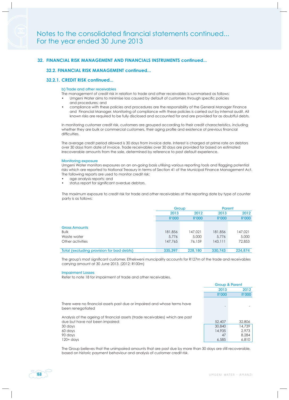# **32.2. FINANCIAL RISK MANAGEMENT continued...**

## **32.2.1. CREDIT RISK continued...**

## b) Trade and other receivables

- The management of credit risk in relation to trade and other receivables is summarised as follows:
- Umgeni Water aims to minimise loss caused by default of customers through specific policies and procedures; and
- compliance with these policies and procedures are the responsibility of the General Manager Finance and Financial Manager. Monitoring of compliance with these policies is carried out by internal audit. All known risks are required to be fully disclosed and accounted for and are provided for as doubtful debts.

In monitoring customer credit risk, customers are grouped according to their credit characteristics, including whether they are bulk or commercial customers, their aging profile and existence of previous financial difficulties.

The average credit period allowed is 30 days from invoice date. Interest is charged at prime rate on debtors over 30 days from date of invoice. Trade receivables over 30 days are provided for based on estimated irrecoverable amounts from the sale, determined by reference to past default experience.

### Monitoring exposure

Umgeni Water monitors exposures on an on-going basis utilising various reporting tools and flagging potential risks which are reported to National Treasury in terms of Section 41 of the Municipal Finance Management Act. The following reports are used to monitor credit risk:

- age analysis reports; and
- status report for significant overdue debtors.

The maximum exposure to credit risk for trade and other receivables at the reporting date by type of counter party is as follows:

|                                           | Group   |         |              | Parent       |
|-------------------------------------------|---------|---------|--------------|--------------|
|                                           | 2013    | 2012    | 2013         | 2012         |
|                                           | R'000   | R'000   | <b>R'000</b> | <b>R'000</b> |
|                                           |         |         |              |              |
| <b>Gross Amounts</b>                      |         |         |              |              |
| <b>Bulk</b>                               | 181,856 | 147.021 | 181,856      | 147,021      |
| Waste water                               | 5.776   | 5,000   | 5.776        | 5,000        |
| Other activities                          | 147.765 | 76.159  | 143.111      | 72,853       |
|                                           |         |         |              |              |
| Total (excluding provision for bad debts) | 335,397 | 228,180 | 330,743      | 224,874      |

The group's most significant customer, Ethekweni muncipality accounts for R127m of the trade and receivables carrying amount at 30 June 2013. (2012: R100m)

### Impairment Losses

Refer to note 18 for impairment of trade and other receivables.

|                                                                                                                  |              | <b>Group &amp; Parent</b> |
|------------------------------------------------------------------------------------------------------------------|--------------|---------------------------|
|                                                                                                                  | 2013         | 2012                      |
|                                                                                                                  | <b>R'000</b> | <b>R'000</b>              |
| There were no financial assets past due or impaired and whose terms have<br>been renegotiated                    |              |                           |
| Analysis of the ageing of financial assets (trade receivables) which are past<br>due but have not been impaired: | 52,407       | 32,806                    |
| 30 days                                                                                                          | 30,840       | 14.739                    |
| 60 days                                                                                                          | 14,935       | 2.973                     |
| 90 days                                                                                                          | 47           | 8,284                     |
| $120+$ days                                                                                                      | 6,585        | 6,810                     |

The Group believes that the unimpaired amounts that are past due by more than 30 days are still recoverable, based on historic payment behaviour and analysis of customer credit risk.

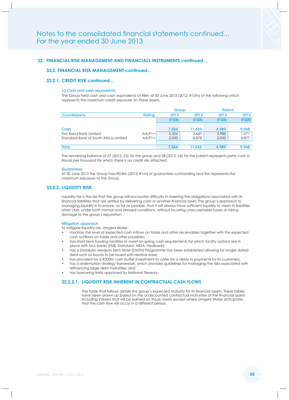# **32.2. FINANCIAL RISK MANAGEMENT continued...**

# **32.2.1. CREDIT RISK continued...**

### c) Cash and cash equivalents

The Group held cash and cash equivalents of R8m at 30 June 2013 (2012: R12m) of the following which represents the maximum credit exposure on these assets.

|                                       |          |       | Group  |       | Parent |  |
|---------------------------------------|----------|-------|--------|-------|--------|--|
| Counterparty                          | Rating   | 2013  | 2012   | 2013  | 2012   |  |
|                                       |          | R'000 | R'000  |       | R'000  |  |
|                                       |          |       |        |       |        |  |
| Cash                                  |          | 7.554 | 11,525 | 4.989 | 9.948  |  |
| <b>First Rand Bank Limited</b>        | $AA/F1+$ | 5.554 | 2.647  | 2.988 | 1.071  |  |
| Standard Bank of South Africa Limited | $AA/F1+$ | 2,000 | 8,878  | 2,000 | 8,877  |  |
|                                       |          |       |        |       |        |  |
| <b>Total</b>                          |          | 7.554 | 11,525 | 4.989 | 9.948  |  |

The remaining balance of 57 (2012: 53) for the group and 28 (2012: 26) for the parent represents petty cash in Rands per thousand for which there is no credit risk attached.

### **Guarantees**

At 30 June 2013 the Group had R0,8m (2012: R1m) of guarantees outstanding and this represents the maximum exposure to the Group.

# **32.2.2. LIQUIDITY RISK**

Liquidity risk is the risk that the group will encounter difficulty in meeting the obligations associated with its financial liabilities that are settled by delivering cash or another financial asset. The group's approach to managing liquidity is to ensure, as far as possible, that it will always have sufficient liquidity to meet its liabilities when due, under both normal and stressed conditions, without incurring unacceptable losses or risking damage to the group's reputation.

### Mitigation approach

To mitigate liquidity risk, Umgeni Water:

- monitors the level of expected cash inflows on trade and other receivables together with the expected cash outflows on trade and other payables;
- has short-term funding facilities to meet on-going cash requirements for which facility options are in place with four banks (FNB, Standard, ABSA, Nedbank);
- has a Domestic Medium Term Note (DMTN) Programme has been established allowing for longer dated debt such as bonds to be issued with relative ease;
- has provided for a R200m cash buffer investment to cater for a delay in payments by its customers;
- has a redemption strategy framework, which provides guidelines for managing the risks associated with refinancing large debt maturities; and
- has borrowing limits approved by National Treasury.

# **32.2.2.1. LIQUIDITY RISK INHERENT IN CONTRACTUAL CASH FLOWS**

The table that follows details the group's expected maturity for its financial assets. These tables have been drawn up based on the undiscounted contractual maturities of the financial assets including interest that will be earned on those assets except where Umgeni Water anticipates that the cash flow will occur in a different period.

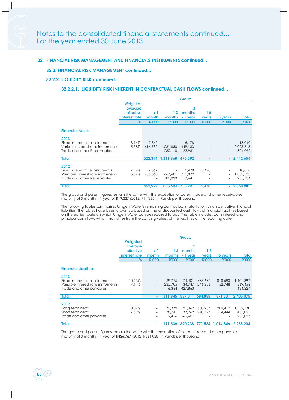# **32.2. FINANCIAL RISK MANAGEMENT continued...**

# **32.2.2. LIQUIDITY RISK continued...**

# **32.2.2.1. LIQUIDITY RISK INHERENT IN CONTRACTUAL CASH FLOWS continued...**

|                                                                   | Group         |                           |                      |                   |              |                                                      |                      |
|-------------------------------------------------------------------|---------------|---------------------------|----------------------|-------------------|--------------|------------------------------------------------------|----------------------|
|                                                                   | Weighted      |                           |                      |                   |              |                                                      |                      |
|                                                                   | average       |                           |                      | 3                 |              |                                                      |                      |
|                                                                   | effective     | $\leq$ 1                  | 1-3                  | months            | $1-5$        |                                                      |                      |
|                                                                   | interest rate | month                     | months               | - 1 year          | <b>years</b> | >5 years                                             | Total                |
|                                                                   | %             | R'000                     | R'000                | R'000             | R'000        | R'000                                                | R'000                |
| <b>Financial Assets</b>                                           |               |                           |                      |                   |              |                                                      |                      |
| 2013<br>Fixed interest rate instruments                           | 8.14%         | 7.862                     |                      | 5.178             |              |                                                      | 13,040               |
| Variable interest rate instruments<br>Trade and other Receivables | 5.38%         | 614,532<br>$\overline{a}$ | 1,031,850<br>280,118 | 449,133<br>23,981 |              | $\overline{\phantom{a}}$<br>$\overline{\phantom{0}}$ | 2,095,515<br>304,099 |
| <b>Total</b>                                                      |               | 622,394                   | 1,311,968            | 478.292           |              | ÷,                                                   | 2,412,654            |
| 2012                                                              |               |                           |                      |                   |              |                                                      |                      |
| Fixed interest rate instruments                                   | 7.94%         | 7.862                     |                      | 5.478             | 5.478        | $\overline{\phantom{a}}$                             | 18,818               |
| Variable interest rate instruments                                | 5.87%         | 455,060                   | 667,601              | 710.872           |              | $\overline{\phantom{0}}$                             | 1,833,533            |
| Trade and other Receivables                                       |               |                           | 188,093              | 17,641            |              | $\qquad \qquad -$                                    | 205,734              |
| Total                                                             |               | 462,922                   | 855,694              | 733,991           | 5,478        | ÷                                                    | 2,058,085            |

The group and parent figures remain the same with the exception of parent trade and other receivables maturity of 3 months - 1 year of R19,327 (2012: R14,335) in Rands per thousand.

The following tables summarises Umgeni Water's remaining contractual maturity for its non-derivative financial liabilities. The tables have been drawn up based on the undiscounted cash flows of financial liabilities based on the earliest date on which Umgeni Water can be required to pay. The table includes both interest and principal cash flows which may differ from the carrying values of the liabilities at the reporting date.

|                                                                                                           |                                                   |                                                      |                            | Group                       |                       |                    |                                 |
|-----------------------------------------------------------------------------------------------------------|---------------------------------------------------|------------------------------------------------------|----------------------------|-----------------------------|-----------------------|--------------------|---------------------------------|
|                                                                                                           | Weighted<br>average<br>effective<br>interest rate | $\leq$ 1<br>month                                    | $1-3$<br>months            | 3<br>months<br>- 1 year     | $1-5$<br><b>years</b> | >5 years           | Total                           |
|                                                                                                           | $\%$                                              | <b>R'000</b>                                         | R'000                      | R'000                       | R'000                 | <b>R'000</b>       | R'000                           |
| <b>Financial Liabilities</b>                                                                              |                                                   |                                                      |                            |                             |                       |                    |                                 |
| 2013<br>Fixed interest rate instruments<br>Variable interest rate instruments<br>Trade and other payables | 10.13%<br>7.11%                                   | $\overline{\phantom{a}}$                             | 69.776<br>235,705<br>6.364 | 74,401<br>34,747<br>427,863 | 438,632<br>246,256    | 818,583<br>52,748  | 1,401,392<br>569,456<br>434,227 |
| <b>Total</b>                                                                                              |                                                   | $\sim$                                               | 311,845                    | 537.011                     | 684,888               | 871.331            | 2,405,075                       |
| 2012<br>Long term debt<br>Short term debt<br>Trade and other payables                                     | 10.07%<br>7.59%                                   | $\overline{\phantom{a}}$<br>$\overline{\phantom{a}}$ | 70,379<br>38,741<br>2.416  | 90,362<br>37.269<br>262,607 | 500,987<br>270,597    | 900,402<br>114,444 | 1,562,130<br>461,051<br>265,023 |
| <b>Total</b>                                                                                              |                                                   | $\overline{\phantom{a}}$                             | 111,536                    | 390,238                     |                       | 771.584 1.014.846  | 2,288,204                       |

The group and parent figures remain the same with the exception of parent trade and other payables maturity of 3 months - 1 year of R426,767 (2012: R261,028) in Rands per thousand.

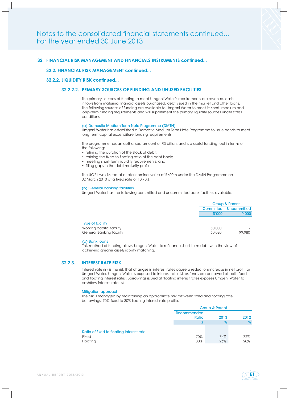## **32.2. FINANCIAL RISK MANAGEMENT continued...**

## **32.2.2. LIQUIDITY RISK continued...**

# **32.2.2.2. PRIMARY SOURCES OF FUNDING AND UNUSED FACILITIES**

The primary sources of funding to meet Umgeni Water's requirements are revenue, cash inflows from maturing financial assets purchased, debt issued in the market and other loans. The following sources of funding are available to Umgeni Water to meet its short, medium and long-term funding requirements and will supplement the primary liquidity sources under stress conditions:

### (a) Domestic Medium Term Note Programme (DMTN)

Umgeni Water has established a Domestic Medium Term Note Programme to issue bonds to meet long term capital expenditure funding requirements.

The programme has an authorised amount of R3 billion, and is a useful funding tool in terms of the following:

- refining the duration of the stock of debt;
- refining the fixed to floating ratio of the debt book;
- meeting short-term liquidity requirements; and
- filling gaps in the debt maturity profile.

The UG21 was issued at a total nominal value of R600m under the DMTN Programme on 02 March 2010 at a fixed rate of 10.70%.

#### (b) General banking facilities

Umgeni Water has the following committed and uncommitted bank facilities available:

|                          |           | <b>Group &amp; Parent</b> |
|--------------------------|-----------|---------------------------|
|                          | Committed | Uncommitted               |
|                          | R'000     | R'000                     |
| <b>Type of facility</b>  |           |                           |
| Working capital facility | 50,000    |                           |
| General Banking facility | 50,020    | 99.980                    |

## (c) Bank loans

This method of funding allows Umgeni Water to refinance short-term debt with the view of achieving greater asset/liability matching.

# **32.2.3. INTEREST RATE RISK**

Interest rate risk is the risk that changes in interest rates cause a reduction/increase in net profit for Umgeni Water. Umgeni Water is exposed to interest rate risk as funds are borrowed at both fixed and floating interest rates. Borrowings issued at floating interest rates exposes Umgeni Water to cashflow interest rate risk.

### Mitigation approach

The risk is managed by maintaining an appropriate mix between fixed and floating rate borrowings: 70% fixed to 30% floating interest rate profile.

|                                          | <b>Group &amp; Parent</b> |      |      |  |  |
|------------------------------------------|---------------------------|------|------|--|--|
|                                          | Recommended               |      |      |  |  |
|                                          | Ratio                     | 2013 | 2012 |  |  |
|                                          | $\%$                      | $\%$ | %    |  |  |
| Ratio of fixed to floating interest rate |                           |      |      |  |  |
| Fixed                                    | 70%                       | 74%  | 72%  |  |  |
| Floating                                 | 30%                       | 26%  | 28%  |  |  |

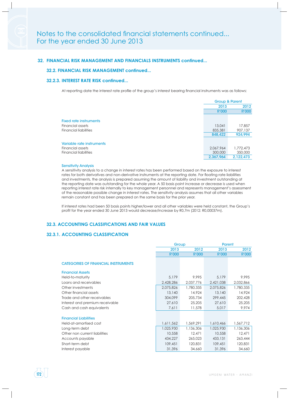# **32. FINANCIAL RISK MANAGEMENT AND FINANCIALS INSTRUMENTS continued...**

#### **32.2. FINANCIAL RISK MANAGEMENT continued...**

#### **32.2.3. INTEREST RATE RISK continued...**

At reporting date the interest rate profile of the group's interest bearing financial instruments was as follows:

|                               |           | <b>Group &amp; Parent</b> |  |
|-------------------------------|-----------|---------------------------|--|
|                               | 2013      | 2012                      |  |
|                               | R'000     | <b>R'000</b>              |  |
|                               |           |                           |  |
| <b>Fixed rate instruments</b> |           |                           |  |
| Financial assets              | 13,041    | 17,857                    |  |
| Financial liabilities         | 835,381   | 907,137                   |  |
|                               | 848,422   | 924,994                   |  |
|                               |           |                           |  |
| Variable rate instruments     |           |                           |  |
| Financial assets              | 2,067,964 | 1,772,473                 |  |
| Financial liabilities         | 300,000   | 350,000                   |  |
|                               | 2,367,964 | 2,122,473                 |  |

#### Sensitivity Analysis

A sensitivity analysis to a change in interest rates has been performed based on the exposure to interest rates for both derivatives and non-derivative instruments at the reporting date. For floating rate liabilities and investments, the analysis is prepared assuming the amount of liability and investment outstanding at the reporting date was outstanding for the whole year. A 50 basis point increase or decrease is used when reporting interest rate risk internally to key management personnel and represents management's assessment of the reasonable possible change in interest rates. The sensitivity analysis assumes that all other variables remain constant and has been prepared on the same basis for the prior year.

If interest rates had been 50 basis points higher/lower and all other variables were held constant, the Group's profit for the year ended 30 June 2013 would decrease/increase by R0,7m (2012: R0,00037m).

# **32.3. ACCOUNTING CLASSIFICATIONS AND FAIR VALUES**

# **32.3.1. ACCOUNTING CLASSIFICATION**

|                                            | Group        |              | Parent       |              |
|--------------------------------------------|--------------|--------------|--------------|--------------|
|                                            | 2013         | 2012         | 2013         | 2012         |
|                                            | <b>R'000</b> | <b>R'000</b> | <b>R'000</b> | <b>R'000</b> |
| <b>CATEGORIES OF FINANCIAL INSTRUMENTS</b> |              |              |              |              |
| <b>Financial Assets</b>                    |              |              |              |              |
| Held-to-maturity                           | 5,179        | 9.995        | 5.179        | 9,995        |
| Loans and receivables                      | 2,428,286    | 2,037,776    | 2,421,038    | 2,032,866    |
| Other investments                          | 2,075,826    | 1,780,335    | 2,075,826    | 1,780,335    |
| Other financial assets                     | 13,140       | 14,924       | 13,140       | 14,924       |
| Trade and other receivables                | 304,099      | 205,734      | 299,445      | 202,428      |
| Interest and premium receivable            | 27,610       | 25,205       | 27,610       | 25,205       |
| Cash and cash equivalents                  | 7,611        | 11,578       | 5,017        | 9,974        |
| <b>Financial Liabilities</b>               |              |              |              |              |
| Held-at-amortised cost                     | 1,611,562    | 1,569,291    | 1,610,466    | 1,567,712    |
| Long-term debt                             | 1,025,930    | 1,136,306    | 1,025,930    | 1,136,306    |
| Other non current liabilities              | 10,558       | 12,471       | 10,558       | 12,471       |
| Accounts payable                           | 434,227      | 265,023      | 433,131      | 263,444      |
| Short-term debt                            | 109,451      | 120,831      | 109,451      | 120,831      |
| Interest payable                           | 31,396       | 34,660       | 31,396       | 34,660       |